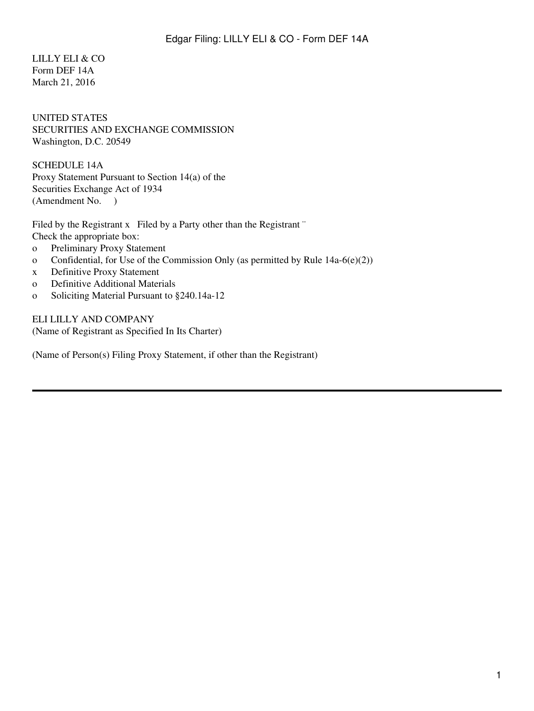## LILLY ELI & CO Form DEF 14A March 21, 2016

## UNITED STATES SECURITIES AND EXCHANGE COMMISSION Washington, D.C. 20549

SCHEDULE 14A Proxy Statement Pursuant to Section 14(a) of the Securities Exchange Act of 1934 (Amendment No. )

Filed by the Registrant x Filed by a Party other than the Registrant " Check the appropriate box:

- o Preliminary Proxy Statement
- o Confidential, for Use of the Commission Only (as permitted by Rule  $14a-6(e)(2)$ )
- x Definitive Proxy Statement
- o Definitive Additional Materials
- o Soliciting Material Pursuant to §240.14a-12

ELI LILLY AND COMPANY (Name of Registrant as Specified In Its Charter)

(Name of Person(s) Filing Proxy Statement, if other than the Registrant)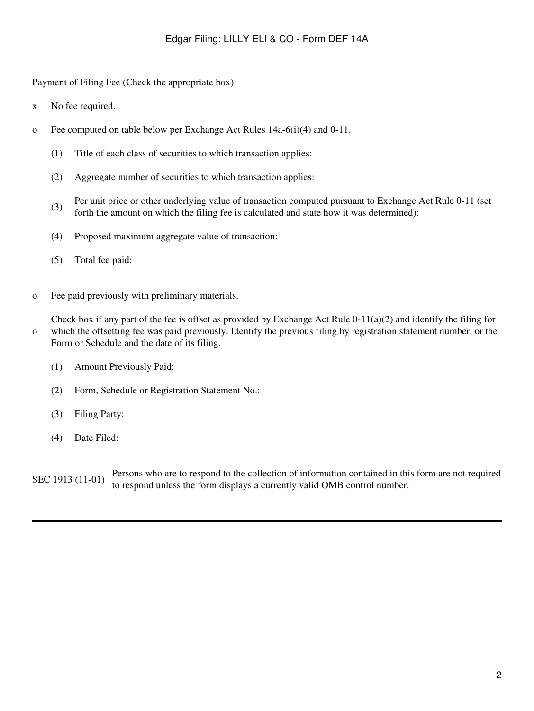Payment of Filing Fee (Check the appropriate box):

- x No fee required.
- o Fee computed on table below per Exchange Act Rules  $14a-6(i)(4)$  and  $0-11$ .
	- (1) Title of each class of securities to which transaction applies:
	- (2) Aggregate number of securities to which transaction applies:
	- (3) Per unit price or other underlying value of transaction computed pursuant to Exchange Act Rule 0-11 (set forth the amount on which the filing fee is calculated and state how it was determined):
	- (4) Proposed maximum aggregate value of transaction:
	- (5) Total fee paid:
- o Fee paid previously with preliminary materials.

o Check box if any part of the fee is offset as provided by Exchange Act Rule  $0-11(a)(2)$  and identify the filing for which the offsetting fee was paid previously. Identify the previous filing by registration statement number, or the Form or Schedule and the date of its filing.

- (1) Amount Previously Paid:
- (2) Form, Schedule or Registration Statement No.:
- (3) Filing Party:
- (4) Date Filed:

SEC 1913 (11-01) Persons who are to respond to the collection of information contained in this form are not required to respond unless the form displays a currently valid OMB control number.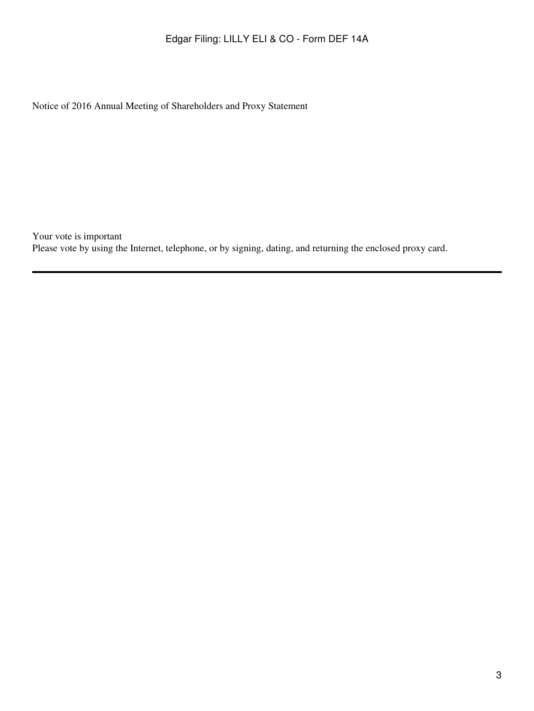Notice of 2016 Annual Meeting of Shareholders and Proxy Statement

Your vote is important Please vote by using the Internet, telephone, or by signing, dating, and returning the enclosed proxy card.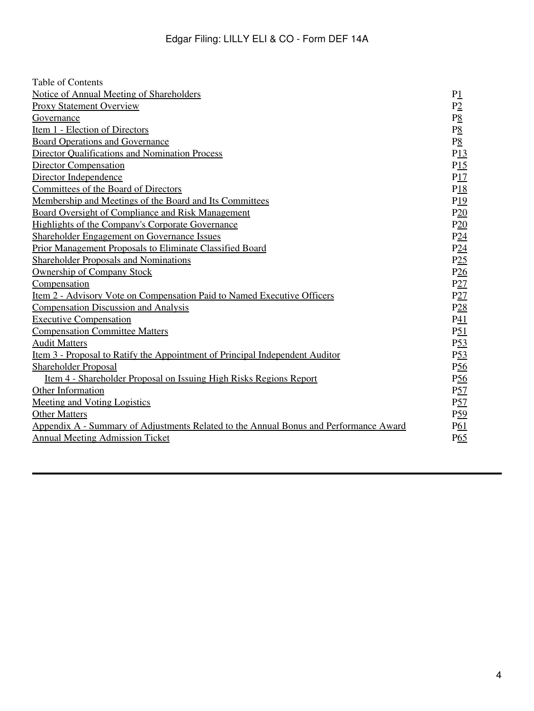| Table of Contents                                                                     |                     |
|---------------------------------------------------------------------------------------|---------------------|
| Notice of Annual Meeting of Shareholders                                              | P1                  |
| <b>Proxy Statement Overview</b>                                                       | P2                  |
| Governance                                                                            | $P_{\underline{8}}$ |
| Item 1 - Election of Directors                                                        | $P_{\underline{8}}$ |
| <b>Board Operations and Governance</b>                                                | $P_{\underline{8}}$ |
| <b>Director Oualifications and Nomination Process</b>                                 | P13                 |
| <b>Director Compensation</b>                                                          | P15                 |
| Director Independence                                                                 | P17                 |
| Committees of the Board of Directors                                                  | P18                 |
| Membership and Meetings of the Board and Its Committees                               | P19                 |
| <b>Board Oversight of Compliance and Risk Management</b>                              | P20                 |
| Highlights of the Company's Corporate Governance                                      | P20                 |
| <b>Shareholder Engagement on Governance Issues</b>                                    | P24                 |
| <b>Prior Management Proposals to Eliminate Classified Board</b>                       | P24                 |
| <b>Shareholder Proposals and Nominations</b>                                          | P25                 |
| <b>Ownership of Company Stock</b>                                                     | P26                 |
| Compensation                                                                          | P27                 |
| <u>Item 2 - Advisory Vote on Compensation Paid to Named Executive Officers</u>        | P27                 |
| <b>Compensation Discussion and Analysis</b>                                           | P <sub>28</sub>     |
| <b>Executive Compensation</b>                                                         | P <sub>41</sub>     |
| <b>Compensation Committee Matters</b>                                                 | $P_{21}$            |
| <b>Audit Matters</b>                                                                  | P <sub>53</sub>     |
| <u>Item 3 - Proposal to Ratify the Appointment of Principal Independent Auditor</u>   | P <sub>53</sub>     |
| <b>Shareholder Proposal</b>                                                           | P <sub>56</sub>     |
| <u>Item 4 - Shareholder Proposal on Issuing High Risks Regions Report</u>             | $P\underline{56}$   |
| <b>Other Information</b>                                                              | P <sub>57</sub>     |
| <b>Meeting and Voting Logistics</b>                                                   | $P_{2}^{5}$         |
| <b>Other Matters</b>                                                                  | P <sub>59</sub>     |
| Appendix A - Summary of Adjustments Related to the Annual Bonus and Performance Award | P <sub>61</sub>     |
| <b>Annual Meeting Admission Ticket</b>                                                | $P_{0.5}$           |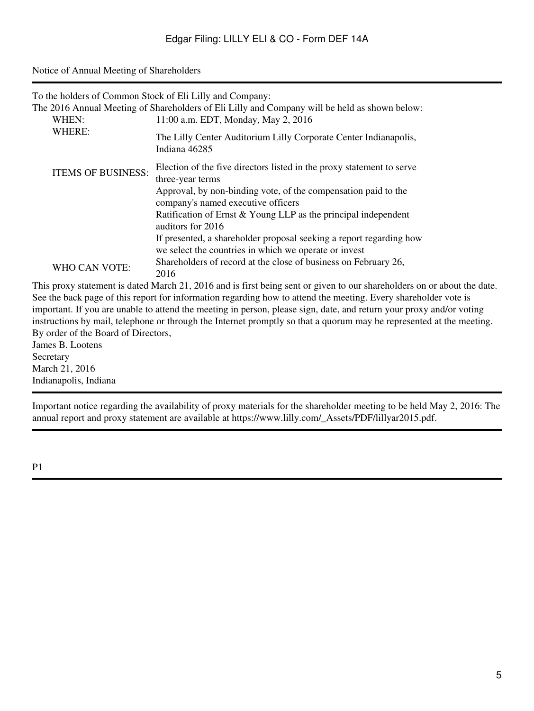#### <span id="page-4-0"></span>Notice of Annual Meeting of Shareholders

|                           | To the holders of Common Stock of Eli Lilly and Company:                                                                                                                                                                                |
|---------------------------|-----------------------------------------------------------------------------------------------------------------------------------------------------------------------------------------------------------------------------------------|
|                           | The 2016 Annual Meeting of Shareholders of Eli Lilly and Company will be held as shown below:                                                                                                                                           |
| WHEN:                     | 11:00 a.m. EDT, Monday, May 2, 2016                                                                                                                                                                                                     |
| WHERE:                    | The Lilly Center Auditorium Lilly Corporate Center Indianapolis,<br>Indiana 46285                                                                                                                                                       |
| <b>ITEMS OF BUSINESS:</b> | Election of the five directors listed in the proxy statement to serve<br>three-year terms                                                                                                                                               |
|                           | Approval, by non-binding vote, of the compensation paid to the<br>company's named executive officers                                                                                                                                    |
|                           | Ratification of Ernst & Young LLP as the principal independent<br>auditors for 2016                                                                                                                                                     |
|                           | If presented, a shareholder proposal seeking a report regarding how<br>we select the countries in which we operate or invest                                                                                                            |
| <b>WHO CAN VOTE:</b>      | Shareholders of record at the close of business on February 26,<br>2016                                                                                                                                                                 |
|                           | This proxy statement is dated March 21, 2016 and is first being sent or given to our shareholders on or about the date.                                                                                                                 |
|                           | See the back page of this report for information regarding how to attend the meeting. Every shareholder vote is<br>important. If you are unable to attend the meeting in person, please sign, date, and return your proxy and/or voting |
|                           |                                                                                                                                                                                                                                         |

instructions by mail, telephone or through the Internet promptly so that a quorum may be represented at the meeting. By order of the Board of Directors,

James B. Lootens Secretary March 21, 2016 Indianapolis, Indiana

Important notice regarding the availability of proxy materials for the shareholder meeting to be held May 2, 2016: The annual report and proxy statement are available at https://www.lilly.com/\_Assets/PDF/lillyar2015.pdf.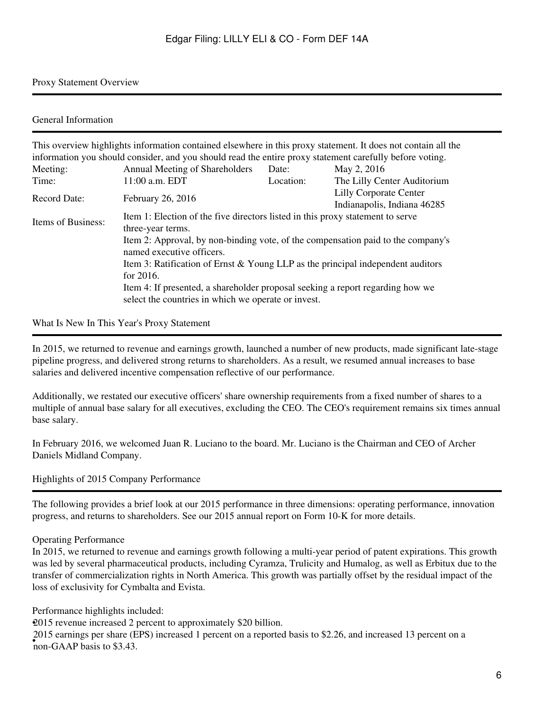#### Proxy Statement Overview

#### General Information

|                                                                                                                                                                                   | This overview highlights information contained elsewhere in this proxy statement. It does not contain all the                                                                                                        |           |                                                              |
|-----------------------------------------------------------------------------------------------------------------------------------------------------------------------------------|----------------------------------------------------------------------------------------------------------------------------------------------------------------------------------------------------------------------|-----------|--------------------------------------------------------------|
|                                                                                                                                                                                   | information you should consider, and you should read the entire proxy statement carefully before voting.                                                                                                             |           |                                                              |
| Meeting:                                                                                                                                                                          | Annual Meeting of Shareholders                                                                                                                                                                                       | Date:     | May 2, 2016                                                  |
| Time:                                                                                                                                                                             | 11:00 a.m. EDT                                                                                                                                                                                                       | Location: | The Lilly Center Auditorium                                  |
| <b>Record Date:</b>                                                                                                                                                               | February 26, 2016                                                                                                                                                                                                    |           | <b>Lilly Corporate Center</b><br>Indianapolis, Indiana 46285 |
| Items of Business:                                                                                                                                                                | Item 1: Election of the five directors listed in this proxy statement to serve<br>three-year terms.<br>Item 2: Approval, by non-binding vote, of the compensation paid to the company's<br>named executive officers. |           |                                                              |
| Item 3: Ratification of Ernst & Young LLP as the principal independent auditors<br>for $2016$ .<br>Item 4: If presented, a shareholder proposal seeking a report regarding how we |                                                                                                                                                                                                                      |           |                                                              |
|                                                                                                                                                                                   | select the countries in which we operate or invest.                                                                                                                                                                  |           |                                                              |

What Is New In This Year's Proxy Statement

In 2015, we returned to revenue and earnings growth, launched a number of new products, made significant late-stage pipeline progress, and delivered strong returns to shareholders. As a result, we resumed annual increases to base salaries and delivered incentive compensation reflective of our performance.

Additionally, we restated our executive officers' share ownership requirements from a fixed number of shares to a multiple of annual base salary for all executives, excluding the CEO. The CEO's requirement remains six times annual base salary.

In February 2016, we welcomed Juan R. Luciano to the board. Mr. Luciano is the Chairman and CEO of Archer Daniels Midland Company.

Highlights of 2015 Company Performance

The following provides a brief look at our 2015 performance in three dimensions: operating performance, innovation progress, and returns to shareholders. See our 2015 annual report on Form 10-K for more details.

#### Operating Performance

In 2015, we returned to revenue and earnings growth following a multi-year period of patent expirations. This growth was led by several pharmaceutical products, including Cyramza, Trulicity and Humalog, as well as Erbitux due to the transfer of commercialization rights in North America. This growth was partially offset by the residual impact of the loss of exclusivity for Cymbalta and Evista.

Performance highlights included:

•2015 revenue increased 2 percent to approximately \$20 billion. 2015 earnings per share (EPS) increased 1 percent on a reported basis to \$2.26, and increased 13 percent on a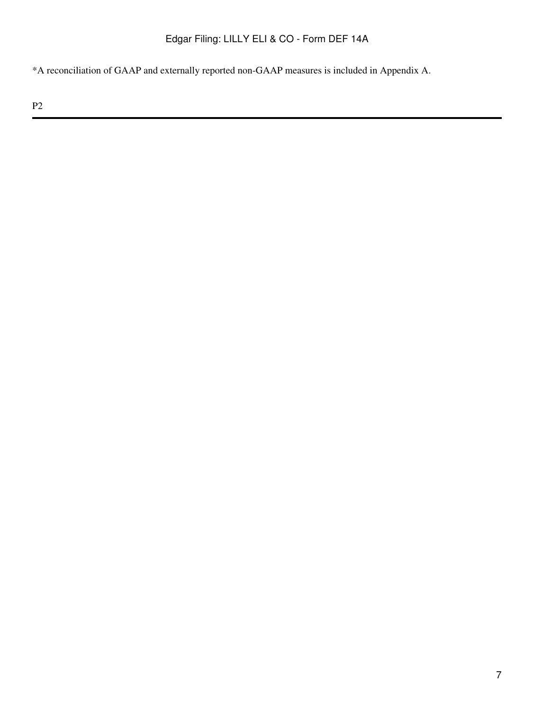\*A reconciliation of GAAP and externally reported non-GAAP measures is included in Appendix A.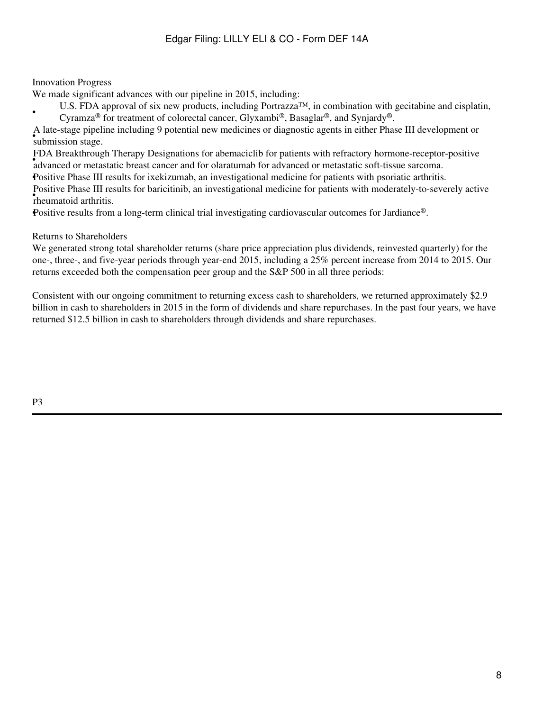## Innovation Progress

•

We made significant advances with our pipeline in 2015, including:

U.S. FDA approval of six new products, including Portrazza<sup>TM</sup>, in combination with gecitabine and cisplatin, Cyramza® for treatment of colorectal cancer, Glyxambi®, Basaglar®, and Synjardy®.

• The suge piper A late-stage pipeline including 9 potential new medicines or diagnostic agents in either Phase III development or

• DA Breakin ough Therapy Designations for advancement for patients with reflactory hormone-receptor advanced or metastatic breast cancer and for olaratumab for advanced or metastatic soft-tissue sarcoma. FDA Breakthrough Therapy Designations for abemaciclib for patients with refractory hormone-receptor-positive

•Positive Phase III results for ixekizumab, an investigational medicine for patients with psoriatic arthritis.

• **CONTROLLANDER**<br> **P**rheumatoid arthritis. Positive Phase III results for baricitinib, an investigational medicine for patients with moderately-to-severely active

•Positive results from a long-term clinical trial investigating cardiovascular outcomes for Jardiance®.

## Returns to Shareholders

We generated strong total shareholder returns (share price appreciation plus dividends, reinvested quarterly) for the one-, three-, and five-year periods through year-end 2015, including a 25% percent increase from 2014 to 2015. Our returns exceeded both the compensation peer group and the S&P 500 in all three periods:

Consistent with our ongoing commitment to returning excess cash to shareholders, we returned approximately \$2.9 billion in cash to shareholders in 2015 in the form of dividends and share repurchases. In the past four years, we have returned \$12.5 billion in cash to shareholders through dividends and share repurchases.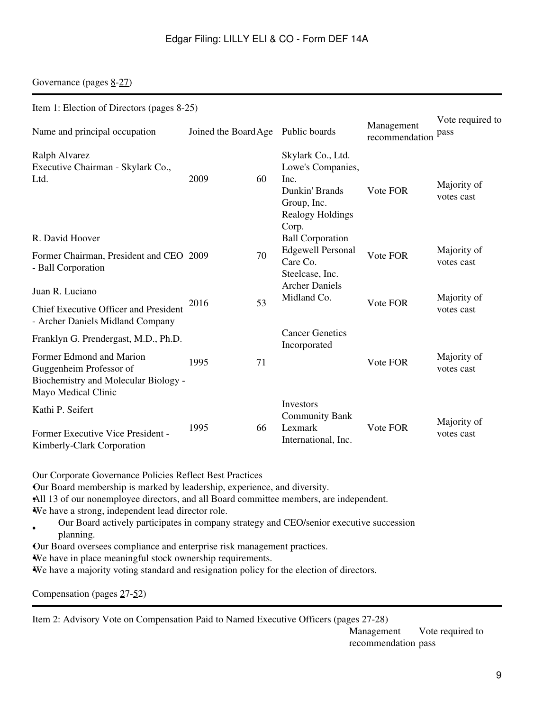Governance (pages  $8-27$ )

| Item 1: Election of Directors (pages 8-25)                                                                                                         |                                    |    |                                                                                                     |                              |                           |
|----------------------------------------------------------------------------------------------------------------------------------------------------|------------------------------------|----|-----------------------------------------------------------------------------------------------------|------------------------------|---------------------------|
| Name and principal occupation                                                                                                                      | Joined the Board Age Public boards |    |                                                                                                     | Management<br>recommendation | Vote required to<br>pass  |
| Ralph Alvarez<br>Executive Chairman - Skylark Co.,<br>Ltd.                                                                                         | 2009                               | 60 | Skylark Co., Ltd.<br>Lowe's Companies,<br>Inc.<br>Dunkin' Brands<br>Group, Inc.<br>Realogy Holdings | Vote FOR                     | Majority of<br>votes cast |
| R. David Hoover<br>Former Chairman, President and CEO 2009<br>- Ball Corporation                                                                   |                                    | 70 | Corp.<br><b>Ball Corporation</b><br><b>Edgewell Personal</b><br>Care Co.<br>Steelcase, Inc.         | Vote FOR                     | Majority of<br>votes cast |
| Juan R. Luciano<br>Chief Executive Officer and President<br>- Archer Daniels Midland Company                                                       | 2016                               | 53 | <b>Archer Daniels</b><br>Midland Co.                                                                | Vote FOR                     | Majority of<br>votes cast |
| Franklyn G. Prendergast, M.D., Ph.D.<br>Former Edmond and Marion<br>Guggenheim Professor of                                                        | 1995                               | 71 | <b>Cancer Genetics</b><br>Incorporated                                                              | Vote FOR                     | Majority of<br>votes cast |
| Biochemistry and Molecular Biology -<br>Mayo Medical Clinic<br>Kathi P. Seifert<br>Former Executive Vice President -<br>Kimberly-Clark Corporation | 1995                               | 66 | Investors<br><b>Community Bank</b><br>Lexmark<br>International, Inc.                                | Vote FOR                     | Majority of<br>votes cast |

Our Corporate Governance Policies Reflect Best Practices

•Our Board membership is marked by leadership, experience, and diversity.

•All 13 of our nonemployee directors, and all Board committee members, are independent.

•We have a strong, independent lead director role.

- Our Board actively participates in company strategy and CEO/senior executive succession planning.
- •Our Board oversees compliance and enterprise risk management practices.

•We have in place meaningful stock ownership requirements.

•We have a majority voting standard and resignation policy for the election of directors.

| Compensation (pages $27-52$ ) |  |  |
|-------------------------------|--|--|
|-------------------------------|--|--|

Item 2: Advisory Vote on Compensation Paid to Named Executive Officers (pages 27-28)

Management recommendation pass Vote required to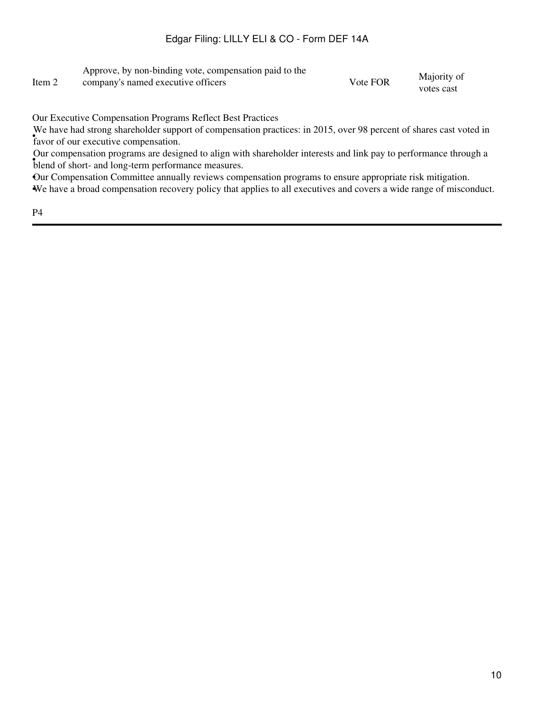|        | Approve, by non-binding vote, compensation paid to the |          |             |
|--------|--------------------------------------------------------|----------|-------------|
| Item 2 | company's named executive officers                     | Vote FOR | Majority of |
|        |                                                        |          | votes cast  |

Our Executive Compensation Programs Reflect Best Practices

• favor of our executive compensation. We have had strong shareholder support of compensation practices: in 2015, over 98 percent of shares cast voted in

• blend of short- and long-term performance measures. Our compensation programs are designed to align with shareholder interests and link pay to performance through a

•Our Compensation Committee annually reviews compensation programs to ensure appropriate risk mitigation.

•We have a broad compensation recovery policy that applies to all executives and covers a wide range of misconduct.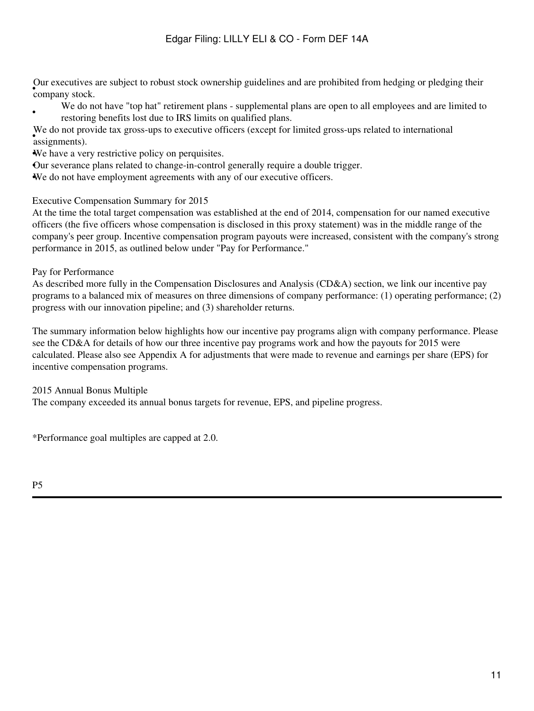• company stock. Our executives are subject to robust stock ownership guidelines and are prohibited from hedging or pledging their

We do not have "top hat" retirement plans - supplemental plans are open to all employees and are limited to restoring benefits lost due to IRS limits on qualified plans.

• assignments). We do not provide tax gross-ups to executive officers (except for limited gross-ups related to international

We have a very restrictive policy on perquisites.

•Our severance plans related to change-in-control generally require a double trigger.

•We do not have employment agreements with any of our executive officers.

Executive Compensation Summary for 2015

At the time the total target compensation was established at the end of 2014, compensation for our named executive officers (the five officers whose compensation is disclosed in this proxy statement) was in the middle range of the company's peer group. Incentive compensation program payouts were increased, consistent with the company's strong performance in 2015, as outlined below under "Pay for Performance."

Pay for Performance

•

As described more fully in the Compensation Disclosures and Analysis (CD&A) section, we link our incentive pay programs to a balanced mix of measures on three dimensions of company performance: (1) operating performance; (2) progress with our innovation pipeline; and (3) shareholder returns.

The summary information below highlights how our incentive pay programs align with company performance. Please see the CD&A for details of how our three incentive pay programs work and how the payouts for 2015 were calculated. Please also see Appendix A for adjustments that were made to revenue and earnings per share (EPS) for incentive compensation programs.

2015 Annual Bonus Multiple

The company exceeded its annual bonus targets for revenue, EPS, and pipeline progress.

\*Performance goal multiples are capped at 2.0.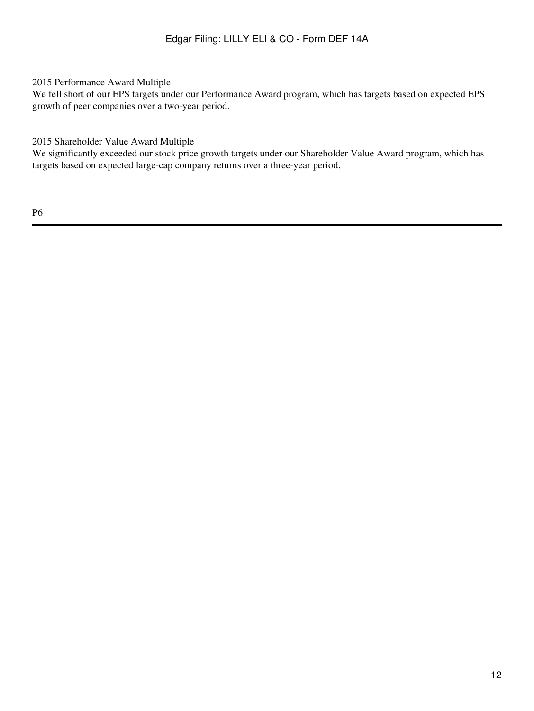## 2015 Performance Award Multiple

We fell short of our EPS targets under our Performance Award program, which has targets based on expected EPS growth of peer companies over a two-year period.

2015 Shareholder Value Award Multiple

We significantly exceeded our stock price growth targets under our Shareholder Value Award program, which has targets based on expected large-cap company returns over a three-year period.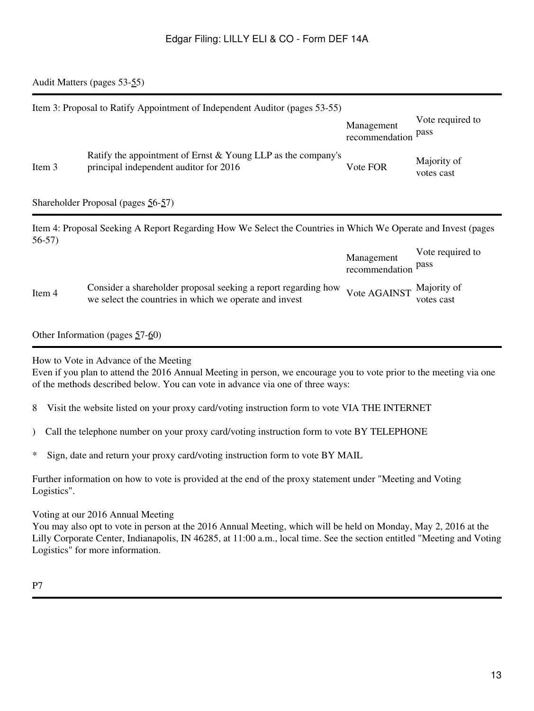## <span id="page-12-0"></span>Audit Matters (pages 53[-55](#page-91-1))

|        | Item 3: Proposal to Ratify Appointment of Independent Auditor (pages 53-55)                              | Management<br>recommendation pass | Vote required to          |
|--------|----------------------------------------------------------------------------------------------------------|-----------------------------------|---------------------------|
| Item 3 | Ratify the appointment of Ernst $&$ Young LLP as the company's<br>principal independent auditor for 2016 | Vote FOR                          | Majority of<br>votes cast |
|        | Shareholder Proposal (pages $56-57$ )                                                                    |                                   |                           |

Item 4: Proposal Seeking A Report Regarding How We Select the Countries in Which We Operate and Invest (pages 56-57)

|        |                                                                                                                                                   | Management<br>recommendation pass | Vote required to |
|--------|---------------------------------------------------------------------------------------------------------------------------------------------------|-----------------------------------|------------------|
| Item 4 | Consider a shareholder proposal seeking a report regarding how Vote AGAINST Majority of<br>we select the countries in which we operate and invest |                                   | votes cast       |

#### Other Information (pages [5](#page-98-0)7[-60](#page-102-0))

How to Vote in Advance of the Meeting

Even if you plan to attend the 2016 Annual Meeting in person, we encourage you to vote prior to the meeting via one of the methods described below. You can vote in advance via one of three ways:

- 8 Visit the website listed on your proxy card/voting instruction form to vote VIA THE INTERNET
- ) Call the telephone number on your proxy card/voting instruction form to vote BY TELEPHONE
- \* Sign, date and return your proxy card/voting instruction form to vote BY MAIL

Further information on how to vote is provided at the end of the proxy statement under "Meeting and Voting Logistics".

#### Voting at our 2016 Annual Meeting

You may also opt to vote in person at the 2016 Annual Meeting, which will be held on Monday, May 2, 2016 at the Lilly Corporate Center, Indianapolis, IN 46285, at 11:00 a.m., local time. See the section entitled "Meeting and Voting Logistics" for more information.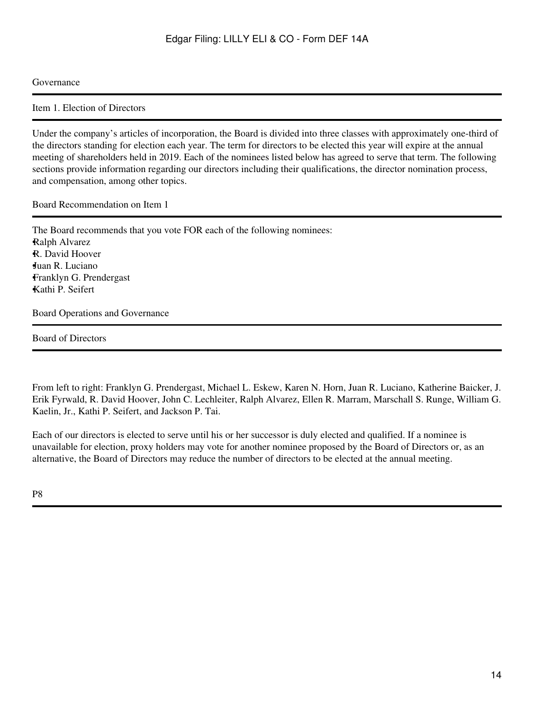#### <span id="page-13-0"></span>Governance

<span id="page-13-1"></span>Item 1. Election of Directors

Under the company's articles of incorporation, the Board is divided into three classes with approximately one-third of the directors standing for election each year. The term for directors to be elected this year will expire at the annual meeting of shareholders held in 2019. Each of the nominees listed below has agreed to serve that term. The following sections provide information regarding our directors including their qualifications, the director nomination process, and compensation, among other topics.

Board Recommendation on Item 1

The Board recommends that you vote FOR each of the following nominees: •Ralph Alvarez •R. David Hoover •Juan R. Luciano •Franklyn G. Prendergast •Kathi P. Seifert

<span id="page-13-2"></span>Board Operations and Governance

Board of Directors

From left to right: Franklyn G. Prendergast, Michael L. Eskew, Karen N. Horn, Juan R. Luciano, Katherine Baicker, J. Erik Fyrwald, R. David Hoover, John C. Lechleiter, Ralph Alvarez, Ellen R. Marram, Marschall S. Runge, William G. Kaelin, Jr., Kathi P. Seifert, and Jackson P. Tai.

Each of our directors is elected to serve until his or her successor is duly elected and qualified. If a nominee is unavailable for election, proxy holders may vote for another nominee proposed by the Board of Directors or, as an alternative, the Board of Directors may reduce the number of directors to be elected at the annual meeting.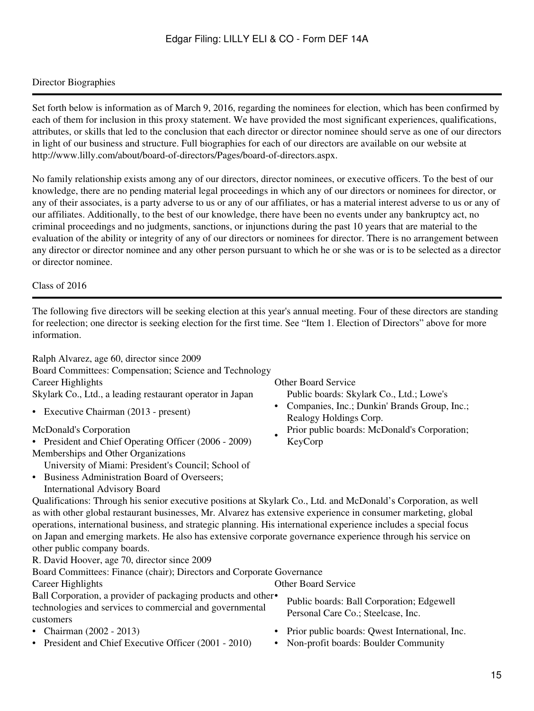## Director Biographies

Set forth below is information as of March 9, 2016, regarding the nominees for election, which has been confirmed by each of them for inclusion in this proxy statement. We have provided the most significant experiences, qualifications, attributes, or skills that led to the conclusion that each director or director nominee should serve as one of our directors in light of our business and structure. Full biographies for each of our directors are available on our website at http://www.lilly.com/about/board-of-directors/Pages/board-of-directors.aspx.

No family relationship exists among any of our directors, director nominees, or executive officers. To the best of our knowledge, there are no pending material legal proceedings in which any of our directors or nominees for director, or any of their associates, is a party adverse to us or any of our affiliates, or has a material interest adverse to us or any of our affiliates. Additionally, to the best of our knowledge, there have been no events under any bankruptcy act, no criminal proceedings and no judgments, sanctions, or injunctions during the past 10 years that are material to the evaluation of the ability or integrity of any of our directors or nominees for director. There is no arrangement between any director or director nominee and any other person pursuant to which he or she was or is to be selected as a director or director nominee.

Class of 2016

The following five directors will be seeking election at this year's annual meeting. Four of these directors are standing for reelection; one director is seeking election for the first time. See "Item 1. Election of Directors" above for more information.

Ralph Alvarez, age 60, director since 2009 Board Committees: Compensation; Science and Technology Career Highlights Other Board Service Skylark Co., Ltd., a leading restaurant operator in Japan • Public boards: Skylark Co., Ltd.; Lowe's Companies, Inc.; Dunkin' Brands Group, Inc.; • Executive Chairman (2013 - present)<br>Realogy Holdings Corp. McDonald's Corporation • Prior public boards: McDonald's Corporation; • President and Chief Operating Officer (2006 - 2009) KeyCorp Memberships and Other Organizations • Business Administration Board of Overseers; University of Miami: President's Council; School of International Advisory Board Qualifications: Through his senior executive positions at Skylark Co., Ltd. and McDonald's Corporation, as well as with other global restaurant businesses, Mr. Alvarez has extensive experience in consumer marketing, global operations, international business, and strategic planning. His international experience includes a special focus on Japan and emerging markets. He also has extensive corporate governance experience through his service on other public company boards. R. David Hoover, age 70, director since 2009 Board Committees: Finance (chair); Directors and Corporate Governance Career Highlights Other Board Service Ball Corporation, a provider of packaging products and other• technologies and services to commercial and governmental customers Public boards: Ball Corporation; Edgewell Personal Care Co.; Steelcase, Inc.

- 
- President and Chief Executive Officer (2001 2010) Non-profit boards: Boulder Community
- Chairman (2002 2013) Prior public boards: Qwest International, Inc.
	-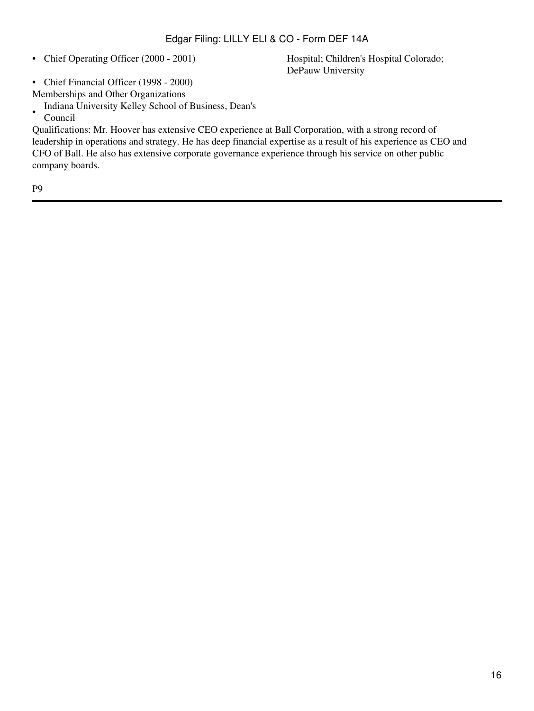• Chief Operating Officer (2000 - 2001)

Hospital; Children's Hospital Colorado; DePauw University

- Chief Financial Officer (1998 2000) Memberships and Other Organizations
- Indiana University Kelley School of Business, Dean's
- Council

Qualifications: Mr. Hoover has extensive CEO experience at Ball Corporation, with a strong record of leadership in operations and strategy. He has deep financial expertise as a result of his experience as CEO and CFO of Ball. He also has extensive corporate governance experience through his service on other public company boards.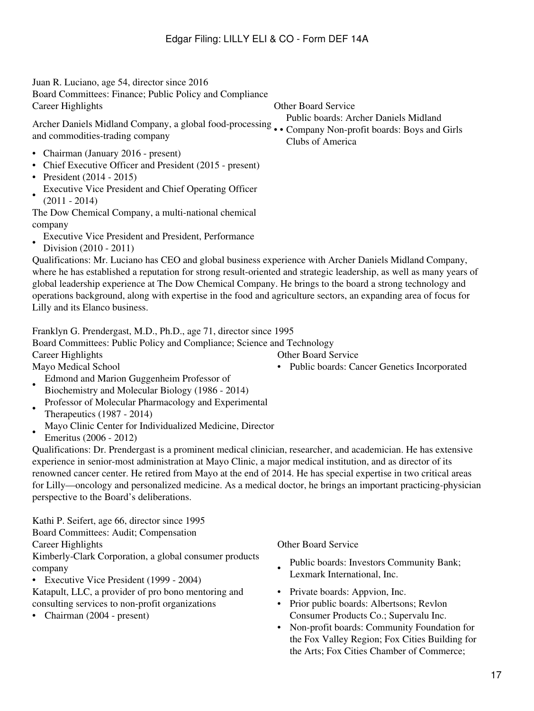| Juan R. Luciano, age 54, director since 2016<br>Board Committees: Finance; Public Policy and Compliance<br>Career Highlights                                                                                                                                                                                                                                                                                                                                                                                                                | <b>Other Board Service</b>                                               |
|---------------------------------------------------------------------------------------------------------------------------------------------------------------------------------------------------------------------------------------------------------------------------------------------------------------------------------------------------------------------------------------------------------------------------------------------------------------------------------------------------------------------------------------------|--------------------------------------------------------------------------|
| Archer Daniels Midland Company, a global food-processing  Company Non-profit boards: Boys and Girls<br>and commodities-trading company                                                                                                                                                                                                                                                                                                                                                                                                      | Public boards: Archer Daniels Midland<br>Clubs of America                |
| • Chairman (January 2016 - present)<br>• Chief Executive Officer and President (2015 - present)<br>• President $(2014 - 2015)$<br>Executive Vice President and Chief Operating Officer<br>$(2011 - 2014)$<br>The Dow Chemical Company, a multi-national chemical<br>company<br>Executive Vice President and President, Performance                                                                                                                                                                                                          |                                                                          |
| Division (2010 - 2011)<br>Qualifications: Mr. Luciano has CEO and global business experience with Archer Daniels Midland Company,<br>where he has established a reputation for strong result-oriented and strategic leadership, as well as many years of<br>global leadership experience at The Dow Chemical Company. He brings to the board a strong technology and<br>operations background, along with expertise in the food and agriculture sectors, an expanding area of focus for<br>Lilly and its Elanco business.                   |                                                                          |
| Franklyn G. Prendergast, M.D., Ph.D., age 71, director since 1995<br>Board Committees: Public Policy and Compliance; Science and Technology                                                                                                                                                                                                                                                                                                                                                                                                 |                                                                          |
| <b>Career Highlights</b>                                                                                                                                                                                                                                                                                                                                                                                                                                                                                                                    | <b>Other Board Service</b>                                               |
| Mayo Medical School<br>Edmond and Marion Guggenheim Professor of<br>Biochemistry and Molecular Biology (1986 - 2014)<br>Professor of Molecular Pharmacology and Experimental<br>Therapeutics (1987 - 2014)<br>Mayo Clinic Center for Individualized Medicine, Director                                                                                                                                                                                                                                                                      | Public boards: Cancer Genetics Incorporated                              |
| Emeritus (2006 - 2012)<br>Qualifications: Dr. Prendergast is a prominent medical clinician, researcher, and academician. He has extensive<br>experience in senior-most administration at Mayo Clinic, a major medical institution, and as director of its<br>renowned cancer center. He retired from Mayo at the end of 2014. He has special expertise in two critical areas<br>for Lilly—oncology and personalized medicine. As a medical doctor, he brings an important practicing-physician<br>perspective to the Board's deliberations. |                                                                          |
| Kathi P. Seifert, age 66, director since 1995<br>Board Committees: Audit; Compensation<br><b>Career Highlights</b>                                                                                                                                                                                                                                                                                                                                                                                                                          | Other Board Service                                                      |
| Kimberly-Clark Corporation, a global consumer products<br>company<br>• Executive Vice President (1999 - 2004)                                                                                                                                                                                                                                                                                                                                                                                                                               | Public boards: Investors Community Bank;<br>Lexmark International, Inc.  |
| Katapult, LLC, a provider of pro bono mentoring and<br>consulting services to non-profit organizations                                                                                                                                                                                                                                                                                                                                                                                                                                      | Private boards: Appvion, Inc.<br>Prior public boards: Albertsons; Revlon |

- 
- Chairman (2004 present) Consumer Products Co.; Supervalu Inc.
	- Non-profit boards: Community Foundation for the Fox Valley Region; Fox Cities Building for the Arts; Fox Cities Chamber of Commerce;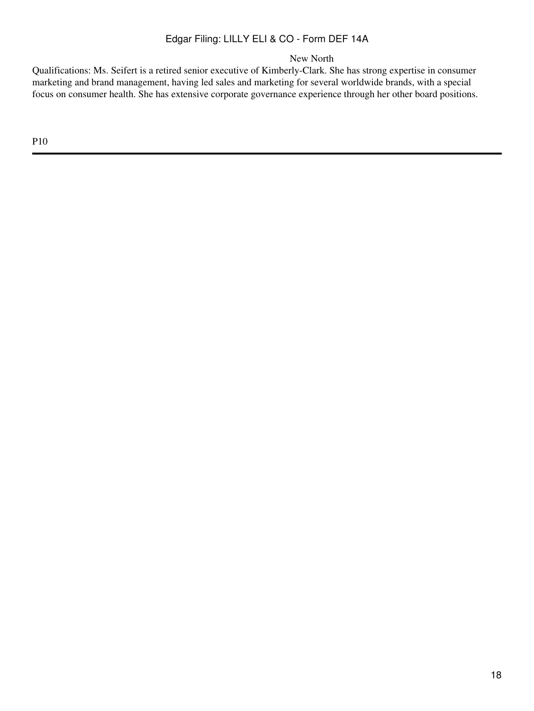New North

Qualifications: Ms. Seifert is a retired senior executive of Kimberly-Clark. She has strong expertise in consumer marketing and brand management, having led sales and marketing for several worldwide brands, with a special focus on consumer health. She has extensive corporate governance experience through her other board positions.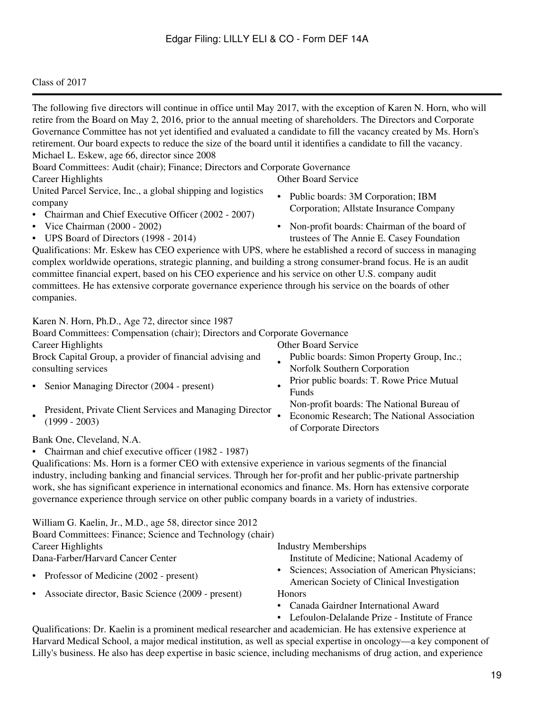## Class of 2017

| The following five directors will continue in office until May 2017, with the exception of Karen N. Horn, who will<br>retire from the Board on May 2, 2016, prior to the annual meeting of shareholders. The Directors and Corporate<br>Governance Committee has not yet identified and evaluated a candidate to fill the vacancy created by Ms. Horn's<br>retirement. Our board expects to reduce the size of the board until it identifies a candidate to fill the vacancy.<br>Michael L. Eskew, age 66, director since 2008                  |                                                                                                                                                |
|-------------------------------------------------------------------------------------------------------------------------------------------------------------------------------------------------------------------------------------------------------------------------------------------------------------------------------------------------------------------------------------------------------------------------------------------------------------------------------------------------------------------------------------------------|------------------------------------------------------------------------------------------------------------------------------------------------|
| Board Committees: Audit (chair); Finance; Directors and Corporate Governance<br>Career Highlights                                                                                                                                                                                                                                                                                                                                                                                                                                               | <b>Other Board Service</b>                                                                                                                     |
| United Parcel Service, Inc., a global shipping and logistics<br>company<br>Chairman and Chief Executive Officer (2002 - 2007)                                                                                                                                                                                                                                                                                                                                                                                                                   | Public boards: 3M Corporation; IBM<br>$\bullet$<br>Corporation; Allstate Insurance Company                                                     |
| Vice Chairman (2000 - 2002)<br>UPS Board of Directors (1998 - 2014)<br>$\bullet$<br>Qualifications: Mr. Eskew has CEO experience with UPS, where he established a record of success in managing<br>complex worldwide operations, strategic planning, and building a strong consumer-brand focus. He is an audit<br>committee financial expert, based on his CEO experience and his service on other U.S. company audit<br>committees. He has extensive corporate governance experience through his service on the boards of other<br>companies. | Non-profit boards: Chairman of the board of<br>trustees of The Annie E. Casey Foundation                                                       |
| Karen N. Horn, Ph.D., Age 72, director since 1987<br>Board Committees: Compensation (chair); Directors and Corporate Governance<br>Career Highlights<br>Brock Capital Group, a provider of financial advising and<br>consulting services                                                                                                                                                                                                                                                                                                        | <b>Other Board Service</b><br>Public boards: Simon Property Group, Inc.;<br>Norfolk Southern Corporation                                       |
| Senior Managing Director (2004 - present)<br>President, Private Client Services and Managing Director<br>$(1999 - 2003)$                                                                                                                                                                                                                                                                                                                                                                                                                        | Prior public boards: T. Rowe Price Mutual<br>Funds<br>Non-profit boards: The National Bureau of<br>Economic Research; The National Association |
| Bank One, Cleveland, N.A.<br>Chairman and chief executive officer (1982 - 1987)<br>Qualifications: Ms. Horn is a former CEO with extensive experience in various segments of the financial<br>industry, including banking and financial services. Through her for-profit and her public-private partnership<br>work, she has significant experience in international economics and finance. Ms. Horn has extensive corporate<br>governance experience through service on other public company boards in a variety of industries.                | of Corporate Directors                                                                                                                         |
| William G. Kaelin, Jr., M.D., age 58, director since 2012<br>Board Committees: Finance; Science and Technology (chair)<br>Career Highlights<br>Dana-Farber/Harvard Cancer Center                                                                                                                                                                                                                                                                                                                                                                | <b>Industry Memberships</b><br>Institute of Medicine; National Academy of                                                                      |
| Professor of Medicine (2002 - present)                                                                                                                                                                                                                                                                                                                                                                                                                                                                                                          | Sciences; Association of American Physicians;<br>American Society of Clinical Investigation                                                    |
| Associate director, Basic Science (2009 - present)                                                                                                                                                                                                                                                                                                                                                                                                                                                                                              | Honors<br>Canada Gairdner International Award<br>Lefoulon-Delalande Prize - Institute of France                                                |
| Qualifications: Dr. Kaelin is a prominent medical researcher and academician. He has extensive experience at<br>Harvard Medical School, a major medical institution, as well as special expertise in oncology—a key component of<br>Lilly's business. He also has deep expertise in basic science, including mechanisms of drug action, and experience                                                                                                                                                                                          |                                                                                                                                                |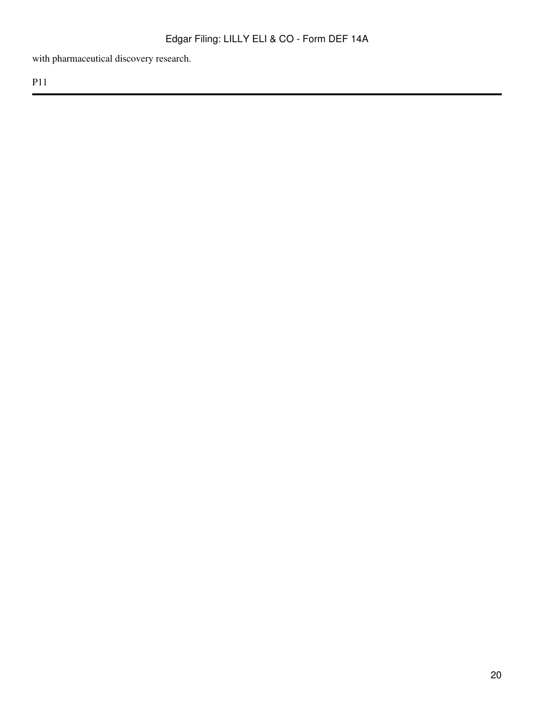with pharmaceutical discovery research.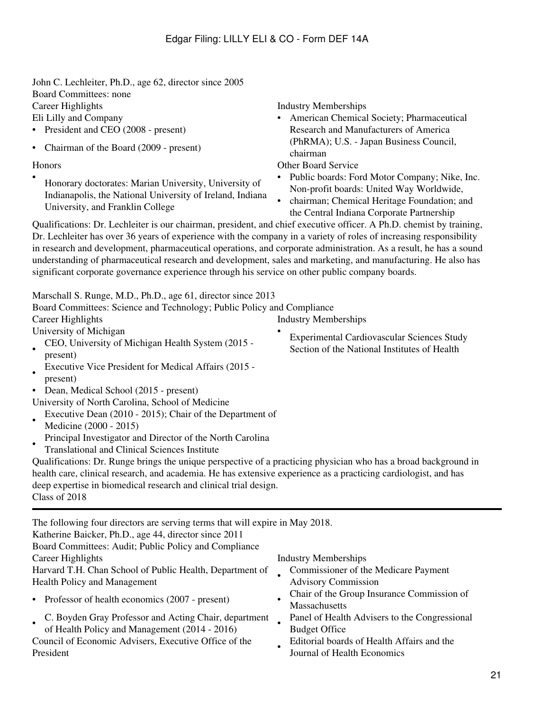John C. Lechleiter, Ph.D., age 62, director since 2005 Board Committees: none Career Highlights **Industry Memberships** Eli Lilly and Company • American Chemical Society; Pharmaceutical • President and CEO (2008 - present)

• Chairman of the Board (2009 - present)

• Honorary doctorates: Marian University, University of Indianapolis, the National University of Ireland, Indiana University, and Franklin College

Research and Manufacturers of America (PhRMA); U.S. - Japan Business Council, chairman

Honors Other Board Service

- Public boards: Ford Motor Company; Nike, Inc. Non-profit boards: United Way Worldwide,
- chairman; Chemical Heritage Foundation; and the Central Indiana Corporate Partnership

Qualifications: Dr. Lechleiter is our chairman, president, and chief executive officer. A Ph.D. chemist by training, Dr. Lechleiter has over 36 years of experience with the company in a variety of roles of increasing responsibility in research and development, pharmaceutical operations, and corporate administration. As a result, he has a sound understanding of pharmaceutical research and development, sales and marketing, and manufacturing. He also has significant corporate governance experience through his service on other public company boards.

Marschall S. Runge, M.D., Ph.D., age 61, director since 2013

| Board Committees: Science and Technology; Public Policy and Compliance |                             |
|------------------------------------------------------------------------|-----------------------------|
| Career Highlights                                                      | <b>Industry Memberships</b> |
| University of Michigan                                                 | Experimental Cardiovas      |

- Section of the National Institutes of Health CEO, University of Michigan Health System (2015 present)
- Executive Vice President for Medical Affairs (2015 present)
- Dean, Medical School (2015 present)

University of North Carolina, School of Medicine

- Executive Dean (2010 - 2015); Chair of the Department of Medicine (2000 - 2015)
- Principal Investigator and Director of the North Carolina
- Translational and Clinical Sciences Institute

Qualifications: Dr. Runge brings the unique perspective of a practicing physician who has a broad background in health care, clinical research, and academia. He has extensive experience as a practicing cardiologist, and has deep expertise in biomedical research and clinical trial design. Class of 2018

The following four directors are serving terms that will expire in May 2018. Katherine Baicker, Ph.D., age 44, director since 2011 Board Committees: Audit; Public Policy and Compliance Career Highlights Industry Memberships Harvard T.H. Chan School of Public Health, Department of Health Policy and Management •

- Professor of health economics (2007 present)
	- C. Boyden Gray Professor and Acting Chair, department
- of Health Policy and Management (2014 - 2016) • Council of Economic Advisers, Executive Office of the President •

- Commissioner of the Medicare Payment Advisory Commission
- Chair of the Group Insurance Commission of **Massachusetts**
- Panel of Health Advisers to the Congressional Budget Office
- Editorial boards of Health Affairs and the Journal of Health Economics

Experimental Cardiovascular Sciences Study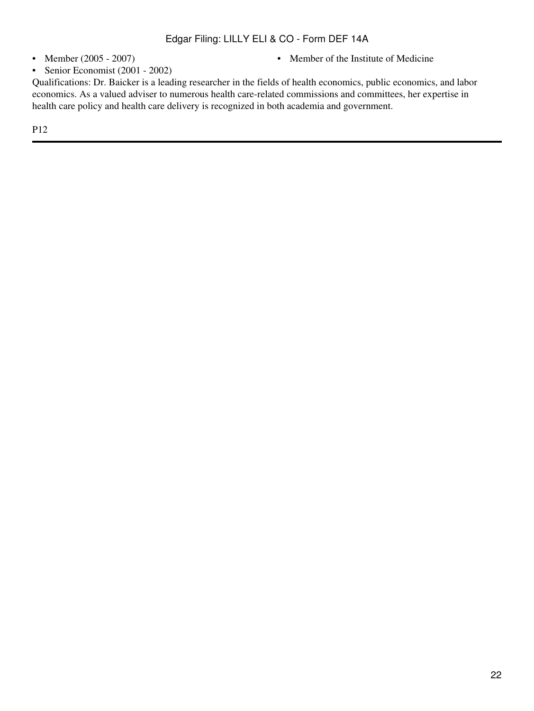- 
- Member (2005 2007) Member of the Institute of Medicine
- Senior Economist (2001 2002)

Qualifications: Dr. Baicker is a leading researcher in the fields of health economics, public economics, and labor economics. As a valued adviser to numerous health care-related commissions and committees, her expertise in health care policy and health care delivery is recognized in both academia and government.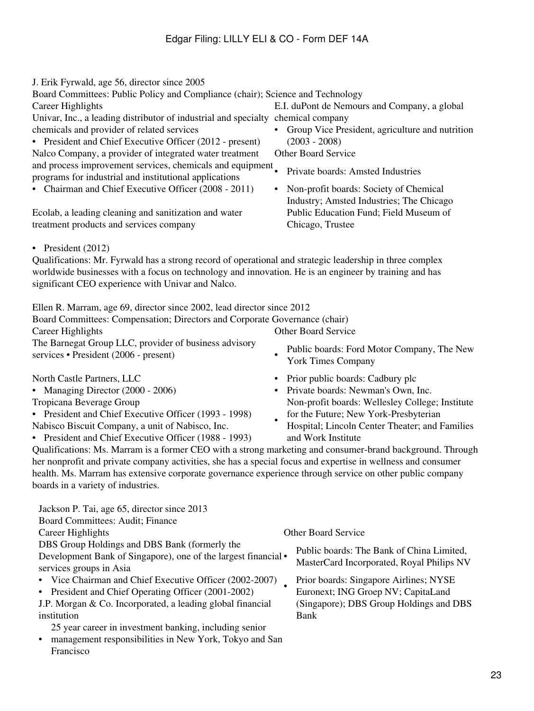J. Erik Fyrwald, age 56, director since 2005 Board Committees: Public Policy and Compliance (chair); Science and Technology Career Highlights E.I. duPont de Nemours and Company, a global Univar, Inc., a leading distributor of industrial and specialty chemical company chemicals and provider of related services • Group Vice President, agriculture and nutrition • President and Chief Executive Officer (2012 - present) (2003 - 2008) Nalco Company, a provider of integrated water treatment Other Board Service

and process improvement services, chemicals and equipment • Private boards: Amsted Industries

- Chairman and Chief Executive Officer (2008 2011) Non-profit boards: Society of Chemical Industry; Amsted Industries; The Chicago Public Education Fund; Field Museum of Chicago, Trustee
- President (2012)

Qualifications: Mr. Fyrwald has a strong record of operational and strategic leadership in three complex worldwide businesses with a focus on technology and innovation. He is an engineer by training and has significant CEO experience with Univar and Nalco.

Ellen R. Marram, age 69, director since 2002, lead director since 2012 Board Committees: Compensation; Directors and Corporate Governance (chair) Career Highlights Other Board Service The Barnegat Group LLC, provider of business advisory services • President (2006 - present)

- 
- Tropicana Beverage Group

Francisco

- President and Chief Executive Officer (1993 1998)
- Nabisco Biscuit Company, a unit of Nabisco, Inc.

programs for industrial and institutional applications

Ecolab, a leading cleaning and sanitization and water

treatment products and services company

- President and Chief Executive Officer (1988 1993)
- Public boards: Ford Motor Company, The New York Times Company
- North Castle Partners, LLC Prior public boards: Cadbury plc
- Managing Director (2000 2006) Private boards: Newman's Own, Inc. Non-profit boards: Wellesley College; Institute for the Future; New York-Presbyterian
	- Hospital; Lincoln Center Theater; and Families and Work Institute

Qualifications: Ms. Marram is a former CEO with a strong marketing and consumer-brand background. Through her nonprofit and private company activities, she has a special focus and expertise in wellness and consumer health. Ms. Marram has extensive corporate governance experience through service on other public company boards in a variety of industries.

| Jackson P. Tai, age 65, director since 2013                         |                                           |
|---------------------------------------------------------------------|-------------------------------------------|
| Board Committees: Audit; Finance                                    |                                           |
| Career Highlights                                                   | <b>Other Board Service</b>                |
| DBS Group Holdings and DBS Bank (formerly the                       | Public boards: The Bank of China Limited, |
| Development Bank of Singapore), one of the largest financial •      | MasterCard Incorporated, Royal Philips NV |
| services groups in Asia                                             |                                           |
| • Vice Chairman and Chief Executive Officer (2002-2007)             | Prior boards: Singapore Airlines; NYSE    |
| • President and Chief Operating Officer (2001-2002)                 | Euronext; ING Groep NV; CapitaLand        |
| J.P. Morgan & Co. Incorporated, a leading global financial          | (Singapore); DBS Group Holdings and DBS   |
| institution                                                         | Bank                                      |
| 25 year career in investment banking, including senior              |                                           |
| management responsibilities in New York, Tokyo and San<br>$\bullet$ |                                           |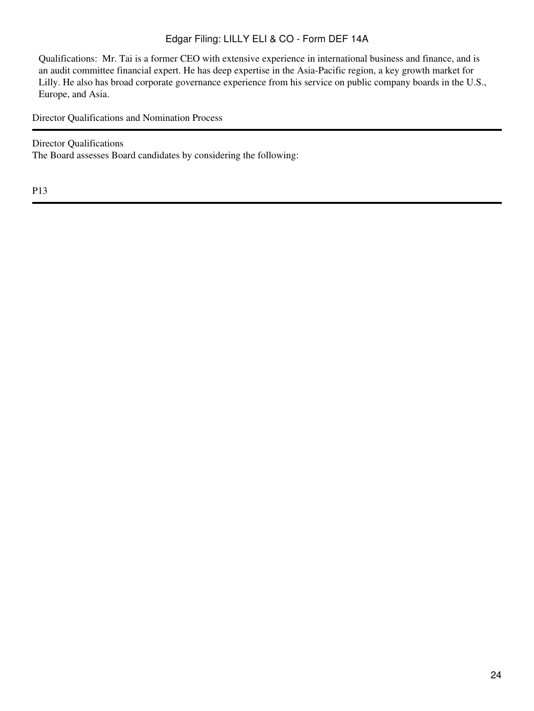Qualifications: Mr. Tai is a former CEO with extensive experience in international business and finance, and is an audit committee financial expert. He has deep expertise in the Asia-Pacific region, a key growth market for Lilly. He also has broad corporate governance experience from his service on public company boards in the U.S., Europe, and Asia.

<span id="page-23-0"></span>Director Qualifications and Nomination Process

Director Qualifications The Board assesses Board candidates by considering the following: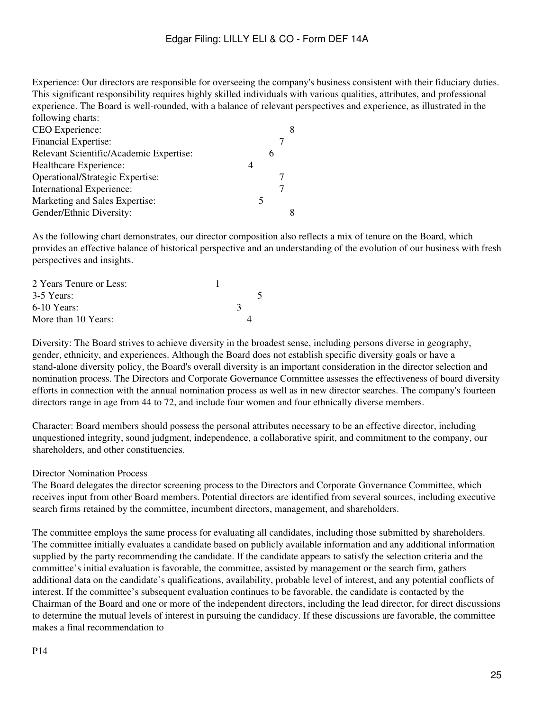Experience: Our directors are responsible for overseeing the company's business consistent with their fiduciary duties. This significant responsibility requires highly skilled individuals with various qualities, attributes, and professional experience. The Board is well-rounded, with a balance of relevant perspectives and experience, as illustrated in the following charts:

| CEO Experience:                         |   |  |
|-----------------------------------------|---|--|
| <b>Financial Expertise:</b>             |   |  |
| Relevant Scientific/Academic Expertise: | h |  |
| Healthcare Experience:                  |   |  |
| Operational/Strategic Expertise:        |   |  |
| International Experience:               |   |  |
| Marketing and Sales Expertise:          |   |  |
| Gender/Ethnic Diversity:                |   |  |

As the following chart demonstrates, our director composition also reflects a mix of tenure on the Board, which provides an effective balance of historical perspective and an understanding of the evolution of our business with fresh perspectives and insights.

| 2 Years Tenure or Less: |  |  |
|-------------------------|--|--|
| 3-5 Years:              |  |  |
| $6-10$ Years:           |  |  |
| More than 10 Years:     |  |  |

Diversity: The Board strives to achieve diversity in the broadest sense, including persons diverse in geography, gender, ethnicity, and experiences. Although the Board does not establish specific diversity goals or have a stand-alone diversity policy, the Board's overall diversity is an important consideration in the director selection and nomination process. The Directors and Corporate Governance Committee assesses the effectiveness of board diversity efforts in connection with the annual nomination process as well as in new director searches. The company's fourteen directors range in age from 44 to 72, and include four women and four ethnically diverse members.

Character: Board members should possess the personal attributes necessary to be an effective director, including unquestioned integrity, sound judgment, independence, a collaborative spirit, and commitment to the company, our shareholders, and other constituencies.

## Director Nomination Process

The Board delegates the director screening process to the Directors and Corporate Governance Committee, which receives input from other Board members. Potential directors are identified from several sources, including executive search firms retained by the committee, incumbent directors, management, and shareholders.

The committee employs the same process for evaluating all candidates, including those submitted by shareholders. The committee initially evaluates a candidate based on publicly available information and any additional information supplied by the party recommending the candidate. If the candidate appears to satisfy the selection criteria and the committee's initial evaluation is favorable, the committee, assisted by management or the search firm, gathers additional data on the candidate's qualifications, availability, probable level of interest, and any potential conflicts of interest. If the committee's subsequent evaluation continues to be favorable, the candidate is contacted by the Chairman of the Board and one or more of the independent directors, including the lead director, for direct discussions to determine the mutual levels of interest in pursuing the candidacy. If these discussions are favorable, the committee makes a final recommendation to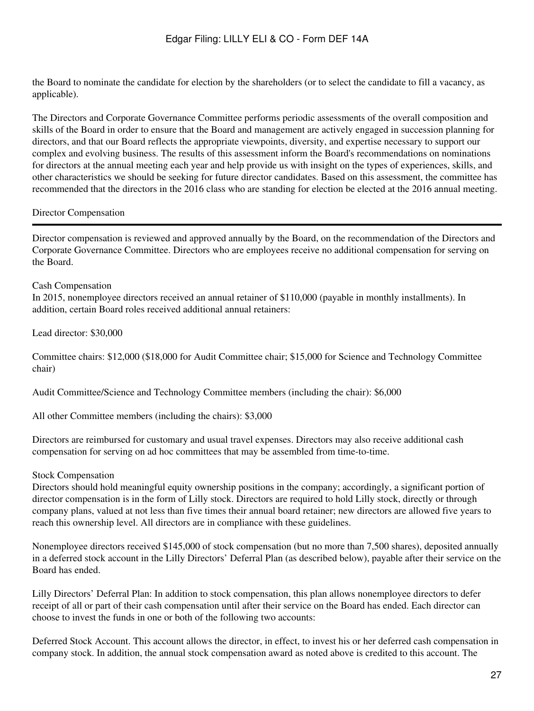the Board to nominate the candidate for election by the shareholders (or to select the candidate to fill a vacancy, as applicable).

The Directors and Corporate Governance Committee performs periodic assessments of the overall composition and skills of the Board in order to ensure that the Board and management are actively engaged in succession planning for directors, and that our Board reflects the appropriate viewpoints, diversity, and expertise necessary to support our complex and evolving business. The results of this assessment inform the Board's recommendations on nominations for directors at the annual meeting each year and help provide us with insight on the types of experiences, skills, and other characteristics we should be seeking for future director candidates. Based on this assessment, the committee has recommended that the directors in the 2016 class who are standing for election be elected at the 2016 annual meeting.

#### <span id="page-26-0"></span>Director Compensation

Director compensation is reviewed and approved annually by the Board, on the recommendation of the Directors and Corporate Governance Committee. Directors who are employees receive no additional compensation for serving on the Board.

#### Cash Compensation

In 2015, nonemployee directors received an annual retainer of \$110,000 (payable in monthly installments). In addition, certain Board roles received additional annual retainers:

Lead director: \$30,000

Committee chairs: \$12,000 (\$18,000 for Audit Committee chair; \$15,000 for Science and Technology Committee chair)

Audit Committee/Science and Technology Committee members (including the chair): \$6,000

All other Committee members (including the chairs): \$3,000

Directors are reimbursed for customary and usual travel expenses. Directors may also receive additional cash compensation for serving on ad hoc committees that may be assembled from time-to-time.

#### Stock Compensation

Directors should hold meaningful equity ownership positions in the company; accordingly, a significant portion of director compensation is in the form of Lilly stock. Directors are required to hold Lilly stock, directly or through company plans, valued at not less than five times their annual board retainer; new directors are allowed five years to reach this ownership level. All directors are in compliance with these guidelines.

Nonemployee directors received \$145,000 of stock compensation (but no more than 7,500 shares), deposited annually in a deferred stock account in the Lilly Directors' Deferral Plan (as described below), payable after their service on the Board has ended.

Lilly Directors' Deferral Plan: In addition to stock compensation, this plan allows nonemployee directors to defer receipt of all or part of their cash compensation until after their service on the Board has ended. Each director can choose to invest the funds in one or both of the following two accounts:

Deferred Stock Account. This account allows the director, in effect, to invest his or her deferred cash compensation in company stock. In addition, the annual stock compensation award as noted above is credited to this account. The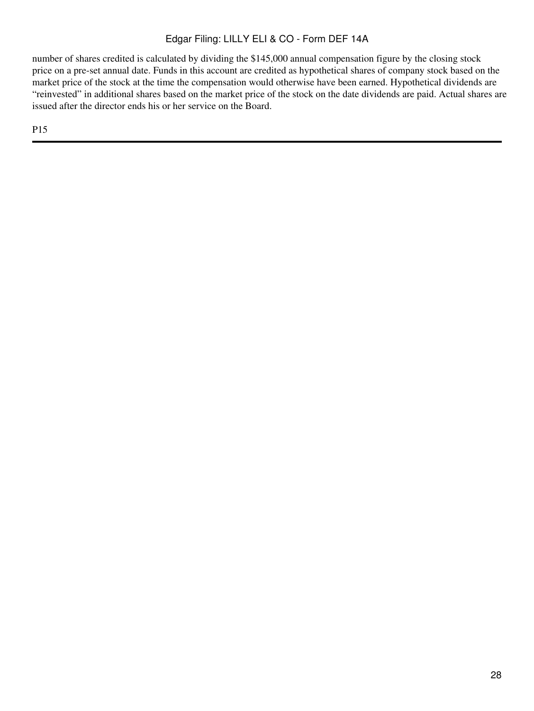number of shares credited is calculated by dividing the \$145,000 annual compensation figure by the closing stock price on a pre-set annual date. Funds in this account are credited as hypothetical shares of company stock based on the market price of the stock at the time the compensation would otherwise have been earned. Hypothetical dividends are "reinvested" in additional shares based on the market price of the stock on the date dividends are paid. Actual shares are issued after the director ends his or her service on the Board.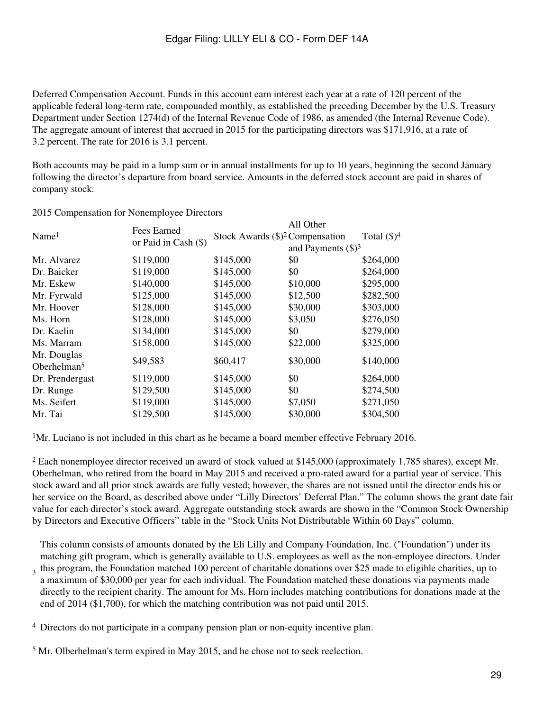Deferred Compensation Account. Funds in this account earn interest each year at a rate of 120 percent of the applicable federal long-term rate, compounded monthly, as established the preceding December by the U.S. Treasury Department under Section 1274(d) of the Internal Revenue Code of 1986, as amended (the Internal Revenue Code). The aggregate amount of interest that accrued in 2015 for the participating directors was \$171,916, at a rate of 3.2 percent. The rate for 2016 is 3.1 percent.

Both accounts may be paid in a lump sum or in annual installments for up to 10 years, beginning the second January following the director's departure from board service. Amounts in the deferred stock account are paid in shares of company stock.

|                               | Fees Earned          | All Other                                |                              |                |  |  |
|-------------------------------|----------------------|------------------------------------------|------------------------------|----------------|--|--|
| Name <sup>1</sup>             |                      | Stock Awards $(\text{$})^2$ Compensation |                              | Total $(\$)^4$ |  |  |
|                               | or Paid in Cash (\$) |                                          | and Payments $(\text{\$})^3$ |                |  |  |
| Mr. Alvarez                   | \$119,000            | \$145,000                                | \$0                          | \$264,000      |  |  |
| Dr. Baicker                   | \$119,000            | \$145,000                                | \$0                          | \$264,000      |  |  |
| Mr. Eskew                     | \$140,000            | \$145,000                                | \$10,000                     | \$295,000      |  |  |
| Mr. Fyrwald                   | \$125,000            | \$145,000                                | \$12,500                     | \$282,500      |  |  |
| Mr. Hoover                    | \$128,000            | \$145,000                                | \$30,000                     | \$303,000      |  |  |
| Ms. Horn                      | \$128,000            | \$145,000                                | \$3,050                      | \$276,050      |  |  |
| Dr. Kaelin                    | \$134,000            | \$145,000                                | \$0                          | \$279,000      |  |  |
| Ms. Marram                    | \$158,000            | \$145,000                                | \$22,000                     | \$325,000      |  |  |
| Mr. Douglas<br>Oberhelman $5$ | \$49,583             | \$60,417                                 | \$30,000                     | \$140,000      |  |  |
| Dr. Prendergast               | \$119,000            | \$145,000                                | \$0                          | \$264,000      |  |  |
| Dr. Runge                     | \$129,500            | \$145,000                                | \$0                          | \$274,500      |  |  |
| Ms. Seifert                   | \$119,000            | \$145,000                                | \$7,050                      | \$271,050      |  |  |
| Mr. Tai                       | \$129,500            | \$145,000                                | \$30,000                     | \$304,500      |  |  |

2015 Compensation for Nonemployee Directors

<sup>1</sup>Mr. Luciano is not included in this chart as he became a board member effective February 2016.

<sup>2</sup> Each nonemployee director received an award of stock valued at \$145,000 (approximately 1,785 shares), except Mr. Oberhelman, who retired from the board in May 2015 and received a pro-rated award for a partial year of service. This stock award and all prior stock awards are fully vested; however, the shares are not issued until the director ends his or her service on the Board, as described above under "Lilly Directors' Deferral Plan." The column shows the grant date fair value for each director's stock award. Aggregate outstanding stock awards are shown in the "Common Stock Ownership by Directors and Executive Officers" table in the "Stock Units Not Distributable Within 60 Days" column.

3 This column consists of amounts donated by the Eli Lilly and Company Foundation, Inc. ("Foundation") under its matching gift program, which is generally available to U.S. employees as well as the non-employee directors. Under this program, the Foundation matched 100 percent of charitable donations over \$25 made to eligible charities, up to a maximum of \$30,000 per year for each individual. The Foundation matched these donations via payments made directly to the recipient charity. The amount for Ms. Horn includes matching contributions for donations made at the end of 2014 (\$1,700), for which the matching contribution was not paid until 2015.

<sup>4</sup> Directors do not participate in a company pension plan or non-equity incentive plan.

<sup>5</sup> Mr. Olberhelman's term expired in May 2015, and he chose not to seek reelection.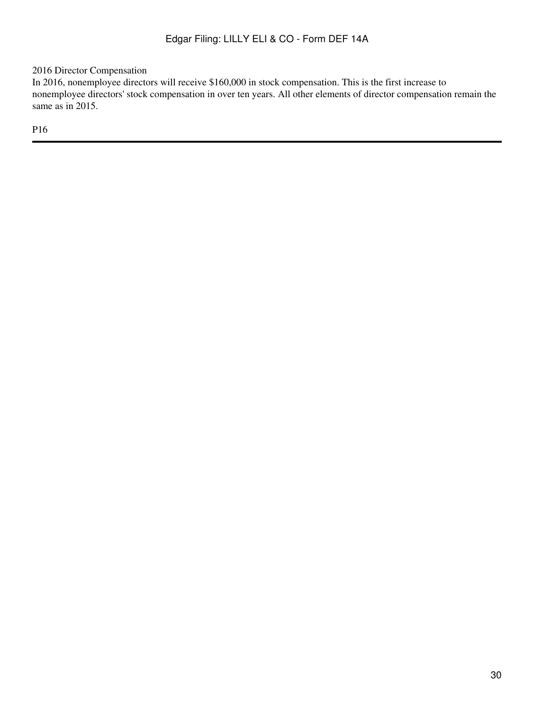2016 Director Compensation

In 2016, nonemployee directors will receive \$160,000 in stock compensation. This is the first increase to nonemployee directors' stock compensation in over ten years. All other elements of director compensation remain the same as in 2015.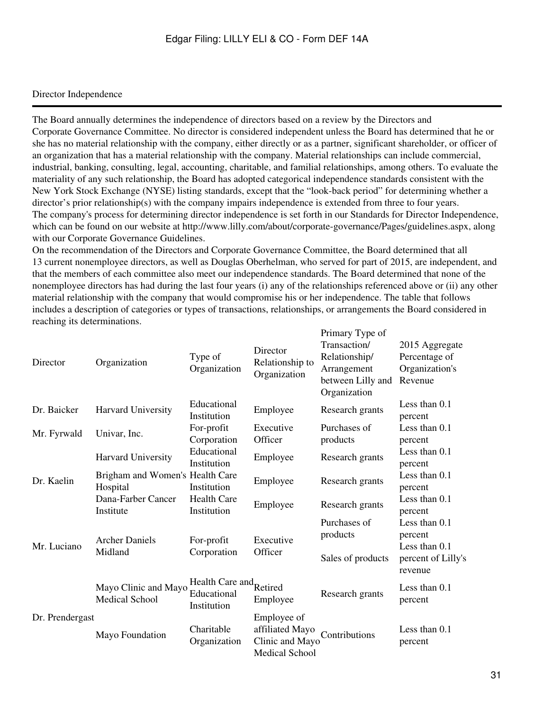## <span id="page-30-0"></span>Director Independence

The Board annually determines the independence of directors based on a review by the Directors and Corporate Governance Committee. No director is considered independent unless the Board has determined that he or she has no material relationship with the company, either directly or as a partner, significant shareholder, or officer of an organization that has a material relationship with the company. Material relationships can include commercial, industrial, banking, consulting, legal, accounting, charitable, and familial relationships, among others. To evaluate the materiality of any such relationship, the Board has adopted categorical independence standards consistent with the New York Stock Exchange (NYSE) listing standards, except that the "look-back period" for determining whether a director's prior relationship(s) with the company impairs independence is extended from three to four years. The company's process for determining director independence is set forth in our Standards for Director Independence, which can be found on our website at http://www.lilly.com/about/corporate-governance/Pages/guidelines.aspx, along with our Corporate Governance Guidelines.

On the recommendation of the Directors and Corporate Governance Committee, the Board determined that all 13 current nonemployee directors, as well as Douglas Oberhelman, who served for part of 2015, are independent, and that the members of each committee also meet our independence standards. The Board determined that none of the nonemployee directors has had during the last four years (i) any of the relationships referenced above or (ii) any other material relationship with the company that would compromise his or her independence. The table that follows includes a description of categories or types of transactions, relationships, or arrangements the Board considered in reaching its determinations. Primary Type of

| Director        | Organization                                                                   | Type of<br>Organization                               | Director<br>Relationship to<br>Organization                                | Primary Type of<br>Transaction/<br>Relationship/<br>Arrangement<br>between Lilly and<br>Organization | 2015 Aggregate<br>Percentage of<br>Organization's<br>Revenue |
|-----------------|--------------------------------------------------------------------------------|-------------------------------------------------------|----------------------------------------------------------------------------|------------------------------------------------------------------------------------------------------|--------------------------------------------------------------|
| Dr. Baicker     | Harvard University                                                             | Educational<br>Institution                            | Employee                                                                   | Research grants                                                                                      | Less than $0.1$<br>percent                                   |
| Mr. Fyrwald     | Univar, Inc.                                                                   | For-profit<br>Corporation                             | Executive<br>Officer                                                       | Purchases of<br>products                                                                             | Less than $0.1$<br>percent                                   |
|                 | Harvard University                                                             | Educational<br>Institution                            | Employee                                                                   | Research grants                                                                                      | Less than 0.1<br>percent                                     |
| Dr. Kaelin      | Brigham and Women's Health Care<br>Hospital<br>Dana-Farber Cancer<br>Institute | Institution                                           | Employee                                                                   | Research grants                                                                                      | Less than $0.1$<br>percent                                   |
|                 |                                                                                | <b>Health Care</b><br>Institution                     | Employee                                                                   | Research grants                                                                                      | Less than $0.1$<br>percent                                   |
| Mr. Luciano     | <b>Archer Daniels</b><br>Midland                                               | For-profit<br>Corporation                             | Executive<br>Officer                                                       | Purchases of<br>products                                                                             | Less than $0.1$<br>percent<br>Less than 0.1                  |
|                 |                                                                                |                                                       |                                                                            | Sales of products                                                                                    | percent of Lilly's<br>revenue                                |
|                 | Mayo Clinic and Mayo<br><b>Medical School</b>                                  | Health Care and Retired<br>Educational<br>Institution | Employee                                                                   | Research grants                                                                                      | Less than 0.1<br>percent                                     |
| Dr. Prendergast | Mayo Foundation                                                                | Charitable<br>Organization                            | Employee of<br>affiliated Mayo<br>Clinic and Mayo<br><b>Medical School</b> | Contributions                                                                                        | Less than 0.1<br>percent                                     |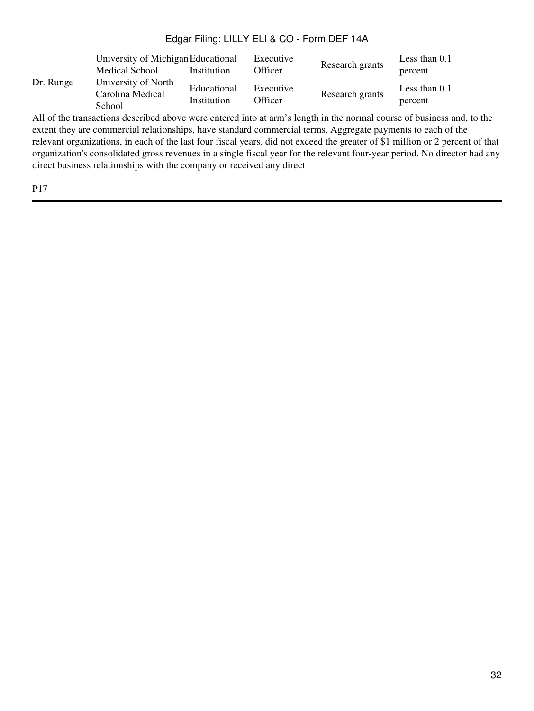|           | Medical School                                    | University of Michigan Educational<br>Institution |                      | Research grants | Less than $0.1$<br>percent |
|-----------|---------------------------------------------------|---------------------------------------------------|----------------------|-----------------|----------------------------|
| Dr. Runge | University of North<br>Carolina Medical<br>School | Educational<br>Institution                        | Executive<br>Officer | Research grants | Less than $0.1$<br>percent |

All of the transactions described above were entered into at arm's length in the normal course of business and, to the extent they are commercial relationships, have standard commercial terms. Aggregate payments to each of the relevant organizations, in each of the last four fiscal years, did not exceed the greater of \$1 million or 2 percent of that organization's consolidated gross revenues in a single fiscal year for the relevant four-year period. No director had any direct business relationships with the company or received any direct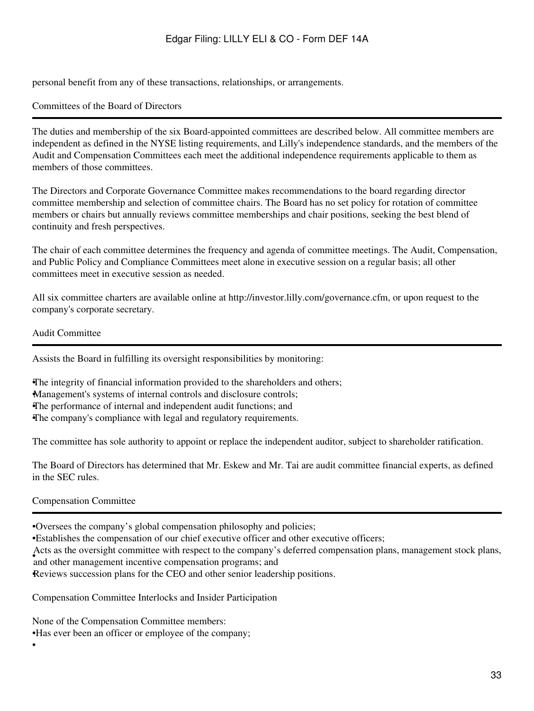personal benefit from any of these transactions, relationships, or arrangements.

## <span id="page-32-0"></span>Committees of the Board of Directors

The duties and membership of the six Board-appointed committees are described below. All committee members are independent as defined in the NYSE listing requirements, and Lilly's independence standards, and the members of the Audit and Compensation Committees each meet the additional independence requirements applicable to them as members of those committees.

The Directors and Corporate Governance Committee makes recommendations to the board regarding director committee membership and selection of committee chairs. The Board has no set policy for rotation of committee members or chairs but annually reviews committee memberships and chair positions, seeking the best blend of continuity and fresh perspectives.

The chair of each committee determines the frequency and agenda of committee meetings. The Audit, Compensation, and Public Policy and Compliance Committees meet alone in executive session on a regular basis; all other committees meet in executive session as needed.

All six committee charters are available online at http://investor.lilly.com/governance.cfm, or upon request to the company's corporate secretary.

#### Audit Committee

Assists the Board in fulfilling its oversight responsibilities by monitoring:

•The integrity of financial information provided to the shareholders and others; •Management's systems of internal controls and disclosure controls; •The performance of internal and independent audit functions; and •The company's compliance with legal and regulatory requirements.

The committee has sole authority to appoint or replace the independent auditor, subject to shareholder ratification.

The Board of Directors has determined that Mr. Eskew and Mr. Tai are audit committee financial experts, as defined in the SEC rules.

## Compensation Committee

•

•Oversees the company's global compensation philosophy and policies;

•Establishes the compensation of our chief executive officer and other executive officers;

First as an eversign commute while respect to the company and other management incentive compensation programs; and Acts as the oversight committee with respect to the company's deferred compensation plans, management stock plans,

Reviews succession plans for the CEO and other senior leadership positions.

Compensation Committee Interlocks and Insider Participation

None of the Compensation Committee members: •Has ever been an officer or employee of the company;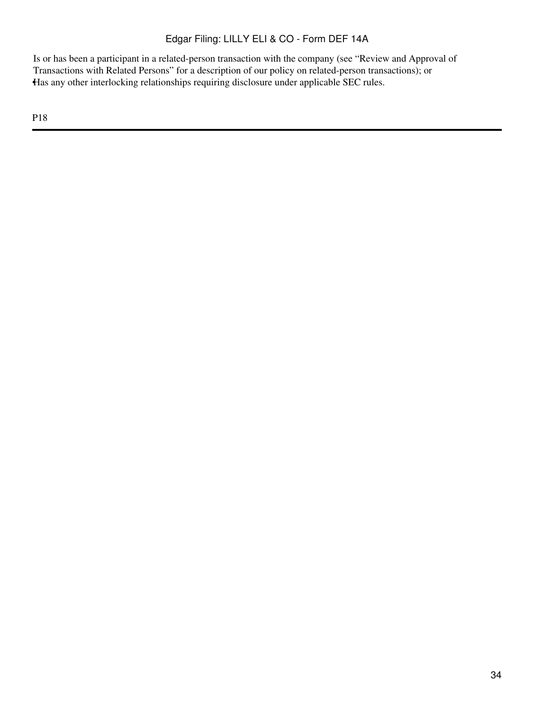Is or has been a participant in a related-person transaction with the company (see "Review and Approval of Transactions with Related Persons" for a description of our policy on related-person transactions); or •Has any other interlocking relationships requiring disclosure under applicable SEC rules.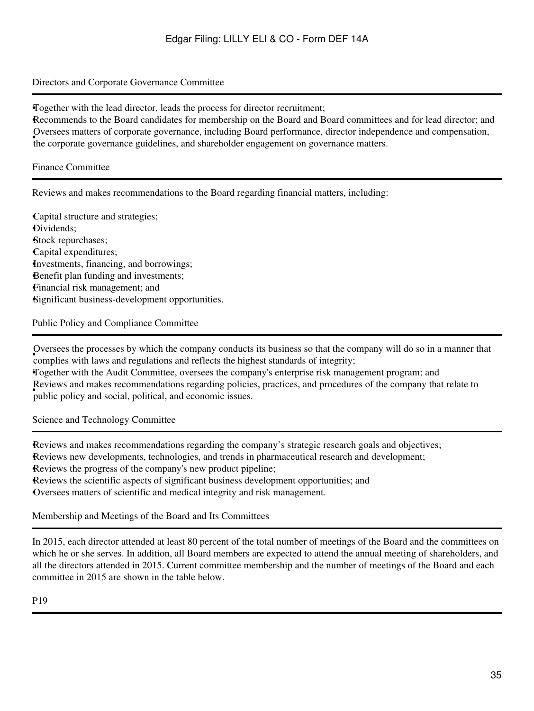## Directors and Corporate Governance Committee

•Together with the lead director, leads the process for director recruitment;

•Recommends to the Board candidates for membership on the Board and Board committees and for lead director; and • the corporate governance guidelines, and shareholder engagement on governance matters. Oversees matters of corporate governance, including Board performance, director independence and compensation,

#### Finance Committee

Reviews and makes recommendations to the Board regarding financial matters, including:

•Capital structure and strategies; •Dividends; •Stock repurchases; •Capital expenditures; •Investments, financing, and borrowings; Benefit plan funding and investments; •Financial risk management; and •Significant business-development opportunities.

Public Policy and Compliance Committee

• complies with laws and regulations and reflects the highest standards of integrity; Oversees the processes by which the company conducts its business so that the company will do so in a manner that

•Together with the Audit Committee, oversees the company's enterprise risk management program; and • public policy and social, political, and economic issues. Reviews and makes recommendations regarding policies, practices, and procedures of the company that relate to

Science and Technology Committee

•Reviews and makes recommendations regarding the company's strategic research goals and objectives; •Reviews new developments, technologies, and trends in pharmaceutical research and development; Reviews the progress of the company's new product pipeline; •Reviews the scientific aspects of significant business development opportunities; and •Oversees matters of scientific and medical integrity and risk management.

<span id="page-34-0"></span>Membership and Meetings of the Board and Its Committees

In 2015, each director attended at least 80 percent of the total number of meetings of the Board and the committees on which he or she serves. In addition, all Board members are expected to attend the annual meeting of shareholders, and all the directors attended in 2015. Current committee membership and the number of meetings of the Board and each committee in 2015 are shown in the table below.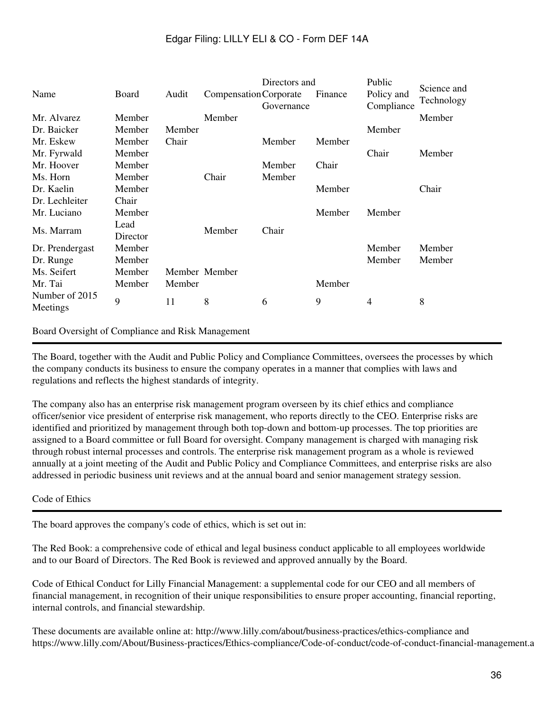|                 |          |        |                        | Directors and   |         | Public     | Science and |
|-----------------|----------|--------|------------------------|-----------------|---------|------------|-------------|
| Name            | Board    | Audit  | Compensation Corporate |                 | Finance | Policy and | Technology  |
|                 |          |        |                        | Governance      |         | Compliance |             |
| Mr. Alvarez     | Member   |        | Member                 |                 |         |            | Member      |
| Dr. Baicker     | Member   | Member |                        |                 |         | Member     |             |
| Mr. Eskew       | Member   | Chair  |                        | Member          | Member  |            |             |
| Mr. Fyrwald     | Member   |        |                        |                 |         | Chair      | Member      |
| Mr. Hoover      | Member   |        |                        | Member          | Chair   |            |             |
| Ms. Horn        | Member   |        | Chair                  | Member          |         |            |             |
| Dr. Kaelin      | Member   |        |                        |                 | Member  |            | Chair       |
| Dr. Lechleiter  | Chair    |        |                        |                 |         |            |             |
| Mr. Luciano     | Member   |        |                        |                 | Member  | Member     |             |
| Ms. Marram      | Lead     |        |                        | Chair<br>Member |         |            |             |
|                 | Director |        |                        |                 |         |            |             |
| Dr. Prendergast | Member   |        |                        |                 |         | Member     | Member      |
| Dr. Runge       | Member   |        |                        |                 |         | Member     | Member      |
| Ms. Seifert     | Member   |        | Member Member          |                 |         |            |             |
| Mr. Tai         | Member   | Member |                        |                 | Member  |            |             |
| Number of 2015  | 9        | 11     | 8                      | 6               | 9       | 4          | 8           |
| Meetings        |          |        |                        |                 |         |            |             |
|                 |          |        |                        |                 |         |            |             |

#### <span id="page-35-0"></span>Board Oversight of Compliance and Risk Management

The Board, together with the Audit and Public Policy and Compliance Committees, oversees the processes by which the company conducts its business to ensure the company operates in a manner that complies with laws and regulations and reflects the highest standards of integrity.

The company also has an enterprise risk management program overseen by its chief ethics and compliance officer/senior vice president of enterprise risk management, who reports directly to the CEO. Enterprise risks are identified and prioritized by management through both top-down and bottom-up processes. The top priorities are assigned to a Board committee or full Board for oversight. Company management is charged with managing risk through robust internal processes and controls. The enterprise risk management program as a whole is reviewed annually at a joint meeting of the Audit and Public Policy and Compliance Committees, and enterprise risks are also addressed in periodic business unit reviews and at the annual board and senior management strategy session.

## Code of Ethics

The board approves the company's code of ethics, which is set out in:

The Red Book: a comprehensive code of ethical and legal business conduct applicable to all employees worldwide and to our Board of Directors. The Red Book is reviewed and approved annually by the Board.

Code of Ethical Conduct for Lilly Financial Management: a supplemental code for our CEO and all members of financial management, in recognition of their unique responsibilities to ensure proper accounting, financial reporting, internal controls, and financial stewardship.

These documents are available online at: http://www.lilly.com/about/business-practices/ethics-compliance and https://www.lilly.com/About/Business-practices/Ethics-compliance/Code-of-conduct/code-of-conduct-financial-management.aspx,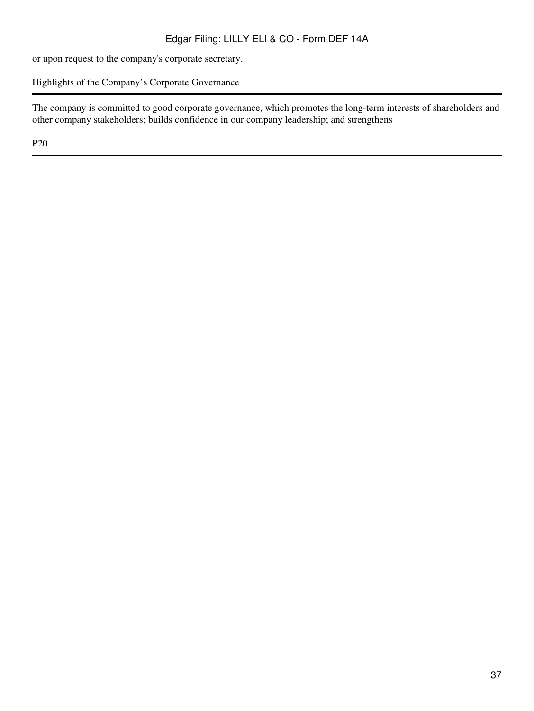or upon request to the company's corporate secretary.

Highlights of the Company's Corporate Governance

The company is committed to good corporate governance, which promotes the long-term interests of shareholders and other company stakeholders; builds confidence in our company leadership; and strengthens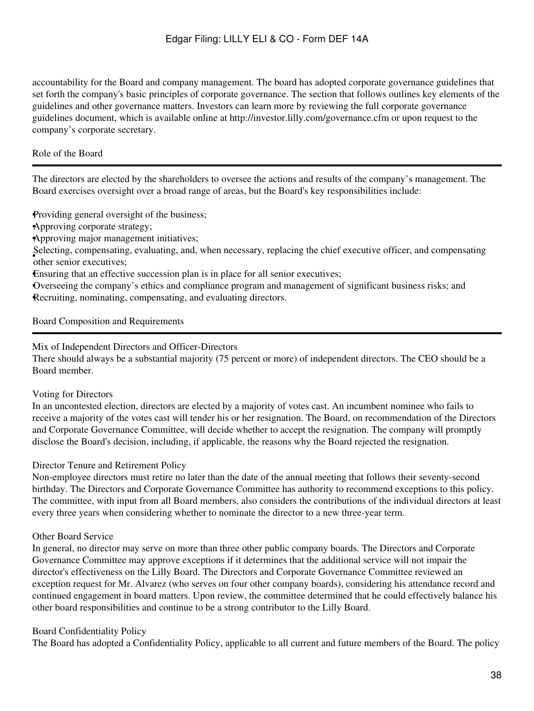accountability for the Board and company management. The board has adopted corporate governance guidelines that set forth the company's basic principles of corporate governance. The section that follows outlines key elements of the guidelines and other governance matters. Investors can learn more by reviewing the full corporate governance guidelines document, which is available online at http://investor.lilly.com/governance.cfm or upon request to the company's corporate secretary.

# Role of the Board

The directors are elected by the shareholders to oversee the actions and results of the company's management. The Board exercises oversight over a broad range of areas, but the Board's key responsibilities include:

•Providing general oversight of the business;

•Approving corporate strategy;

•Approving major management initiatives;

• other senior executives; Selecting, compensating, evaluating, and, when necessary, replacing the chief executive officer, and compensating

•Ensuring that an effective succession plan is in place for all senior executives;

•Overseeing the company's ethics and compliance program and management of significant business risks; and Recruiting, nominating, compensating, and evaluating directors.

### Board Composition and Requirements

# Mix of Independent Directors and Officer-Directors

There should always be a substantial majority (75 percent or more) of independent directors. The CEO should be a Board member.

### Voting for Directors

In an uncontested election, directors are elected by a majority of votes cast. An incumbent nominee who fails to receive a majority of the votes cast will tender his or her resignation. The Board, on recommendation of the Directors and Corporate Governance Committee, will decide whether to accept the resignation. The company will promptly disclose the Board's decision, including, if applicable, the reasons why the Board rejected the resignation.

# Director Tenure and Retirement Policy

Non-employee directors must retire no later than the date of the annual meeting that follows their seventy-second birthday. The Directors and Corporate Governance Committee has authority to recommend exceptions to this policy. The committee, with input from all Board members, also considers the contributions of the individual directors at least every three years when considering whether to nominate the director to a new three-year term.

### Other Board Service

In general, no director may serve on more than three other public company boards. The Directors and Corporate Governance Committee may approve exceptions if it determines that the additional service will not impair the director's effectiveness on the Lilly Board. The Directors and Corporate Governance Committee reviewed an exception request for Mr. Alvarez (who serves on four other company boards), considering his attendance record and continued engagement in board matters. Upon review, the committee determined that he could effectively balance his other board responsibilities and continue to be a strong contributor to the Lilly Board.

# Board Confidentiality Policy

The Board has adopted a Confidentiality Policy, applicable to all current and future members of the Board. The policy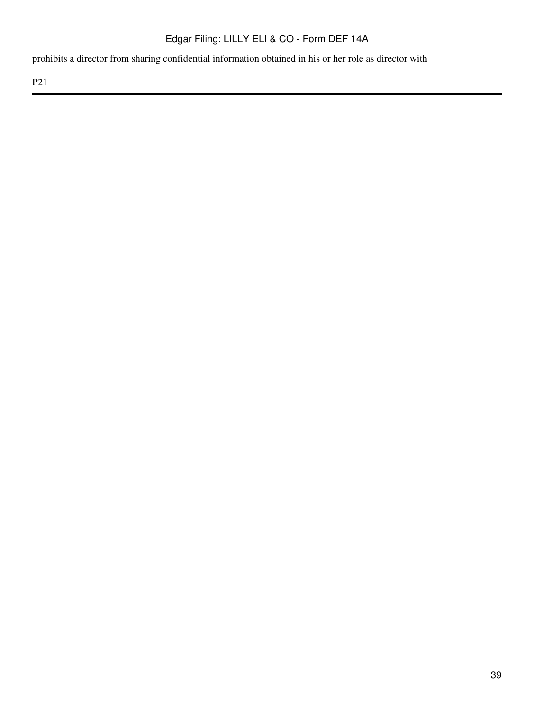prohibits a director from sharing confidential information obtained in his or her role as director with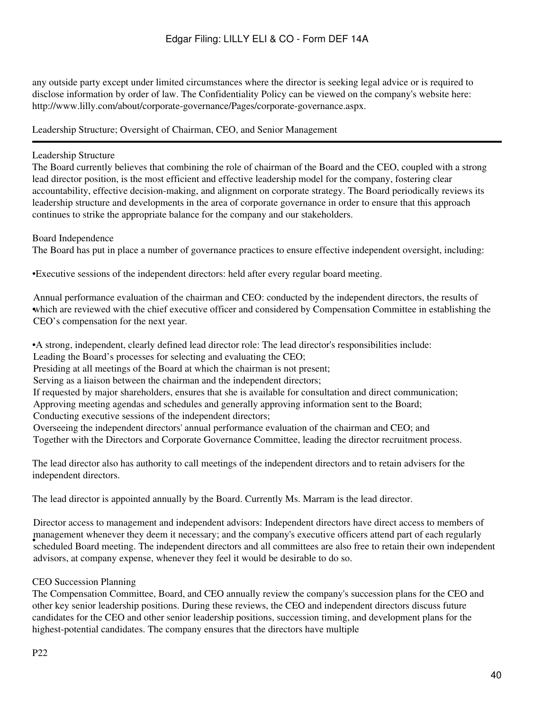any outside party except under limited circumstances where the director is seeking legal advice or is required to disclose information by order of law. The Confidentiality Policy can be viewed on the company's website here: http://www.lilly.com/about/corporate-governance/Pages/corporate-governance.aspx.

Leadership Structure; Oversight of Chairman, CEO, and Senior Management

# Leadership Structure

The Board currently believes that combining the role of chairman of the Board and the CEO, coupled with a strong lead director position, is the most efficient and effective leadership model for the company, fostering clear accountability, effective decision-making, and alignment on corporate strategy. The Board periodically reviews its leadership structure and developments in the area of corporate governance in order to ensure that this approach continues to strike the appropriate balance for the company and our stakeholders.

Board Independence

The Board has put in place a number of governance practices to ensure effective independent oversight, including:

•Executive sessions of the independent directors: held after every regular board meeting.

which are reviewed with the chief executive officer and considered by Compensation Committee in establishing the Annual performance evaluation of the chairman and CEO: conducted by the independent directors, the results of CEO's compensation for the next year.

•A strong, independent, clearly defined lead director role: The lead director's responsibilities include:

Leading the Board's processes for selecting and evaluating the CEO;

Presiding at all meetings of the Board at which the chairman is not present;

Serving as a liaison between the chairman and the independent directors;

If requested by major shareholders, ensures that she is available for consultation and direct communication;

Approving meeting agendas and schedules and generally approving information sent to the Board;

Conducting executive sessions of the independent directors;

Overseeing the independent directors' annual performance evaluation of the chairman and CEO; and Together with the Directors and Corporate Governance Committee, leading the director recruitment process.

The lead director also has authority to call meetings of the independent directors and to retain advisers for the independent directors.

The lead director is appointed annually by the Board. Currently Ms. Marram is the lead director.

**Frankly** scheduled Board meeting. The independent directors and all committees are also free to retain their own independent scheduled Board meeting. The independent directors and all committees are also free to retain th Director access to management and independent advisors: Independent directors have direct access to members of management whenever they deem it necessary; and the company's executive officers attend part of each regularly advisors, at company expense, whenever they feel it would be desirable to do so.

# CEO Succession Planning

The Compensation Committee, Board, and CEO annually review the company's succession plans for the CEO and other key senior leadership positions. During these reviews, the CEO and independent directors discuss future candidates for the CEO and other senior leadership positions, succession timing, and development plans for the highest-potential candidates. The company ensures that the directors have multiple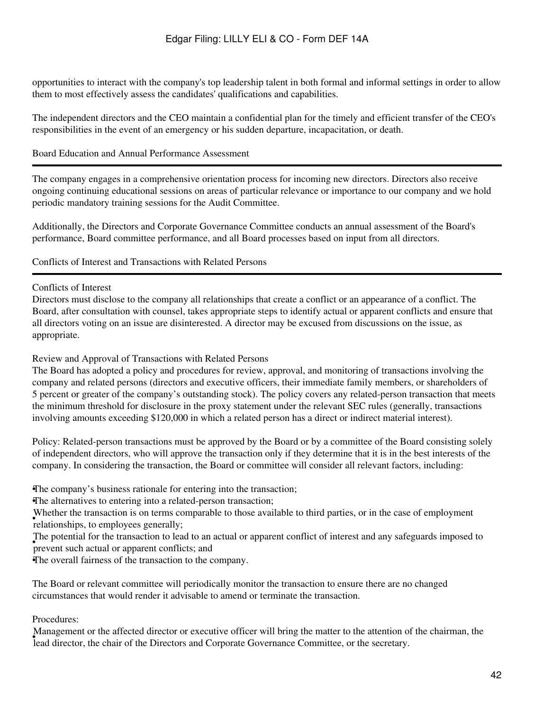opportunities to interact with the company's top leadership talent in both formal and informal settings in order to allow them to most effectively assess the candidates' qualifications and capabilities.

The independent directors and the CEO maintain a confidential plan for the timely and efficient transfer of the CEO's responsibilities in the event of an emergency or his sudden departure, incapacitation, or death.

# Board Education and Annual Performance Assessment

The company engages in a comprehensive orientation process for incoming new directors. Directors also receive ongoing continuing educational sessions on areas of particular relevance or importance to our company and we hold periodic mandatory training sessions for the Audit Committee.

Additionally, the Directors and Corporate Governance Committee conducts an annual assessment of the Board's performance, Board committee performance, and all Board processes based on input from all directors.

Conflicts of Interest and Transactions with Related Persons

### Conflicts of Interest

Directors must disclose to the company all relationships that create a conflict or an appearance of a conflict. The Board, after consultation with counsel, takes appropriate steps to identify actual or apparent conflicts and ensure that all directors voting on an issue are disinterested. A director may be excused from discussions on the issue, as appropriate.

## Review and Approval of Transactions with Related Persons

The Board has adopted a policy and procedures for review, approval, and monitoring of transactions involving the company and related persons (directors and executive officers, their immediate family members, or shareholders of 5 percent or greater of the company's outstanding stock). The policy covers any related-person transaction that meets the minimum threshold for disclosure in the proxy statement under the relevant SEC rules (generally, transactions involving amounts exceeding \$120,000 in which a related person has a direct or indirect material interest).

Policy: Related-person transactions must be approved by the Board or by a committee of the Board consisting solely of independent directors, who will approve the transaction only if they determine that it is in the best interests of the company. In considering the transaction, the Board or committee will consider all relevant factors, including:

•The company's business rationale for entering into the transaction;

•The alternatives to entering into a related-person transaction;

relationships, to employees generally; Whether the transaction is on terms comparable to those available to third parties, or in the case of employment

prevent such actual or apparent conflicts; and The potential for the transaction to lead to an actual or apparent conflict of interest and any safeguards imposed to

•The overall fairness of the transaction to the company.

The Board or relevant committee will periodically monitor the transaction to ensure there are no changed circumstances that would render it advisable to amend or terminate the transaction.

# Procedures:

Framagement of the directed director of executive officer with offing the matter to the attention of lead director, the chair of the Directors and Corporate Governance Committee, or the secretary. Management or the affected director or executive officer will bring the matter to the attention of the chairman, the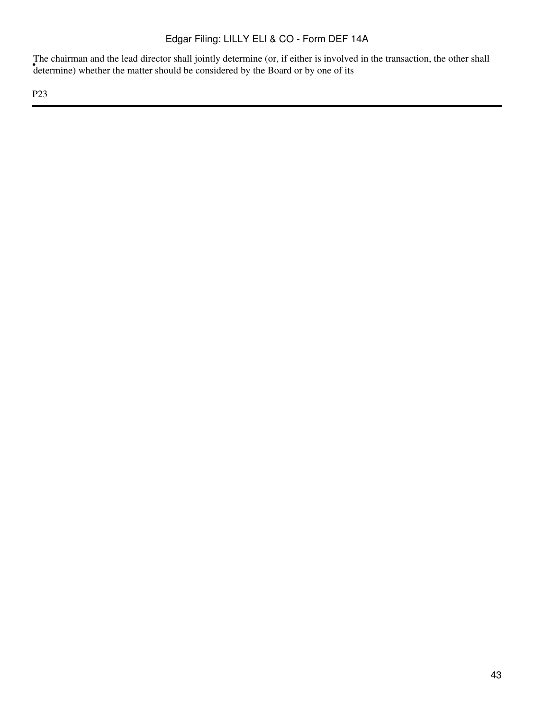determine) whether the matter should be considered by the Board or by one of its The chairman and the lead director shall jointly determine (or, if either is involved in the transaction, the other shall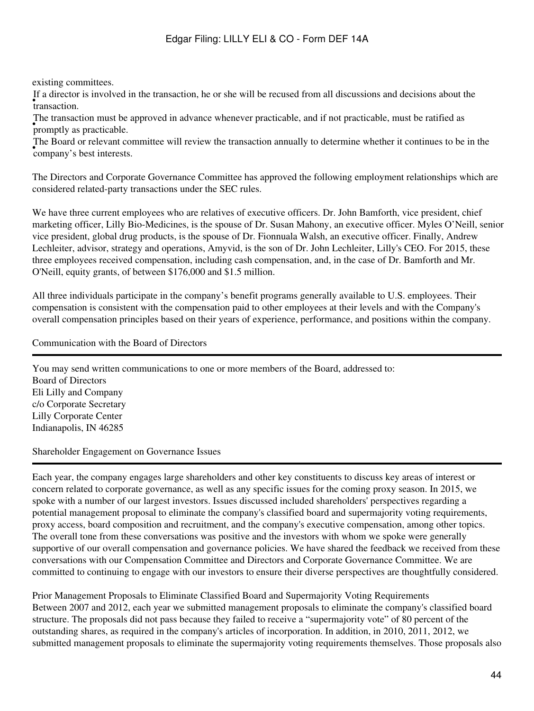existing committees.

• transaction. If a director is involved in the transaction, he or she will be recused from all discussions and decisions about the

• **promptly** as practicable. The transaction must be approved in advance whenever practicable, and if not practicable, must be ratified as

• company's best interests. The Board or relevant committee will review the transaction annually to determine whether it continues to be in the

The Directors and Corporate Governance Committee has approved the following employment relationships which are considered related-party transactions under the SEC rules.

We have three current employees who are relatives of executive officers. Dr. John Bamforth, vice president, chief marketing officer, Lilly Bio-Medicines, is the spouse of Dr. Susan Mahony, an executive officer. Myles O'Neill, senior vice president, global drug products, is the spouse of Dr. Fionnuala Walsh, an executive officer. Finally, Andrew Lechleiter, advisor, strategy and operations, Amyvid, is the son of Dr. John Lechleiter, Lilly's CEO. For 2015, these three employees received compensation, including cash compensation, and, in the case of Dr. Bamforth and Mr. O'Neill, equity grants, of between \$176,000 and \$1.5 million.

All three individuals participate in the company's benefit programs generally available to U.S. employees. Their compensation is consistent with the compensation paid to other employees at their levels and with the Company's overall compensation principles based on their years of experience, performance, and positions within the company.

Communication with the Board of Directors

You may send written communications to one or more members of the Board, addressed to: Board of Directors Eli Lilly and Company c/o Corporate Secretary Lilly Corporate Center Indianapolis, IN 46285

Shareholder Engagement on Governance Issues

Each year, the company engages large shareholders and other key constituents to discuss key areas of interest or concern related to corporate governance, as well as any specific issues for the coming proxy season. In 2015, we spoke with a number of our largest investors. Issues discussed included shareholders' perspectives regarding a potential management proposal to eliminate the company's classified board and supermajority voting requirements, proxy access, board composition and recruitment, and the company's executive compensation, among other topics. The overall tone from these conversations was positive and the investors with whom we spoke were generally supportive of our overall compensation and governance policies. We have shared the feedback we received from these conversations with our Compensation Committee and Directors and Corporate Governance Committee. We are committed to continuing to engage with our investors to ensure their diverse perspectives are thoughtfully considered.

Prior Management Proposals to Eliminate Classified Board and Supermajority Voting Requirements Between 2007 and 2012, each year we submitted management proposals to eliminate the company's classified board structure. The proposals did not pass because they failed to receive a "supermajority vote" of 80 percent of the outstanding shares, as required in the company's articles of incorporation. In addition, in 2010, 2011, 2012, we submitted management proposals to eliminate the supermajority voting requirements themselves. Those proposals also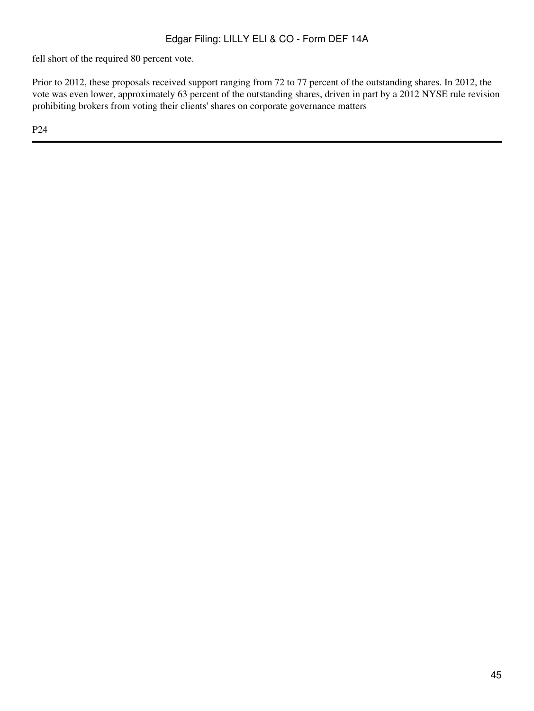fell short of the required 80 percent vote.

Prior to 2012, these proposals received support ranging from 72 to 77 percent of the outstanding shares. In 2012, the vote was even lower, approximately 63 percent of the outstanding shares, driven in part by a 2012 NYSE rule revision prohibiting brokers from voting their clients' shares on corporate governance matters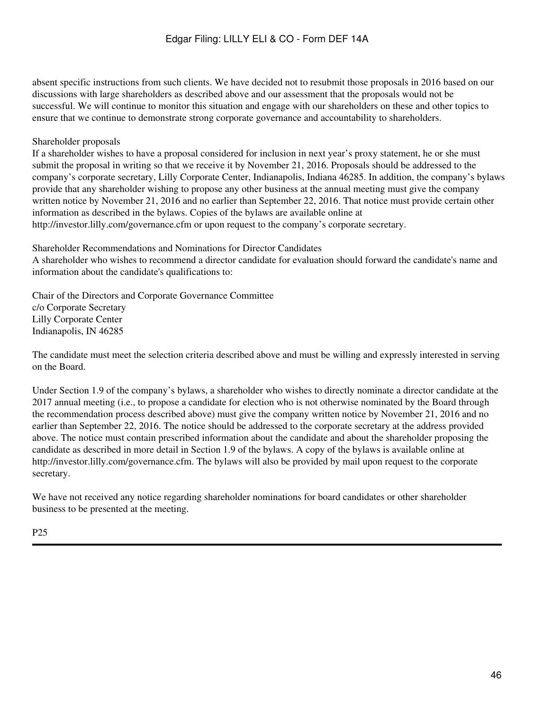absent specific instructions from such clients. We have decided not to resubmit those proposals in 2016 based on our discussions with large shareholders as described above and our assessment that the proposals would not be successful. We will continue to monitor this situation and engage with our shareholders on these and other topics to ensure that we continue to demonstrate strong corporate governance and accountability to shareholders.

# Shareholder proposals

If a shareholder wishes to have a proposal considered for inclusion in next year's proxy statement, he or she must submit the proposal in writing so that we receive it by November 21, 2016. Proposals should be addressed to the company's corporate secretary, Lilly Corporate Center, Indianapolis, Indiana 46285. In addition, the company's bylaws provide that any shareholder wishing to propose any other business at the annual meeting must give the company written notice by November 21, 2016 and no earlier than September 22, 2016. That notice must provide certain other information as described in the bylaws. Copies of the bylaws are available online at http://investor.lilly.com/governance.cfm or upon request to the company's corporate secretary.

Shareholder Recommendations and Nominations for Director Candidates

A shareholder who wishes to recommend a director candidate for evaluation should forward the candidate's name and information about the candidate's qualifications to:

Chair of the Directors and Corporate Governance Committee c/o Corporate Secretary Lilly Corporate Center Indianapolis, IN 46285

The candidate must meet the selection criteria described above and must be willing and expressly interested in serving on the Board.

Under Section 1.9 of the company's bylaws, a shareholder who wishes to directly nominate a director candidate at the 2017 annual meeting (i.e., to propose a candidate for election who is not otherwise nominated by the Board through the recommendation process described above) must give the company written notice by November 21, 2016 and no earlier than September 22, 2016. The notice should be addressed to the corporate secretary at the address provided above. The notice must contain prescribed information about the candidate and about the shareholder proposing the candidate as described in more detail in Section 1.9 of the bylaws. A copy of the bylaws is available online at http://investor.lilly.com/governance.cfm. The bylaws will also be provided by mail upon request to the corporate secretary.

We have not received any notice regarding shareholder nominations for board candidates or other shareholder business to be presented at the meeting.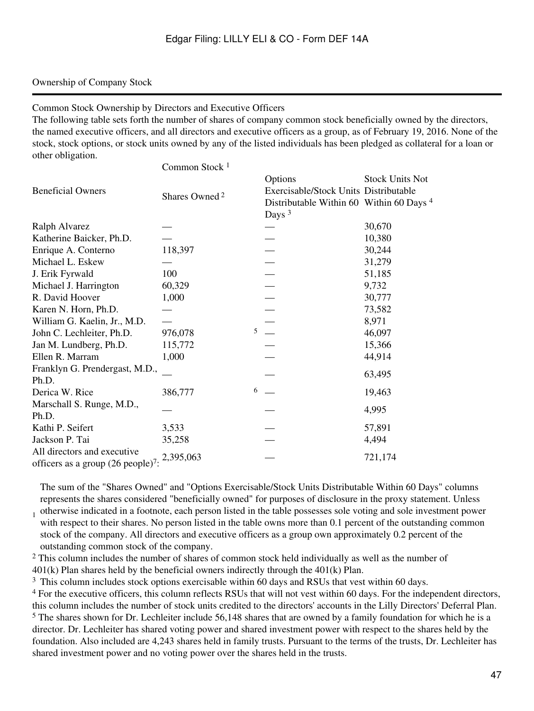## Ownership of Company Stock

Common Stock Ownership by Directors and Executive Officers

The following table sets forth the number of shares of company common stock beneficially owned by the directors, the named executive officers, and all directors and executive officers as a group, as of February 19, 2016. None of the stock, stock options, or stock units owned by any of the listed individuals has been pledged as collateral for a loan or other obligation.  $C_1$  1 1

|                                                | Common Stock <sup>1</sup> |                                          |                        |
|------------------------------------------------|---------------------------|------------------------------------------|------------------------|
|                                                |                           | Options                                  | <b>Stock Units Not</b> |
| <b>Beneficial Owners</b>                       |                           | Exercisable/Stock Units Distributable    |                        |
|                                                | Shares Owned <sup>2</sup> | Distributable Within 60 Within 60 Days 4 |                        |
|                                                |                           | Days $3$                                 |                        |
| Ralph Alvarez                                  |                           |                                          | 30,670                 |
| Katherine Baicker, Ph.D.                       |                           |                                          | 10,380                 |
| Enrique A. Conterno                            | 118,397                   |                                          | 30,244                 |
| Michael L. Eskew                               |                           |                                          | 31,279                 |
| J. Erik Fyrwald                                | 100                       |                                          | 51,185                 |
| Michael J. Harrington                          | 60,329                    |                                          | 9,732                  |
| R. David Hoover                                | 1,000                     |                                          | 30,777                 |
| Karen N. Horn, Ph.D.                           |                           | $\overline{\phantom{0}}$                 | 73,582                 |
| William G. Kaelin, Jr., M.D.                   |                           |                                          | 8,971                  |
| John C. Lechleiter, Ph.D.                      | 976,078                   | $5 -$                                    | 46,097                 |
| Jan M. Lundberg, Ph.D.                         | 115,772                   |                                          | 15,366                 |
| Ellen R. Marram                                | 1,000                     |                                          | 44,914                 |
| Franklyn G. Prendergast, M.D.,                 |                           |                                          |                        |
| Ph.D.                                          |                           |                                          | 63,495                 |
| Derica W. Rice                                 | 386,777                   | $6 \quad -$                              | 19,463                 |
| Marschall S. Runge, M.D.,                      |                           |                                          |                        |
| Ph.D.                                          |                           |                                          | 4,995                  |
| Kathi P. Seifert                               | 3,533                     |                                          | 57,891                 |
| Jackson P. Tai                                 | 35,258                    |                                          | 4,494                  |
| All directors and executive                    | 2,395,063                 |                                          | 721,174                |
| officers as a group (26 people) <sup>7</sup> : |                           |                                          |                        |

The sum of the "Shares Owned" and "Options Exercisable/Stock Units Distributable Within 60 Days" columns represents the shares considered "beneficially owned" for purposes of disclosure in the proxy statement. Unless

1 otherwise indicated in a footnote, each person listed in the table possesses sole voting and sole investment power with respect to their shares. No person listed in the table owns more than 0.1 percent of the outstanding common stock of the company. All directors and executive officers as a group own approximately 0.2 percent of the outstanding common stock of the company.

<sup>2</sup> This column includes the number of shares of common stock held individually as well as the number of 401(k) Plan shares held by the beneficial owners indirectly through the 401(k) Plan.

<sup>3</sup> This column includes stock options exercisable within 60 days and RSUs that vest within 60 days.

<sup>4</sup> For the executive officers, this column reflects RSUs that will not vest within 60 days. For the independent directors, this column includes the number of stock units credited to the directors' accounts in the Lilly Directors' Deferral Plan. <sup>5</sup> The shares shown for Dr. Lechleiter include 56,148 shares that are owned by a family foundation for which he is a director. Dr. Lechleiter has shared voting power and shared investment power with respect to the shares held by the foundation. Also included are 4,243 shares held in family trusts. Pursuant to the terms of the trusts, Dr. Lechleiter has shared investment power and no voting power over the shares held in the trusts.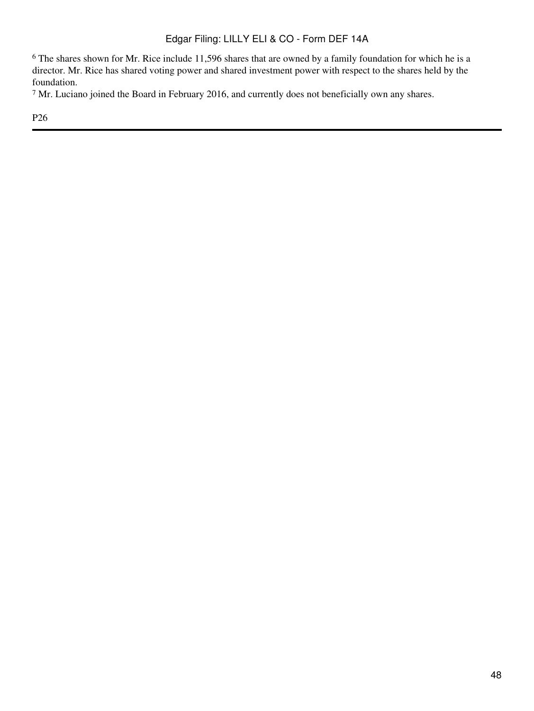<sup>6</sup> The shares shown for Mr. Rice include 11,596 shares that are owned by a family foundation for which he is a director. Mr. Rice has shared voting power and shared investment power with respect to the shares held by the foundation.

<sup>7</sup> Mr. Luciano joined the Board in February 2016, and currently does not beneficially own any shares.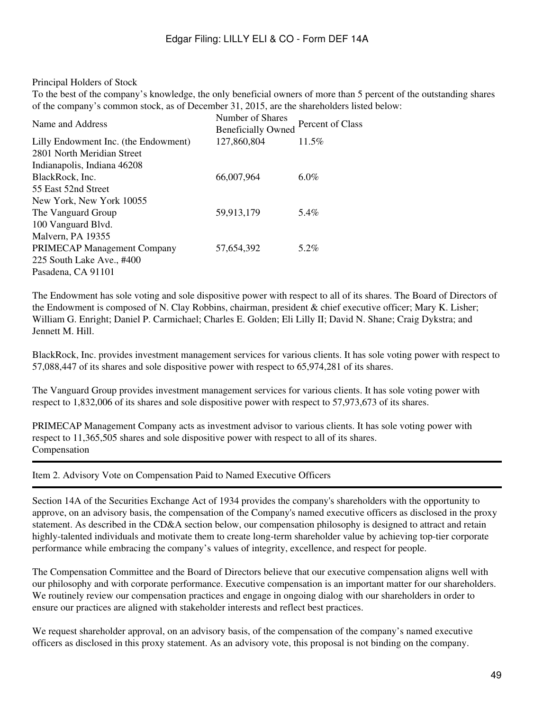# Principal Holders of Stock

To the best of the company's knowledge, the only beneficial owners of more than 5 percent of the outstanding shares of the company's common stock, as of December 31, 2015, are the shareholders listed below:

| Name and Address                     | Number of Shares<br><b>Beneficially Owned</b> | Percent of Class |
|--------------------------------------|-----------------------------------------------|------------------|
| Lilly Endowment Inc. (the Endowment) | 127,860,804                                   | 11.5%            |
| 2801 North Meridian Street           |                                               |                  |
| Indianapolis, Indiana 46208          |                                               |                  |
| BlackRock, Inc.                      | 66,007,964                                    | $6.0\%$          |
| 55 East 52nd Street                  |                                               |                  |
| New York, New York 10055             |                                               |                  |
| The Vanguard Group                   | 59,913,179                                    | 5.4%             |
| 100 Vanguard Blvd.                   |                                               |                  |
| Malvern, PA 19355                    |                                               |                  |
| <b>PRIMECAP Management Company</b>   | 57,654,392                                    | 5.2%             |
| 225 South Lake Ave., #400            |                                               |                  |
| Pasadena, CA 91101                   |                                               |                  |

The Endowment has sole voting and sole dispositive power with respect to all of its shares. The Board of Directors of the Endowment is composed of N. Clay Robbins, chairman, president & chief executive officer; Mary K. Lisher; William G. Enright; Daniel P. Carmichael; Charles E. Golden; Eli Lilly II; David N. Shane; Craig Dykstra; and Jennett M. Hill.

BlackRock, Inc. provides investment management services for various clients. It has sole voting power with respect to 57,088,447 of its shares and sole dispositive power with respect to 65,974,281 of its shares.

The Vanguard Group provides investment management services for various clients. It has sole voting power with respect to 1,832,006 of its shares and sole dispositive power with respect to 57,973,673 of its shares.

PRIMECAP Management Company acts as investment advisor to various clients. It has sole voting power with respect to 11,365,505 shares and sole dispositive power with respect to all of its shares. Compensation

Item 2. Advisory Vote on Compensation Paid to Named Executive Officers

Section 14A of the Securities Exchange Act of 1934 provides the company's shareholders with the opportunity to approve, on an advisory basis, the compensation of the Company's named executive officers as disclosed in the proxy statement. As described in the CD&A section below, our compensation philosophy is designed to attract and retain highly-talented individuals and motivate them to create long-term shareholder value by achieving top-tier corporate performance while embracing the company's values of integrity, excellence, and respect for people.

The Compensation Committee and the Board of Directors believe that our executive compensation aligns well with our philosophy and with corporate performance. Executive compensation is an important matter for our shareholders. We routinely review our compensation practices and engage in ongoing dialog with our shareholders in order to ensure our practices are aligned with stakeholder interests and reflect best practices.

We request shareholder approval, on an advisory basis, of the compensation of the company's named executive officers as disclosed in this proxy statement. As an advisory vote, this proposal is not binding on the company.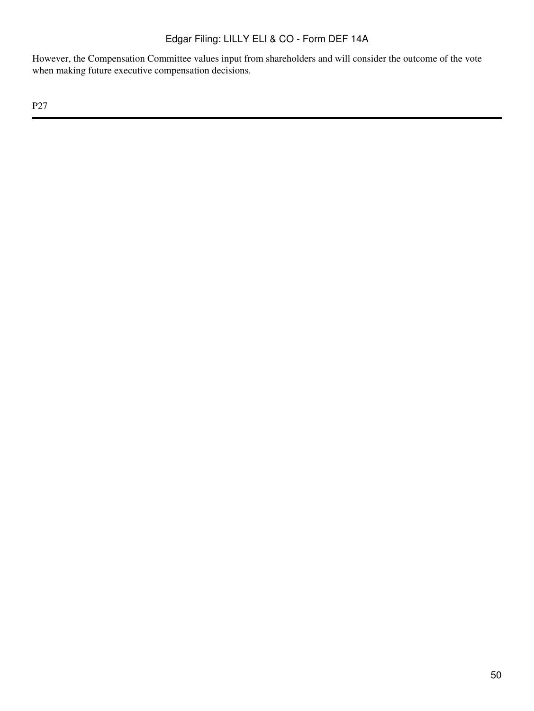However, the Compensation Committee values input from shareholders and will consider the outcome of the vote when making future executive compensation decisions.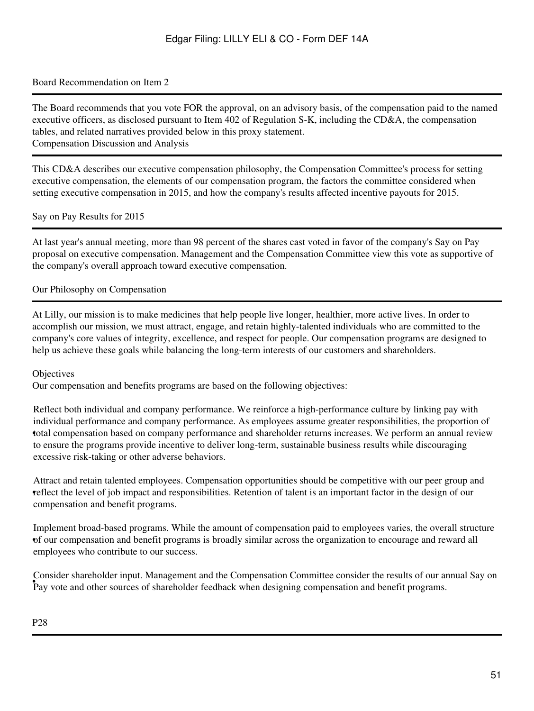## Board Recommendation on Item 2

The Board recommends that you vote FOR the approval, on an advisory basis, of the compensation paid to the named executive officers, as disclosed pursuant to Item 402 of Regulation S-K, including the CD&A, the compensation tables, and related narratives provided below in this proxy statement. Compensation Discussion and Analysis

This CD&A describes our executive compensation philosophy, the Compensation Committee's process for setting executive compensation, the elements of our compensation program, the factors the committee considered when setting executive compensation in 2015, and how the company's results affected incentive payouts for 2015.

Say on Pay Results for 2015

At last year's annual meeting, more than 98 percent of the shares cast voted in favor of the company's Say on Pay proposal on executive compensation. Management and the Compensation Committee view this vote as supportive of the company's overall approach toward executive compensation.

### Our Philosophy on Compensation

At Lilly, our mission is to make medicines that help people live longer, healthier, more active lives. In order to accomplish our mission, we must attract, engage, and retain highly-talented individuals who are committed to the company's core values of integrity, excellence, and respect for people. Our compensation programs are designed to help us achieve these goals while balancing the long-term interests of our customers and shareholders.

### **Objectives**

Our compensation and benefits programs are based on the following objectives:

• total compensation based on company performance and shareholder returns increases. We perform an annual review Reflect both individual and company performance. We reinforce a high-performance culture by linking pay with individual performance and company performance. As employees assume greater responsibilities, the proportion of to ensure the programs provide incentive to deliver long-term, sustainable business results while discouraging excessive risk-taking or other adverse behaviors.

• reflect the level of job impact and responsibilities. Retention of talent is an important factor in the design of our Attract and retain talented employees. Compensation opportunities should be competitive with our peer group and compensation and benefit programs.

• of our compensation and benefit programs is broadly similar across the organization to encourage and reward all Implement broad-based programs. While the amount of compensation paid to employees varies, the overall structure employees who contribute to our success.

• Pay vote and other sources of shareholder feedback when designing compensation and benefit programs. Consider shareholder input. Management and the Compensation Committee consider the results of our annual Say on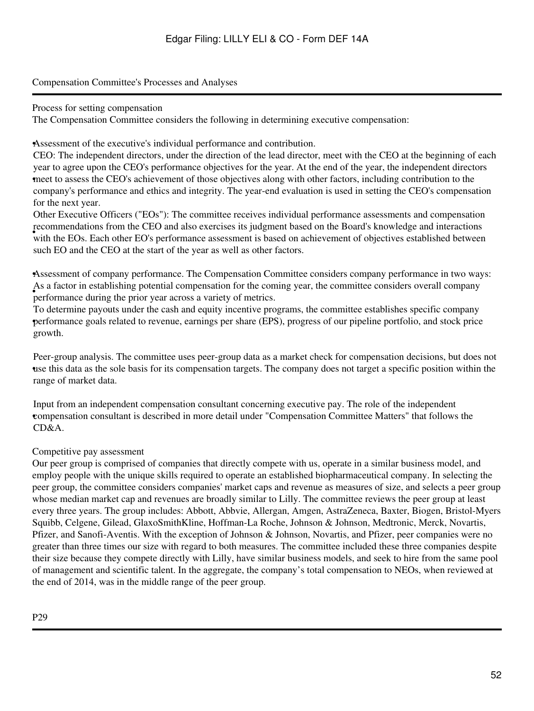# Compensation Committee's Processes and Analyses

### Process for setting compensation

The Compensation Committee considers the following in determining executive compensation:

•Assessment of the executive's individual performance and contribution.

• meet to assess the CEO's achievement of those objectives along with other factors, including contribution to the CEO: The independent directors, under the direction of the lead director, meet with the CEO at the beginning of each year to agree upon the CEO's performance objectives for the year. At the end of the year, the independent directors company's performance and ethics and integrity. The year-end evaluation is used in setting the CEO's compensation for the next year.

with the EOs. Each other EO's performance assessment is based on achievement of objectives established between Other Executive Officers ("EOs"): The committee receives individual performance assessments and compensation recommendations from the CEO and also exercises its judgment based on the Board's knowledge and interactions such EO and the CEO at the start of the year as well as other factors.

•Assessment of company performance. The Compensation Committee considers company performance in two ways: For a ractor in establishing potential compensation for the con-As a factor in establishing potential compensation for the coming year, the committee considers overall company

• performance goals related to revenue, earnings per share (EPS), progress of our pipeline portfolio, and stock price To determine payouts under the cash and equity incentive programs, the committee establishes specific company growth.

• use this data as the sole basis for its compensation targets. The company does not target a specific position within the Peer-group analysis. The committee uses peer-group data as a market check for compensation decisions, but does not range of market data.

• compensation consultant is described in more detail under "Compensation Committee Matters" that follows the Input from an independent compensation consultant concerning executive pay. The role of the independent  $CD&A$ 

# Competitive pay assessment

Our peer group is comprised of companies that directly compete with us, operate in a similar business model, and employ people with the unique skills required to operate an established biopharmaceutical company. In selecting the peer group, the committee considers companies' market caps and revenue as measures of size, and selects a peer group whose median market cap and revenues are broadly similar to Lilly. The committee reviews the peer group at least every three years. The group includes: Abbott, Abbvie, Allergan, Amgen, AstraZeneca, Baxter, Biogen, Bristol-Myers Squibb, Celgene, Gilead, GlaxoSmithKline, Hoffman-La Roche, Johnson & Johnson, Medtronic, Merck, Novartis, Pfizer, and Sanofi-Aventis. With the exception of Johnson & Johnson, Novartis, and Pfizer, peer companies were no greater than three times our size with regard to both measures. The committee included these three companies despite their size because they compete directly with Lilly, have similar business models, and seek to hire from the same pool of management and scientific talent. In the aggregate, the company's total compensation to NEOs, when reviewed at the end of 2014, was in the middle range of the peer group.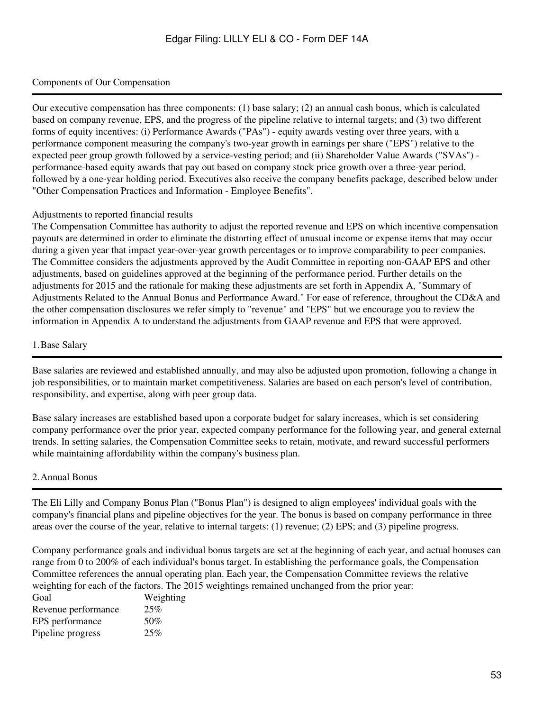# Components of Our Compensation

Our executive compensation has three components: (1) base salary; (2) an annual cash bonus, which is calculated based on company revenue, EPS, and the progress of the pipeline relative to internal targets; and (3) two different forms of equity incentives: (i) Performance Awards ("PAs") - equity awards vesting over three years, with a performance component measuring the company's two-year growth in earnings per share ("EPS") relative to the expected peer group growth followed by a service-vesting period; and (ii) Shareholder Value Awards ("SVAs") performance-based equity awards that pay out based on company stock price growth over a three-year period, followed by a one-year holding period. Executives also receive the company benefits package, described below under "Other Compensation Practices and Information - Employee Benefits".

### Adjustments to reported financial results

The Compensation Committee has authority to adjust the reported revenue and EPS on which incentive compensation payouts are determined in order to eliminate the distorting effect of unusual income or expense items that may occur during a given year that impact year-over-year growth percentages or to improve comparability to peer companies. The Committee considers the adjustments approved by the Audit Committee in reporting non-GAAP EPS and other adjustments, based on guidelines approved at the beginning of the performance period. Further details on the adjustments for 2015 and the rationale for making these adjustments are set forth in Appendix A, "Summary of Adjustments Related to the Annual Bonus and Performance Award." For ease of reference, throughout the CD&A and the other compensation disclosures we refer simply to "revenue" and "EPS" but we encourage you to review the information in Appendix A to understand the adjustments from GAAP revenue and EPS that were approved.

### 1.Base Salary

Base salaries are reviewed and established annually, and may also be adjusted upon promotion, following a change in job responsibilities, or to maintain market competitiveness. Salaries are based on each person's level of contribution, responsibility, and expertise, along with peer group data.

Base salary increases are established based upon a corporate budget for salary increases, which is set considering company performance over the prior year, expected company performance for the following year, and general external trends. In setting salaries, the Compensation Committee seeks to retain, motivate, and reward successful performers while maintaining affordability within the company's business plan.

# 2.Annual Bonus

The Eli Lilly and Company Bonus Plan ("Bonus Plan") is designed to align employees' individual goals with the company's financial plans and pipeline objectives for the year. The bonus is based on company performance in three areas over the course of the year, relative to internal targets: (1) revenue; (2) EPS; and (3) pipeline progress.

Company performance goals and individual bonus targets are set at the beginning of each year, and actual bonuses can range from 0 to 200% of each individual's bonus target. In establishing the performance goals, the Compensation Committee references the annual operating plan. Each year, the Compensation Committee reviews the relative weighting for each of the factors. The 2015 weightings remained unchanged from the prior year:

| Goal                | Weighting |
|---------------------|-----------|
| Revenue performance | 25%       |
| EPS performance     | 50%       |
| Pipeline progress   | 25%       |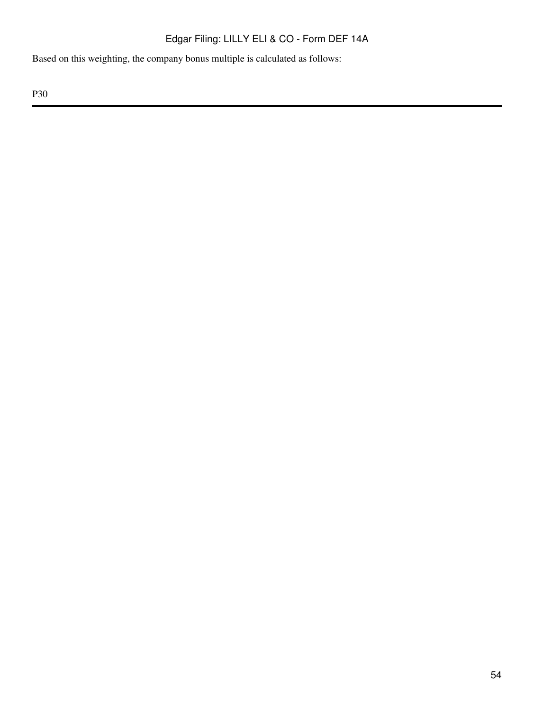Based on this weighting, the company bonus multiple is calculated as follows: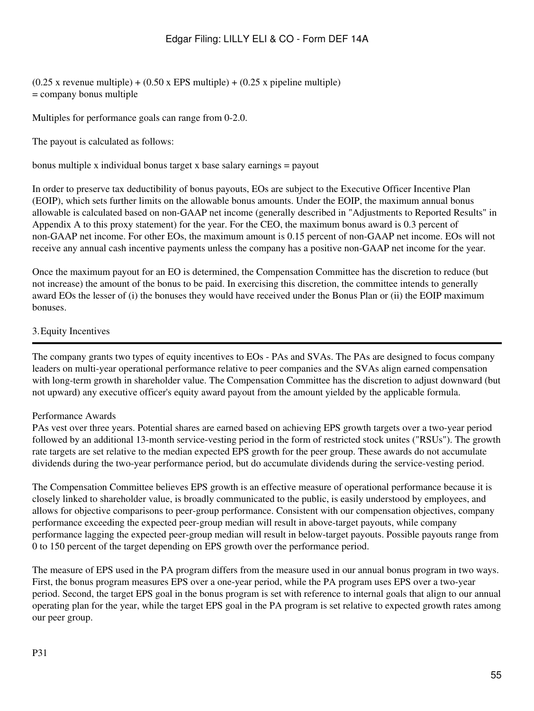$(0.25 \times \text{ revenue multiple}) + (0.50 \times \text{EPS multiple}) + (0.25 \times \text{pipe line multiple})$ = company bonus multiple

Multiples for performance goals can range from 0-2.0.

The payout is calculated as follows:

bonus multiple x individual bonus target x base salary earnings = payout

In order to preserve tax deductibility of bonus payouts, EOs are subject to the Executive Officer Incentive Plan (EOIP), which sets further limits on the allowable bonus amounts. Under the EOIP, the maximum annual bonus allowable is calculated based on non-GAAP net income (generally described in "Adjustments to Reported Results" in Appendix A to this proxy statement) for the year. For the CEO, the maximum bonus award is 0.3 percent of non-GAAP net income. For other EOs, the maximum amount is 0.15 percent of non-GAAP net income. EOs will not receive any annual cash incentive payments unless the company has a positive non-GAAP net income for the year.

Once the maximum payout for an EO is determined, the Compensation Committee has the discretion to reduce (but not increase) the amount of the bonus to be paid. In exercising this discretion, the committee intends to generally award EOs the lesser of (i) the bonuses they would have received under the Bonus Plan or (ii) the EOIP maximum bonuses.

### 3.Equity Incentives

The company grants two types of equity incentives to EOs - PAs and SVAs. The PAs are designed to focus company leaders on multi-year operational performance relative to peer companies and the SVAs align earned compensation with long-term growth in shareholder value. The Compensation Committee has the discretion to adjust downward (but not upward) any executive officer's equity award payout from the amount yielded by the applicable formula.

### Performance Awards

PAs vest over three years. Potential shares are earned based on achieving EPS growth targets over a two-year period followed by an additional 13-month service-vesting period in the form of restricted stock unites ("RSUs"). The growth rate targets are set relative to the median expected EPS growth for the peer group. These awards do not accumulate dividends during the two-year performance period, but do accumulate dividends during the service-vesting period.

The Compensation Committee believes EPS growth is an effective measure of operational performance because it is closely linked to shareholder value, is broadly communicated to the public, is easily understood by employees, and allows for objective comparisons to peer-group performance. Consistent with our compensation objectives, company performance exceeding the expected peer-group median will result in above-target payouts, while company performance lagging the expected peer-group median will result in below-target payouts. Possible payouts range from 0 to 150 percent of the target depending on EPS growth over the performance period.

The measure of EPS used in the PA program differs from the measure used in our annual bonus program in two ways. First, the bonus program measures EPS over a one-year period, while the PA program uses EPS over a two-year period. Second, the target EPS goal in the bonus program is set with reference to internal goals that align to our annual operating plan for the year, while the target EPS goal in the PA program is set relative to expected growth rates among our peer group.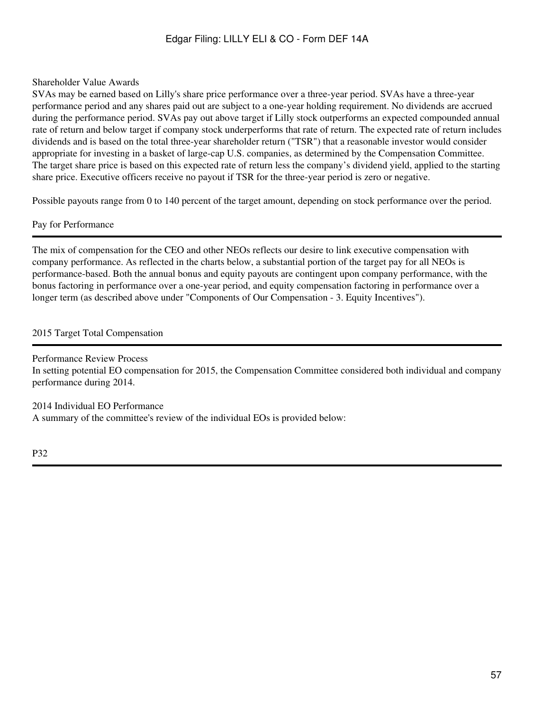# Shareholder Value Awards

SVAs may be earned based on Lilly's share price performance over a three-year period. SVAs have a three-year performance period and any shares paid out are subject to a one-year holding requirement. No dividends are accrued during the performance period. SVAs pay out above target if Lilly stock outperforms an expected compounded annual rate of return and below target if company stock underperforms that rate of return. The expected rate of return includes dividends and is based on the total three-year shareholder return ("TSR") that a reasonable investor would consider appropriate for investing in a basket of large-cap U.S. companies, as determined by the Compensation Committee. The target share price is based on this expected rate of return less the company's dividend yield, applied to the starting share price. Executive officers receive no payout if TSR for the three-year period is zero or negative.

Possible payouts range from 0 to 140 percent of the target amount, depending on stock performance over the period.

# Pay for Performance

The mix of compensation for the CEO and other NEOs reflects our desire to link executive compensation with company performance. As reflected in the charts below, a substantial portion of the target pay for all NEOs is performance-based. Both the annual bonus and equity payouts are contingent upon company performance, with the bonus factoring in performance over a one-year period, and equity compensation factoring in performance over a longer term (as described above under "Components of Our Compensation - 3. Equity Incentives").

# 2015 Target Total Compensation

Performance Review Process In setting potential EO compensation for 2015, the Compensation Committee considered both individual and company performance during 2014.

2014 Individual EO Performance A summary of the committee's review of the individual EOs is provided below: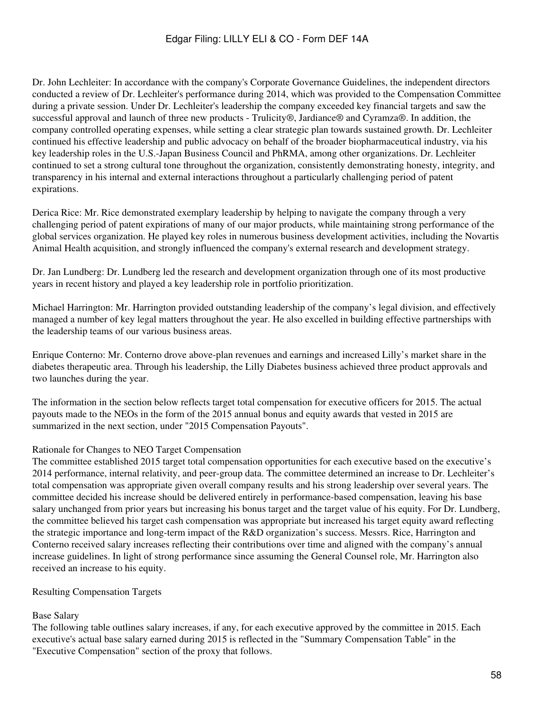Dr. John Lechleiter: In accordance with the company's Corporate Governance Guidelines, the independent directors conducted a review of Dr. Lechleiter's performance during 2014, which was provided to the Compensation Committee during a private session. Under Dr. Lechleiter's leadership the company exceeded key financial targets and saw the successful approval and launch of three new products - Trulicity®, Jardiance® and Cyramza®. In addition, the company controlled operating expenses, while setting a clear strategic plan towards sustained growth. Dr. Lechleiter continued his effective leadership and public advocacy on behalf of the broader biopharmaceutical industry, via his key leadership roles in the U.S.-Japan Business Council and PhRMA, among other organizations. Dr. Lechleiter continued to set a strong cultural tone throughout the organization, consistently demonstrating honesty, integrity, and transparency in his internal and external interactions throughout a particularly challenging period of patent expirations.

Derica Rice: Mr. Rice demonstrated exemplary leadership by helping to navigate the company through a very challenging period of patent expirations of many of our major products, while maintaining strong performance of the global services organization. He played key roles in numerous business development activities, including the Novartis Animal Health acquisition, and strongly influenced the company's external research and development strategy.

Dr. Jan Lundberg: Dr. Lundberg led the research and development organization through one of its most productive years in recent history and played a key leadership role in portfolio prioritization.

Michael Harrington: Mr. Harrington provided outstanding leadership of the company's legal division, and effectively managed a number of key legal matters throughout the year. He also excelled in building effective partnerships with the leadership teams of our various business areas.

Enrique Conterno: Mr. Conterno drove above-plan revenues and earnings and increased Lilly's market share in the diabetes therapeutic area. Through his leadership, the Lilly Diabetes business achieved three product approvals and two launches during the year.

The information in the section below reflects target total compensation for executive officers for 2015. The actual payouts made to the NEOs in the form of the 2015 annual bonus and equity awards that vested in 2015 are summarized in the next section, under "2015 Compensation Payouts".

# Rationale for Changes to NEO Target Compensation

The committee established 2015 target total compensation opportunities for each executive based on the executive's 2014 performance, internal relativity, and peer-group data. The committee determined an increase to Dr. Lechleiter's total compensation was appropriate given overall company results and his strong leadership over several years. The committee decided his increase should be delivered entirely in performance-based compensation, leaving his base salary unchanged from prior years but increasing his bonus target and the target value of his equity. For Dr. Lundberg, the committee believed his target cash compensation was appropriate but increased his target equity award reflecting the strategic importance and long-term impact of the R&D organization's success. Messrs. Rice, Harrington and Conterno received salary increases reflecting their contributions over time and aligned with the company's annual increase guidelines. In light of strong performance since assuming the General Counsel role, Mr. Harrington also received an increase to his equity.

# Resulting Compensation Targets

# Base Salary

The following table outlines salary increases, if any, for each executive approved by the committee in 2015. Each executive's actual base salary earned during 2015 is reflected in the "Summary Compensation Table" in the "Executive Compensation" section of the proxy that follows.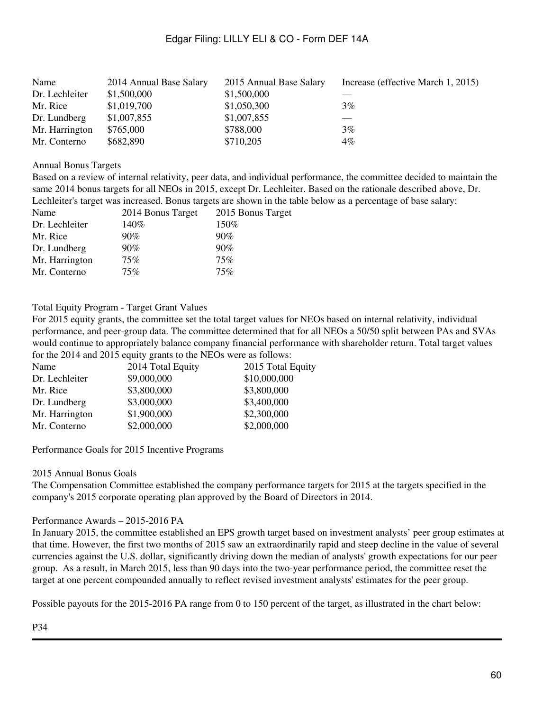| Name           | 2014 Annual Base Salary | 2015 Annual Base Salary | Increase (effective March 1, 2015) |
|----------------|-------------------------|-------------------------|------------------------------------|
| Dr. Lechleiter | \$1,500,000             | \$1,500,000             |                                    |
| Mr. Rice       | \$1,019,700             | \$1,050,300             | 3%                                 |
| Dr. Lundberg   | \$1,007,855             | \$1,007,855             |                                    |
| Mr. Harrington | \$765,000               | \$788,000               | 3%                                 |
| Mr. Conterno   | \$682,890               | \$710,205               | $4\%$                              |

#### Annual Bonus Targets

Based on a review of internal relativity, peer data, and individual performance, the committee decided to maintain the same 2014 bonus targets for all NEOs in 2015, except Dr. Lechleiter. Based on the rationale described above, Dr. Lechleiter's target was increased. Bonus targets are shown in the table below as a percentage of base salary:

| Name           | 2014 Bonus Target | 2015 Bonus Target |
|----------------|-------------------|-------------------|
| Dr. Lechleiter | 140%              | 150%              |
| Mr. Rice       | 90%               | 90%               |
| Dr. Lundberg   | $90\%$            | 90%               |
| Mr. Harrington | 75%               | 75%               |
| Mr. Conterno   | 75%               | 75%               |

### Total Equity Program - Target Grant Values

For 2015 equity grants, the committee set the total target values for NEOs based on internal relativity, individual performance, and peer-group data. The committee determined that for all NEOs a 50/50 split between PAs and SVAs would continue to appropriately balance company financial performance with shareholder return. Total target values for the 2014 and 2015 equity grants to the NEOs were as follows:

| 2014 Total Equity | 2015 Total Equity |
|-------------------|-------------------|
| \$9,000,000       | \$10,000,000      |
| \$3,800,000       | \$3,800,000       |
| \$3,000,000       | \$3,400,000       |
| \$1,900,000       | \$2,300,000       |
| \$2,000,000       | \$2,000,000       |
|                   |                   |

Performance Goals for 2015 Incentive Programs

### 2015 Annual Bonus Goals

The Compensation Committee established the company performance targets for 2015 at the targets specified in the company's 2015 corporate operating plan approved by the Board of Directors in 2014.

### Performance Awards – 2015-2016 PA

In January 2015, the committee established an EPS growth target based on investment analysts' peer group estimates at that time. However, the first two months of 2015 saw an extraordinarily rapid and steep decline in the value of several currencies against the U.S. dollar, significantly driving down the median of analysts' growth expectations for our peer group. As a result, in March 2015, less than 90 days into the two-year performance period, the committee reset the target at one percent compounded annually to reflect revised investment analysts' estimates for the peer group.

Possible payouts for the 2015-2016 PA range from 0 to 150 percent of the target, as illustrated in the chart below: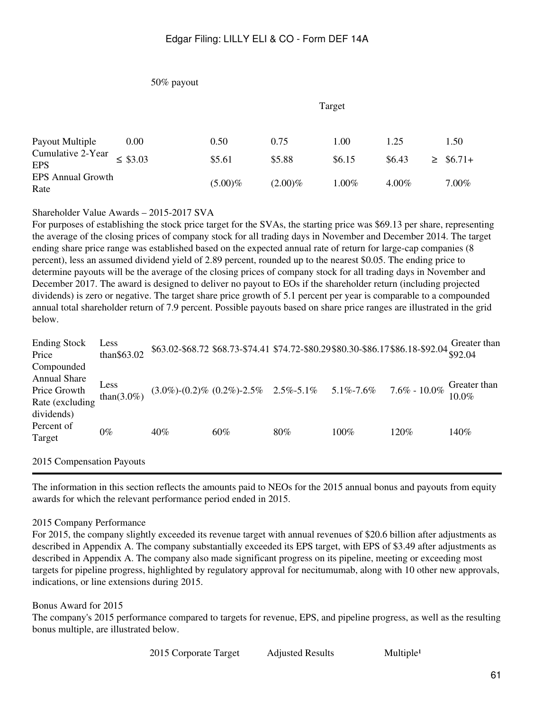## 50% payout

|                                  |               |            | Target     |        |          |   |          |  |
|----------------------------------|---------------|------------|------------|--------|----------|---|----------|--|
| Payout Multiple                  | 0.00          | 0.50       | 0.75       | 1.00   | 1.25     |   | 1.50     |  |
| Cumulative 2-Year<br><b>EPS</b>  | $\leq$ \$3.03 | \$5.61     | \$5.88     | \$6.15 | \$6.43   | ➢ | $$6.71+$ |  |
| <b>EPS Annual Growth</b><br>Rate |               | $(5.00)\%$ | $(2.00)\%$ | 1.00%  | $4.00\%$ |   | $7.00\%$ |  |

Shareholder Value Awards – 2015-2017 SVA

For purposes of establishing the stock price target for the SVAs, the starting price was \$69.13 per share, representing the average of the closing prices of company stock for all trading days in November and December 2014. The target ending share price range was established based on the expected annual rate of return for large-cap companies (8 percent), less an assumed dividend yield of 2.89 percent, rounded up to the nearest \$0.05. The ending price to determine payouts will be the average of the closing prices of company stock for all trading days in November and December 2017. The award is designed to deliver no payout to EOs if the shareholder return (including projected dividends) is zero or negative. The target share price growth of 5.1 percent per year is comparable to a compounded annual total shareholder return of 7.9 percent. Possible payouts based on share price ranges are illustrated in the grid below.

| <b>Ending Stock</b><br>Price                                         | Less<br>than\$63.02 | $$63.02$-$68.72$$ \$68.73-\$74.41 \$74.72-\$80.29\$80.30-\$86.17\$86.18-\$92.04 |                                                                     |     |         |                  | Greater than             |
|----------------------------------------------------------------------|---------------------|---------------------------------------------------------------------------------|---------------------------------------------------------------------|-----|---------|------------------|--------------------------|
| Compounded<br><b>Annual Share</b><br>Price Growth<br>Rate (excluding | Less<br>than(3.0%)  |                                                                                 | $(3.0\%)$ - $(0.2\%)$ - $(0.2\%)$ - $2.5\%$ 2.5%- $5.1\%$ 5.1%-7.6% |     |         | $7.6\% - 10.0\%$ | Greater than<br>$10.0\%$ |
| dividends)<br>Percent of<br>Target                                   | $0\%$               | 40%                                                                             | 60%                                                                 | 80% | $100\%$ | 120%             | 140%                     |
| 2015 Compensation Payouts                                            |                     |                                                                                 |                                                                     |     |         |                  |                          |

The information in this section reflects the amounts paid to NEOs for the 2015 annual bonus and payouts from equity awards for which the relevant performance period ended in 2015.

### 2015 Company Performance

For 2015, the company slightly exceeded its revenue target with annual revenues of \$20.6 billion after adjustments as described in Appendix A. The company substantially exceeded its EPS target, with EPS of \$3.49 after adjustments as described in Appendix A. The company also made significant progress on its pipeline, meeting or exceeding most targets for pipeline progress, highlighted by regulatory approval for necitumumab, along with 10 other new approvals, indications, or line extensions during 2015.

# Bonus Award for 2015

The company's 2015 performance compared to targets for revenue, EPS, and pipeline progress, as well as the resulting bonus multiple, are illustrated below.

| 2015 Corporate Target | <b>Adjusted Results</b> | Multiple <sup>1</sup> |
|-----------------------|-------------------------|-----------------------|
|-----------------------|-------------------------|-----------------------|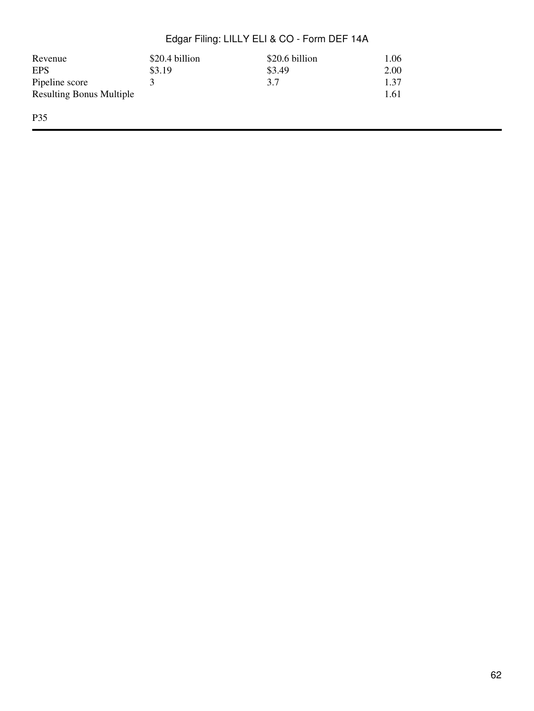| Revenue                         | \$20.4 billion | \$20.6 billion | 1.06 |
|---------------------------------|----------------|----------------|------|
| <b>EPS</b>                      | \$3.19         | \$3.49         | 2.00 |
| Pipeline score                  |                | 3.7            | 1.37 |
| <b>Resulting Bonus Multiple</b> |                |                | 1.61 |
| P35                             |                |                |      |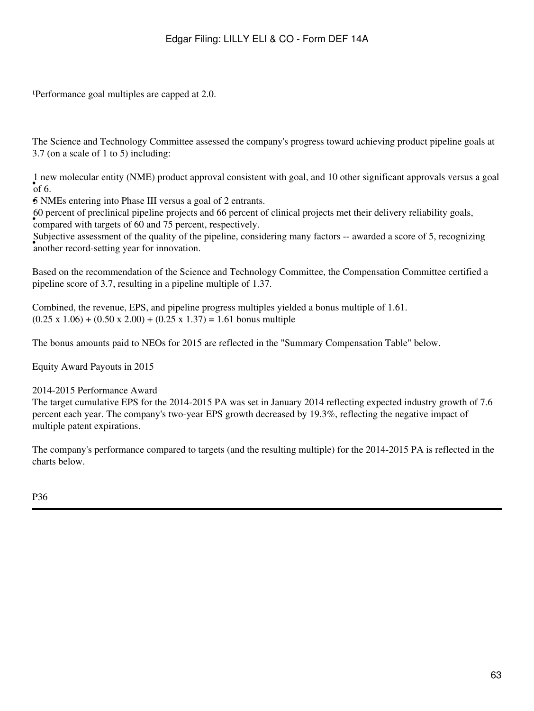Performance goal multiples are capped at 2.0.

The Science and Technology Committee assessed the company's progress toward achieving product pipeline goals at 3.7 (on a scale of 1 to 5) including:

 $\int_{0}^{1}$  inch. 1 new molecular entity (NME) product approval consistent with goal, and 10 other significant approvals versus a goal

•5 NMEs entering into Phase III versus a goal of 2 entrants.

• compared with targets of 60 and 75 percent, respectively. 60 percent of preclinical pipeline projects and 66 percent of clinical projects met their delivery reliability goals,

• another record-setting year for innovation. Subjective assessment of the quality of the pipeline, considering many factors -- awarded a score of 5, recognizing

Based on the recommendation of the Science and Technology Committee, the Compensation Committee certified a pipeline score of 3.7, resulting in a pipeline multiple of 1.37.

Combined, the revenue, EPS, and pipeline progress multiples yielded a bonus multiple of 1.61.  $(0.25 \times 1.06) + (0.50 \times 2.00) + (0.25 \times 1.37) = 1.61$  bonus multiple

The bonus amounts paid to NEOs for 2015 are reflected in the "Summary Compensation Table" below.

Equity Award Payouts in 2015

### 2014-2015 Performance Award

The target cumulative EPS for the 2014-2015 PA was set in January 2014 reflecting expected industry growth of 7.6 percent each year. The company's two-year EPS growth decreased by 19.3%, reflecting the negative impact of multiple patent expirations.

The company's performance compared to targets (and the resulting multiple) for the 2014-2015 PA is reflected in the charts below.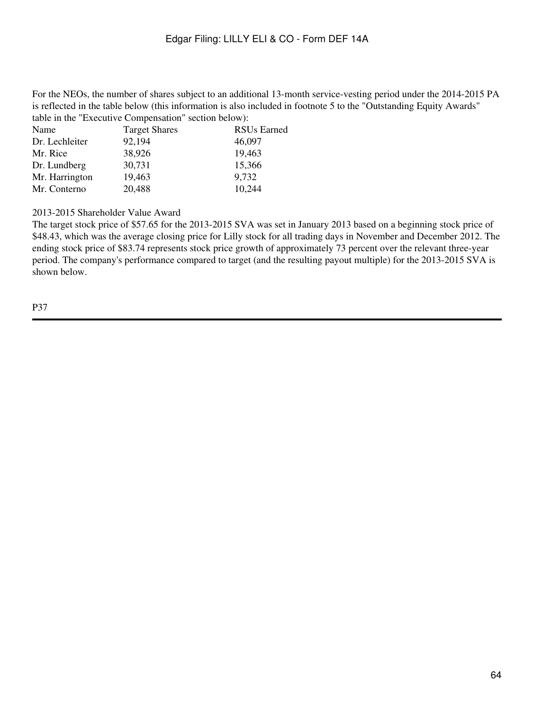For the NEOs, the number of shares subject to an additional 13-month service-vesting period under the 2014-2015 PA is reflected in the table below (this information is also included in footnote 5 to the "Outstanding Equity Awards" table in the "Executive Compensation" section below):

| Name           | <b>Target Shares</b> | <b>RSUs Earned</b> |
|----------------|----------------------|--------------------|
| Dr. Lechleiter | 92,194               | 46,097             |
| Mr. Rice       | 38,926               | 19,463             |
| Dr. Lundberg   | 30,731               | 15,366             |
| Mr. Harrington | 19,463               | 9,732              |
| Mr. Conterno   | 20,488               | 10,244             |

2013-2015 Shareholder Value Award

The target stock price of \$57.65 for the 2013-2015 SVA was set in January 2013 based on a beginning stock price of \$48.43, which was the average closing price for Lilly stock for all trading days in November and December 2012. The ending stock price of \$83.74 represents stock price growth of approximately 73 percent over the relevant three-year period. The company's performance compared to target (and the resulting payout multiple) for the 2013-2015 SVA is shown below.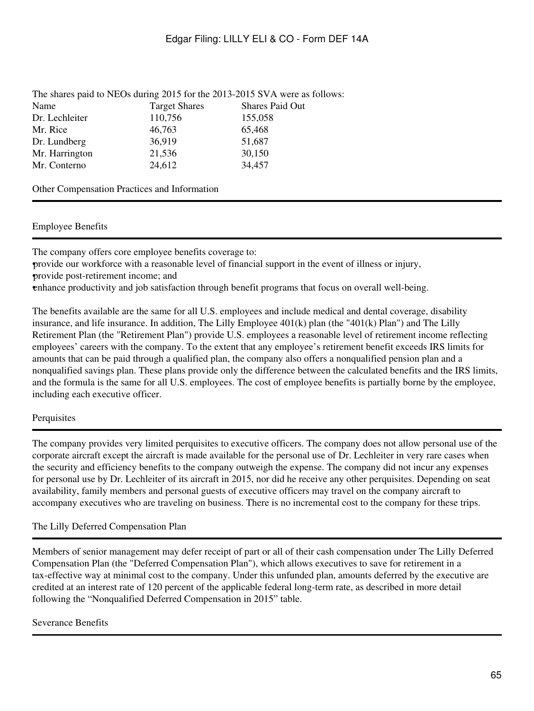|                |                      | The shares paid to NEOs during 2015 for the 2013-2015 SVA were as follows: |
|----------------|----------------------|----------------------------------------------------------------------------|
| Name           | <b>Target Shares</b> | <b>Shares Paid Out</b>                                                     |
| Dr. Lechleiter | 110,756              | 155,058                                                                    |
| Mr. Rice       | 46,763               | 65,468                                                                     |
| Dr. Lundberg   | 36,919               | 51,687                                                                     |
| Mr. Harrington | 21,536               | 30,150                                                                     |
| Mr. Conterno   | 24,612               | 34,457                                                                     |
|                |                      |                                                                            |

Other Compensation Practices and Information

### Employee Benefits

The company offers core employee benefits coverage to:

•provide our workforce with a reasonable level of financial support in the event of illness or injury, •provide post-retirement income; and

•enhance productivity and job satisfaction through benefit programs that focus on overall well-being.

The benefits available are the same for all U.S. employees and include medical and dental coverage, disability insurance, and life insurance. In addition, The Lilly Employee 401(k) plan (the "401(k) Plan") and The Lilly Retirement Plan (the "Retirement Plan") provide U.S. employees a reasonable level of retirement income reflecting employees' careers with the company. To the extent that any employee's retirement benefit exceeds IRS limits for amounts that can be paid through a qualified plan, the company also offers a nonqualified pension plan and a nonqualified savings plan. These plans provide only the difference between the calculated benefits and the IRS limits, and the formula is the same for all U.S. employees. The cost of employee benefits is partially borne by the employee, including each executive officer.

### **Perquisites**

The company provides very limited perquisites to executive officers. The company does not allow personal use of the corporate aircraft except the aircraft is made available for the personal use of Dr. Lechleiter in very rare cases when the security and efficiency benefits to the company outweigh the expense. The company did not incur any expenses for personal use by Dr. Lechleiter of its aircraft in 2015, nor did he receive any other perquisites. Depending on seat availability, family members and personal guests of executive officers may travel on the company aircraft to accompany executives who are traveling on business. There is no incremental cost to the company for these trips.

# The Lilly Deferred Compensation Plan

Members of senior management may defer receipt of part or all of their cash compensation under The Lilly Deferred Compensation Plan (the "Deferred Compensation Plan"), which allows executives to save for retirement in a tax-effective way at minimal cost to the company. Under this unfunded plan, amounts deferred by the executive are credited at an interest rate of 120 percent of the applicable federal long-term rate, as described in more detail following the "Nonqualified Deferred Compensation in 2015" table.

### Severance Benefits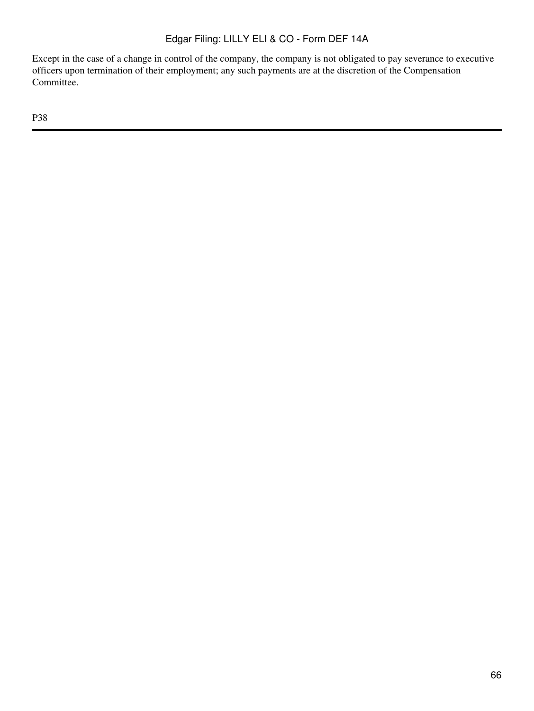Except in the case of a change in control of the company, the company is not obligated to pay severance to executive officers upon termination of their employment; any such payments are at the discretion of the Compensation Committee.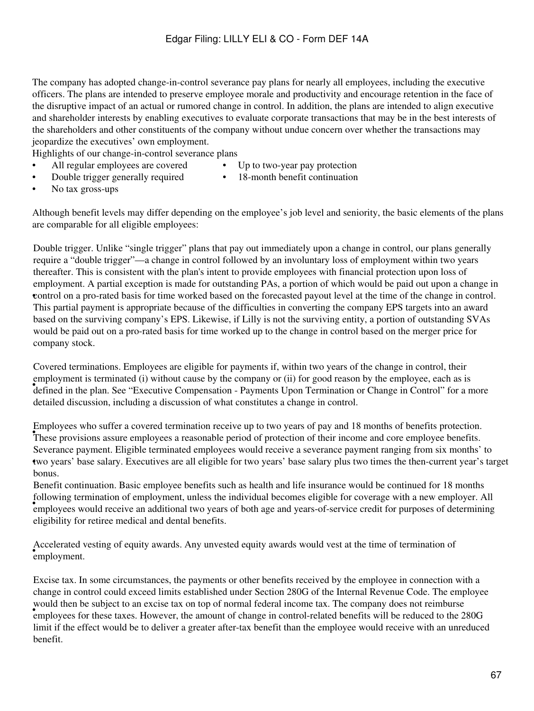The company has adopted change-in-control severance pay plans for nearly all employees, including the executive officers. The plans are intended to preserve employee morale and productivity and encourage retention in the face of the disruptive impact of an actual or rumored change in control. In addition, the plans are intended to align executive and shareholder interests by enabling executives to evaluate corporate transactions that may be in the best interests of the shareholders and other constituents of the company without undue concern over whether the transactions may jeopardize the executives' own employment.

Highlights of our change-in-control severance plans

- All regular employees are covered Up to two-year pay protection
- 
- Double trigger generally required 18-month benefit continuation
- 

• No tax gross-ups

Although benefit levels may differ depending on the employee's job level and seniority, the basic elements of the plans are comparable for all eligible employees:

• control on a pro-rated basis for time worked based on the forecasted payout level at the time of the change in control. Double trigger. Unlike "single trigger" plans that pay out immediately upon a change in control, our plans generally require a "double trigger"—a change in control followed by an involuntary loss of employment within two years thereafter. This is consistent with the plan's intent to provide employees with financial protection upon loss of employment. A partial exception is made for outstanding PAs, a portion of which would be paid out upon a change in This partial payment is appropriate because of the difficulties in converting the company EPS targets into an award based on the surviving company's EPS. Likewise, if Lilly is not the surviving entity, a portion of outstanding SVAs would be paid out on a pro-rated basis for time worked up to the change in control based on the merger price for company stock.

defined in the plan. See "Executive Compensation - Payments Upon Termination or Change in Control" for a more Covered terminations. Employees are eligible for payments if, within two years of the change in control, their employment is terminated (i) without cause by the company or (ii) for good reason by the employee, each as is detailed discussion, including a discussion of what constitutes a change in control.

These provisions assure employees a reasonable period of protection of their income and core employee benefits. Employees who suffer a covered termination receive up to two years of pay and 18 months of benefits protection. • two years' base salary. Executives are all eligible for two years' base salary plus two times the then-current year's target Severance payment. Eligible terminated employees would receive a severance payment ranging from six months' to bonus.

Fortext and the employees would receive an additional two years of both age and years-of-service credit for purposes of determining Benefit continuation. Basic employee benefits such as health and life insurance would be continued for 18 months following termination of employment, unless the individual becomes eligible for coverage with a new employer. All eligibility for retiree medical and dental benefits.

• employment. Accelerated vesting of equity awards. Any unvested equity awards would vest at the time of termination of

would then be stolect to an exerse tax on top of hormal redetar meone tax. The company does not remionse<br>employees for these taxes. However, the amount of change in control-related benefits will be reduced to the 280G Excise tax. In some circumstances, the payments or other benefits received by the employee in connection with a change in control could exceed limits established under Section 280G of the Internal Revenue Code. The employee would then be subject to an excise tax on top of normal federal income tax. The company does not reimburse limit if the effect would be to deliver a greater after-tax benefit than the employee would receive with an unreduced benefit.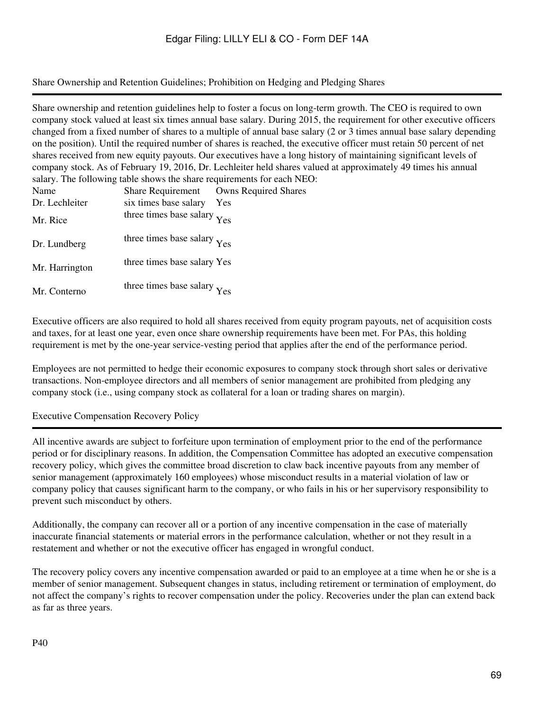Share Ownership and Retention Guidelines; Prohibition on Hedging and Pledging Shares

Share ownership and retention guidelines help to foster a focus on long-term growth. The CEO is required to own company stock valued at least six times annual base salary. During 2015, the requirement for other executive officers changed from a fixed number of shares to a multiple of annual base salary (2 or 3 times annual base salary depending on the position). Until the required number of shares is reached, the executive officer must retain 50 percent of net shares received from new equity payouts. Our executives have a long history of maintaining significant levels of company stock. As of February 19, 2016, Dr. Lechleiter held shares valued at approximately 49 times his annual salary. The following table shows the share requirements for each NEO:

| Name           | <b>Share Requirement</b>    | <b>Owns Required Shares</b> |
|----------------|-----------------------------|-----------------------------|
| Dr. Lechleiter | six times base salary       | Yes                         |
| Mr. Rice       | three times base salary Yes |                             |
| Dr. Lundberg   | three times base salary Yes |                             |
| Mr. Harrington | three times base salary Yes |                             |
| Mr. Conterno   | three times base salary Yes |                             |

Executive officers are also required to hold all shares received from equity program payouts, net of acquisition costs and taxes, for at least one year, even once share ownership requirements have been met. For PAs, this holding requirement is met by the one-year service-vesting period that applies after the end of the performance period.

Employees are not permitted to hedge their economic exposures to company stock through short sales or derivative transactions. Non-employee directors and all members of senior management are prohibited from pledging any company stock (i.e., using company stock as collateral for a loan or trading shares on margin).

Executive Compensation Recovery Policy

All incentive awards are subject to forfeiture upon termination of employment prior to the end of the performance period or for disciplinary reasons. In addition, the Compensation Committee has adopted an executive compensation recovery policy, which gives the committee broad discretion to claw back incentive payouts from any member of senior management (approximately 160 employees) whose misconduct results in a material violation of law or company policy that causes significant harm to the company, or who fails in his or her supervisory responsibility to prevent such misconduct by others.

Additionally, the company can recover all or a portion of any incentive compensation in the case of materially inaccurate financial statements or material errors in the performance calculation, whether or not they result in a restatement and whether or not the executive officer has engaged in wrongful conduct.

The recovery policy covers any incentive compensation awarded or paid to an employee at a time when he or she is a member of senior management. Subsequent changes in status, including retirement or termination of employment, do not affect the company's rights to recover compensation under the policy. Recoveries under the plan can extend back as far as three years.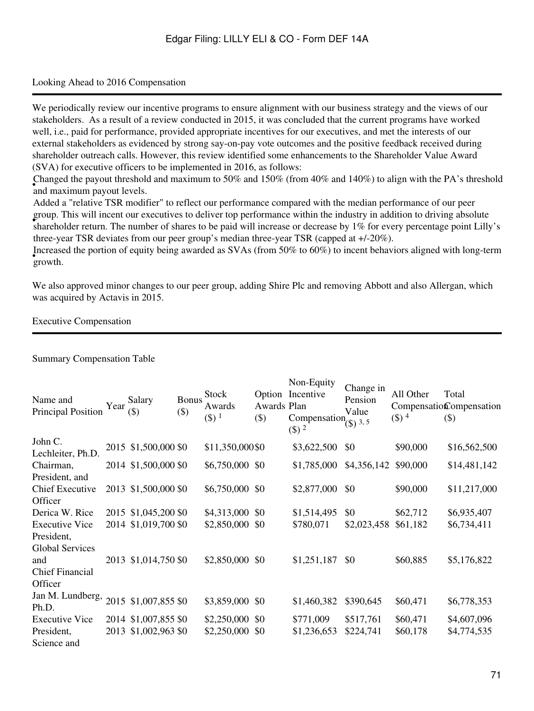### Looking Ahead to 2016 Compensation

We periodically review our incentive programs to ensure alignment with our business strategy and the views of our stakeholders. As a result of a review conducted in 2015, it was concluded that the current programs have worked well, i.e., paid for performance, provided appropriate incentives for our executives, and met the interests of our external stakeholders as evidenced by strong say-on-pay vote outcomes and the positive feedback received during shareholder outreach calls. However, this review identified some enhancements to the Shareholder Value Award (SVA) for executive officers to be implemented in 2016, as follows:

• Hanged the payout thresholder Changed the payout threshold and maximum to 50% and 150% (from 40% and 140%) to align with the PA's threshold

shareholder return. The number of shares to be paid will increase or decrease by 1% for every percentage point Lilly's Added a "relative TSR modifier" to reflect our performance compared with the median performance of our peer group. This will incent our executives to deliver top performance within the industry in addition to driving absolute three-year TSR deviates from our peer group's median three-year TSR (capped at +/-20%).

• growth. Increased the portion of equity being awarded as SVAs (from 50% to 60%) to incent behaviors aligned with long-term

We also approved minor changes to our peer group, adding Shire Plc and removing Abbott and also Allergan, which was acquired by Actavis in 2015.

# Executive Compensation

Name and Name and<br>Principal Position Year  $(\$\)$ (\$) Bonus (\$) **Stock** Awards  $($ \$)  $<sup>1</sup>$ </sup> Option Incentive Awards Plan (\$) Non-Equity Compensation  $($  $\circ$  $)$  $^2$ Change in Pension Value  $\binom{1}{3}$  3, 5 All Other Compensation Compensation  $($ \$)  $<sup>4</sup>$ </sup> Total (\$) John C. Lechleiter, Ph.D.  $2015$  \$1,500,000 \$0 \$11,350,000 \$0 \$3,622,500 \$0 \$90,000 \$16,562,500 Chairman, President, and Chief Executive **Officer** 2014 \$1,500,000 \$0 \$6,750,000 \$0 \$1,785,000 \$4,356,142 \$90,000 \$14,481,142 2013 \$1,500,000 \$0 \$6,750,000 \$0 \$2,877,000 \$0 \$90,000 \$11,217,000 Derica W. Rice 2015 \$1,045,200 \$0 \$4,313,000 \$0 \$1,514,495 \$0 \$62,712 \$6,935,407 Executive Vice President, Global Services and Chief Financial **Officer** 2014 \$1,019,700 \$0 \$2,850,000 \$0 \$780,071 \$2,023,458 \$61,182 \$6,734,411 2013 \$1,014,750 \$0 \$2,850,000 \$0 \$1,251,187 \$0 \$60,885 \$5,176,822 Jan M. Lundberg, Ph.D.<br>Ph.D. 2015 \$1,007,855 \$0 \$3,859,000 \$0 \$1,460,382 \$390,645 \$60,471 \$6,778,353 Executive Vice President, Science and 2014 \$1,007,855 \$0 \$2,250,000 \$0 \$771,009 \$517,761 \$60,471 \$4,607,096 2013 \$1,002,963 \$0 \$2,250,000 \$0 \$1,236,653 \$224,741 \$60,178 \$4,774,535

Summary Compensation Table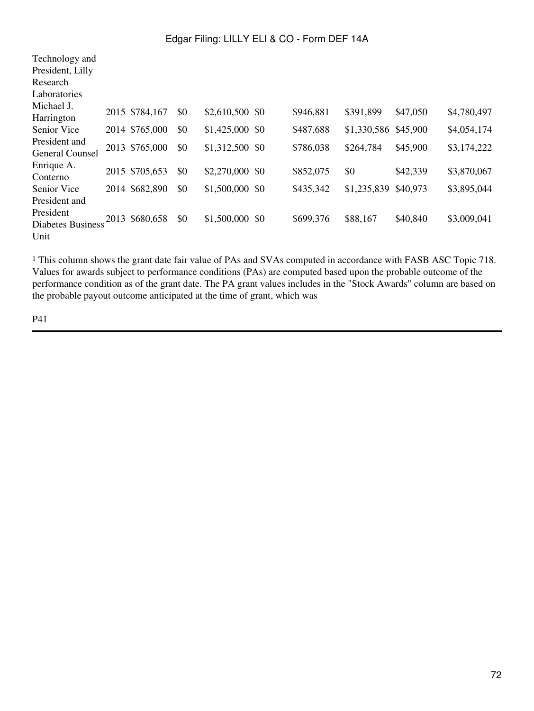| Technology and                          |                |     |                  |           |             |          |             |
|-----------------------------------------|----------------|-----|------------------|-----------|-------------|----------|-------------|
| President, Lilly                        |                |     |                  |           |             |          |             |
| Research                                |                |     |                  |           |             |          |             |
| Laboratories                            |                |     |                  |           |             |          |             |
| Michael J.<br>Harrington                | 2015 \$784,167 | \$0 | \$2,610,500 \$0  | \$946,881 | \$391,899   | \$47,050 | \$4,780,497 |
| <b>Senior Vice</b>                      | 2014 \$765,000 | \$0 | $$1,425,000$ \$0 | \$487,688 | \$1,330,586 | \$45,900 | \$4,054,174 |
| President and<br><b>General Counsel</b> | 2013 \$765,000 | \$0 | \$1,312,500 \$0  | \$786,038 | \$264,784   | \$45,900 | \$3,174,222 |
| Enrique A.<br>Conterno                  | 2015 \$705,653 | \$0 | \$2,270,000 \$0  | \$852,075 | \$0         | \$42,339 | \$3,870,067 |
| Senior Vice                             | 2014 \$682,890 | \$0 | \$1,500,000 \$0  | \$435,342 | \$1,235,839 | \$40,973 | \$3,895,044 |
| President and                           |                |     |                  |           |             |          |             |
| President<br><b>Diabetes Business</b>   | 2013 \$680,658 | \$0 | \$1,500,000 \$0  | \$699,376 | \$88,167    | \$40,840 | \$3,009,041 |
| Unit                                    |                |     |                  |           |             |          |             |

<sup>1</sup> This column shows the grant date fair value of PAs and SVAs computed in accordance with FASB ASC Topic 718. Values for awards subject to performance conditions (PAs) are computed based upon the probable outcome of the performance condition as of the grant date. The PA grant values includes in the "Stock Awards" column are based on the probable payout outcome anticipated at the time of grant, which was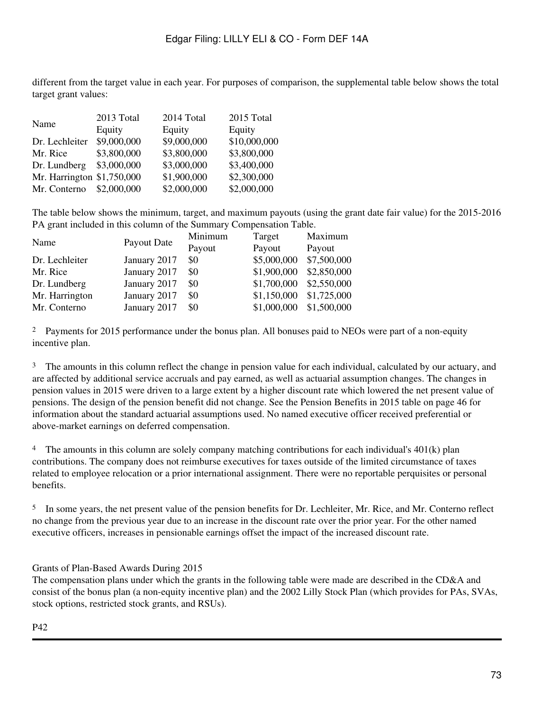different from the target value in each year. For purposes of comparison, the supplemental table below shows the total target grant values:

|                            | 2013 Total  | 2014 Total  | 2015 Total   |
|----------------------------|-------------|-------------|--------------|
| Name                       | Equity      | Equity      | Equity       |
| Dr. Lechleiter             | \$9,000,000 | \$9,000,000 | \$10,000,000 |
| Mr. Rice                   | \$3,800,000 | \$3,800,000 | \$3,800,000  |
| Dr. Lundberg               | \$3,000,000 | \$3,000,000 | \$3,400,000  |
| Mr. Harrington \$1,750,000 |             | \$1,900,000 | \$2,300,000  |
| Mr. Conterno               | \$2,000,000 | \$2,000,000 | \$2,000,000  |

The table below shows the minimum, target, and maximum payouts (using the grant date fair value) for the 2015-2016 PA grant included in this column of the Summary Compensation Table.

|              | Minimum     | Target      | Maximum     |
|--------------|-------------|-------------|-------------|
|              | Payout      | Payout      | Payout      |
| January 2017 | \$0         | \$5,000,000 | \$7,500,000 |
| January 2017 | \$0         | \$1,900,000 | \$2,850,000 |
| January 2017 | \$0         |             | \$2,550,000 |
| January 2017 | \$0         | \$1,150,000 | \$1,725,000 |
| January 2017 | \$0         | \$1,000,000 | \$1,500,000 |
|              | Payout Date |             | \$1,700,000 |

<sup>2</sup> Payments for 2015 performance under the bonus plan. All bonuses paid to NEOs were part of a non-equity incentive plan.

<sup>3</sup> The amounts in this column reflect the change in pension value for each individual, calculated by our actuary, and are affected by additional service accruals and pay earned, as well as actuarial assumption changes. The changes in pension values in 2015 were driven to a large extent by a higher discount rate which lowered the net present value of pensions. The design of the pension benefit did not change. See the Pension Benefits in 2015 table on page 46 for information about the standard actuarial assumptions used. No named executive officer received preferential or above-market earnings on deferred compensation.

<sup>4</sup> The amounts in this column are solely company matching contributions for each individual's  $401(k)$  plan contributions. The company does not reimburse executives for taxes outside of the limited circumstance of taxes related to employee relocation or a prior international assignment. There were no reportable perquisites or personal benefits.

<sup>5</sup> In some years, the net present value of the pension benefits for Dr. Lechleiter, Mr. Rice, and Mr. Conterno reflect no change from the previous year due to an increase in the discount rate over the prior year. For the other named executive officers, increases in pensionable earnings offset the impact of the increased discount rate.

Grants of Plan-Based Awards During 2015

The compensation plans under which the grants in the following table were made are described in the CD&A and consist of the bonus plan (a non-equity incentive plan) and the 2002 Lilly Stock Plan (which provides for PAs, SVAs, stock options, restricted stock grants, and RSUs).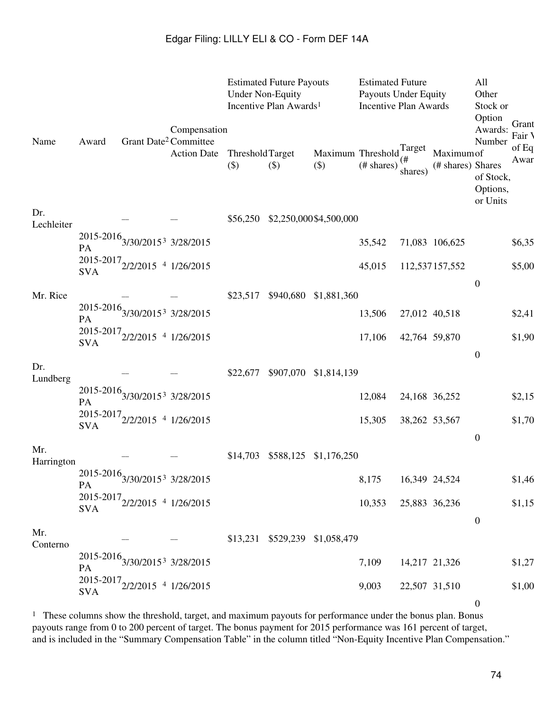|                   |            |                                                            | Compensation       | <b>Under Non-Equity</b>          | <b>Estimated Future Payouts</b><br>Incentive Plan Awards <sup>1</sup> |                                                   | <b>Estimated Future</b><br><b>Payouts Under Equity</b><br><b>Incentive Plan Awards</b> |               |                                 | All<br>Other<br>Stock or<br>Option<br>Awards: | Grant<br>Fair V |
|-------------------|------------|------------------------------------------------------------|--------------------|----------------------------------|-----------------------------------------------------------------------|---------------------------------------------------|----------------------------------------------------------------------------------------|---------------|---------------------------------|-----------------------------------------------|-----------------|
| Name              | Award      | Grant Date <sup>2</sup> Committee                          | <b>Action Date</b> | <b>ThresholdTarget</b><br>$(\$)$ | $(\$)$                                                                | Maximum Threshold $\int_{\mu}^{Target}$<br>$(\$)$ | (# shares)                                                                             | shares)       | Maximum of<br>(# shares) Shares | Number<br>of Stock,<br>Options,<br>or Units   | of Eq<br>Awar   |
| Dr.<br>Lechleiter |            |                                                            |                    | \$56,250                         |                                                                       | \$2,250,000\$4,500,000                            |                                                                                        |               |                                 |                                               |                 |
|                   | PA         | $2015 - 2016$ $3/30/2015^3$ $3/28/2015$                    |                    |                                  |                                                                       |                                                   | 35,542                                                                                 |               | 71,083 106,625                  |                                               | \$6,35          |
|                   | <b>SVA</b> | $2015 - 2017$ <sub>2/2/2015</sub> 4 1/26/2015              |                    |                                  |                                                                       |                                                   | 45,015                                                                                 |               | 112,537157,552                  |                                               | \$5,00          |
| Mr. Rice          |            |                                                            |                    | \$23,517                         | \$940,680                                                             | \$1,881,360                                       |                                                                                        |               |                                 | $\boldsymbol{0}$                              |                 |
|                   | PA         | $2015 - 2016$ $3/30/2015^3$ $3/28/2015$                    |                    |                                  |                                                                       |                                                   | 13,506                                                                                 | 27,012 40,518 |                                 |                                               | \$2,41          |
|                   | <b>SVA</b> | $2015 - 2017$ <sub>2/2/2015</sub> 4 1/26/2015              |                    |                                  |                                                                       |                                                   | 17,106                                                                                 | 42,764 59,870 |                                 |                                               | \$1,90          |
| Dr.<br>Lundberg   |            |                                                            |                    | \$22,677                         | \$907,070                                                             | \$1,814,139                                       |                                                                                        |               |                                 | $\boldsymbol{0}$                              |                 |
|                   | PA         | $2015 - 2016$ <sub>3/30/2015</sub> <sup>3</sup> 3/28/2015  |                    |                                  |                                                                       |                                                   | 12,084                                                                                 | 24,168 36,252 |                                 |                                               | \$2,15          |
|                   | <b>SVA</b> | $2015 - 2017$ <sub>2/2/2015</sub> 4 1/26/2015              |                    |                                  |                                                                       |                                                   | 15,305                                                                                 | 38,262 53,567 |                                 |                                               | \$1,70          |
| Mr.               |            |                                                            |                    | \$14,703                         | \$588,125                                                             | \$1,176,250                                       |                                                                                        |               |                                 | $\boldsymbol{0}$                              |                 |
| Harrington        |            |                                                            |                    |                                  |                                                                       |                                                   |                                                                                        |               |                                 |                                               |                 |
|                   | PA         | $2015 - 2016$ <sub>3</sub> /30/2015 <sup>3</sup> 3/28/2015 |                    |                                  |                                                                       |                                                   | 8,175                                                                                  | 16,349 24,524 |                                 |                                               | \$1,46          |
|                   | <b>SVA</b> | $2015 - 2017$ <sub>2/2/2015</sub> 4 1/26/2015              |                    |                                  |                                                                       |                                                   | 10,353                                                                                 | 25,883 36,236 |                                 | $\boldsymbol{0}$                              | \$1,15          |
| Mr.<br>Conterno   |            |                                                            |                    |                                  |                                                                       | \$13,231 \$529,239 \$1,058,479                    |                                                                                        |               |                                 |                                               |                 |
|                   | PA         | $2015\text{-}2016_{3/30/2015^3}$ 3/28/2015                 |                    |                                  |                                                                       |                                                   | 7,109                                                                                  | 14,217 21,326 |                                 |                                               | \$1,27          |
|                   | <b>SVA</b> | $2015 - 2017$ <sub>2/2/2015</sub> 4 1/26/2015              |                    |                                  |                                                                       |                                                   | 9,003                                                                                  | 22,507 31,510 |                                 |                                               | \$1,00          |
|                   |            |                                                            |                    |                                  |                                                                       |                                                   |                                                                                        |               |                                 | $\boldsymbol{0}$                              |                 |

<sup>1</sup> These columns show the threshold, target, and maximum payouts for performance under the bonus plan. Bonus payouts range from 0 to 200 percent of target. The bonus payment for 2015 performance was 161 percent of target, and is included in the "Summary Compensation Table" in the column titled "Non-Equity Incentive Plan Compensation."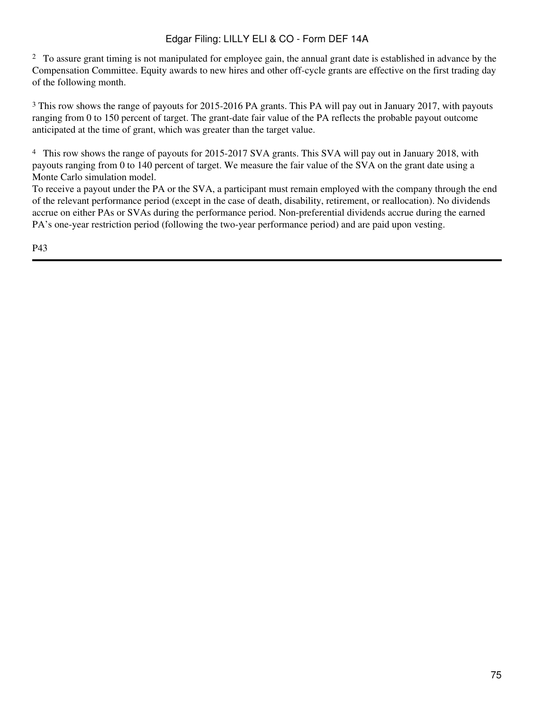<sup>2</sup> To assure grant timing is not manipulated for employee gain, the annual grant date is established in advance by the Compensation Committee. Equity awards to new hires and other off-cycle grants are effective on the first trading day of the following month.

<sup>3</sup> This row shows the range of payouts for 2015-2016 PA grants. This PA will pay out in January 2017, with payouts ranging from 0 to 150 percent of target. The grant-date fair value of the PA reflects the probable payout outcome anticipated at the time of grant, which was greater than the target value.

<sup>4</sup> This row shows the range of payouts for 2015-2017 SVA grants. This SVA will pay out in January 2018, with payouts ranging from 0 to 140 percent of target. We measure the fair value of the SVA on the grant date using a Monte Carlo simulation model.

To receive a payout under the PA or the SVA, a participant must remain employed with the company through the end of the relevant performance period (except in the case of death, disability, retirement, or reallocation). No dividends accrue on either PAs or SVAs during the performance period. Non-preferential dividends accrue during the earned PA's one-year restriction period (following the two-year performance period) and are paid upon vesting.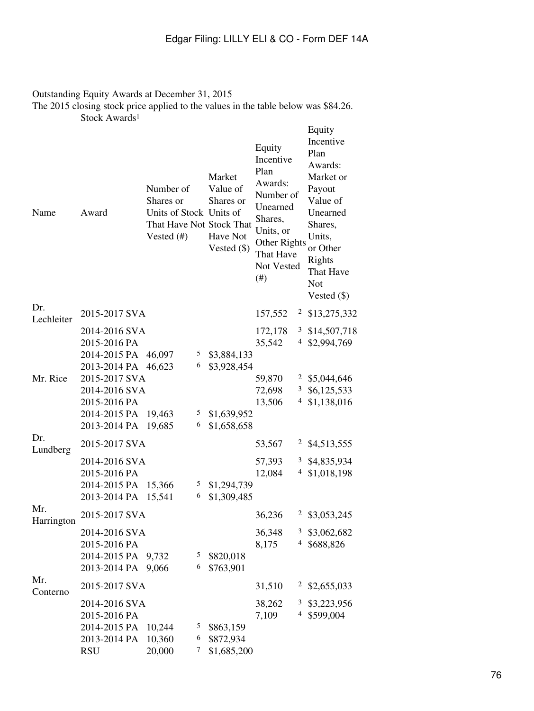### Outstanding Equity Awards at December 31, 2015 The 2015 closing stock price applied to the values in the table below was \$84.26. Stock Awards 1

| Name              | Award                                                                       | Number of<br>Shares or<br>Units of Stock Units of<br>That Have Not Stock That<br>Vested $(\#)$ |             | Market<br>Value of<br>Shares or<br>Have Not<br>Vested $(\$)$ | Equity<br>Incentive<br>Plan<br>Awards:<br>Number of<br>Unearned<br>Shares,<br>Units, or<br>Other Rights<br>That Have<br>Not Vested<br>$(\#)$ |              | Equity<br>Incentive<br>Plan<br>Awards:<br>Market or<br>Payout<br>Value of<br>Unearned<br>Shares,<br>Units,<br>or Other<br>Rights<br>That Have<br><b>Not</b><br>Vested $(\$)$ |
|-------------------|-----------------------------------------------------------------------------|------------------------------------------------------------------------------------------------|-------------|--------------------------------------------------------------|----------------------------------------------------------------------------------------------------------------------------------------------|--------------|------------------------------------------------------------------------------------------------------------------------------------------------------------------------------|
| Dr.<br>Lechleiter | 2015-2017 SVA                                                               |                                                                                                |             |                                                              | 157,552                                                                                                                                      |              | $2$ \$13,275,332                                                                                                                                                             |
|                   | 2014-2016 SVA<br>2015-2016 PA<br>2014-2015 PA<br>2013-2014 PA               | 46,097<br>46,623                                                                               | 5<br>6      | \$3,884,133<br>\$3,928,454                                   | 172,178<br>35,542                                                                                                                            |              | $3$ \$14,507,718<br>4 \$2,994,769                                                                                                                                            |
| Mr. Rice          | 2015-2017 SVA<br>2014-2016 SVA<br>2015-2016 PA<br>2014-2015 PA              | 19,463                                                                                         | 5           | \$1,639,952                                                  | 59,870<br>72,698<br>13,506                                                                                                                   | 4            | $2$ \$5,044,646<br>$3\quad$ \$6,125,533<br>\$1,138,016                                                                                                                       |
| Dr.               | 2013-2014 PA<br>2015-2017 SVA                                               | 19,685                                                                                         | 6           | \$1,658,658                                                  | 53,567                                                                                                                                       |              | $2$ \$4,513,555                                                                                                                                                              |
| Lundberg          | 2014-2016 SVA<br>2015-2016 PA<br>2014-2015 PA<br>2013-2014 PA               | 15,366<br>15,541                                                                               | 5<br>6      | \$1,294,739<br>\$1,309,485                                   | 57,393<br>12,084                                                                                                                             |              | 3 \$4,835,934<br>$4$ \$1,018,198                                                                                                                                             |
| Mr.<br>Harrington | 2015-2017 SVA<br>2014-2016 SVA                                              |                                                                                                |             |                                                              | 36,236<br>36,348                                                                                                                             | 3            | $2$ \$3,053,245<br>\$3,062,682                                                                                                                                               |
|                   | 2015-2016 PA<br>2014-2015 PA<br>2013-2014 PA                                | 9,732<br>9,066                                                                                 | 5<br>6      | \$820,018<br>\$763,901                                       | 8,175                                                                                                                                        | 4            | \$688,826                                                                                                                                                                    |
| Mr.<br>Conterno   | 2015-2017 SVA                                                               |                                                                                                |             |                                                              | 31,510                                                                                                                                       | $\mathbf{Z}$ | \$2,655,033                                                                                                                                                                  |
|                   | 2014-2016 SVA<br>2015-2016 PA<br>2014-2015 PA<br>2013-2014 PA<br><b>RSU</b> | 10,244<br>10,360<br>20,000                                                                     | 5<br>6<br>7 | \$863,159<br>\$872,934<br>\$1,685,200                        | 38,262<br>7,109                                                                                                                              | 3<br>4       | \$3,223,956<br>\$599,004                                                                                                                                                     |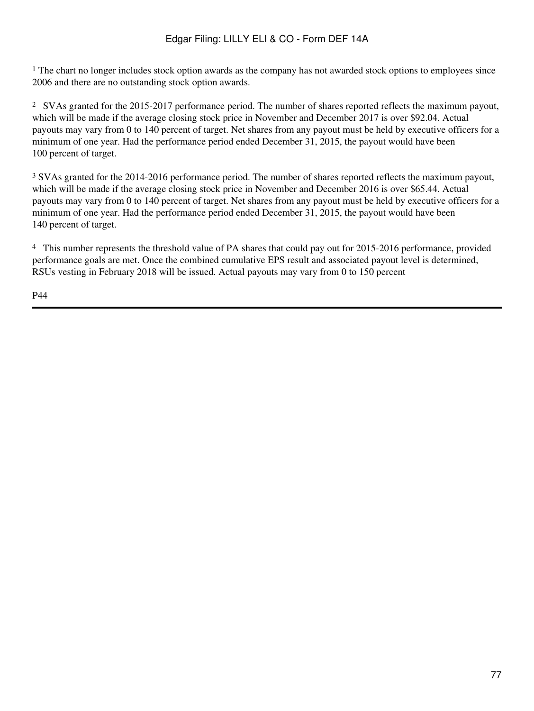<sup>1</sup> The chart no longer includes stock option awards as the company has not awarded stock options to employees since 2006 and there are no outstanding stock option awards.

<sup>2</sup> SVAs granted for the 2015-2017 performance period. The number of shares reported reflects the maximum payout, which will be made if the average closing stock price in November and December 2017 is over \$92.04. Actual payouts may vary from 0 to 140 percent of target. Net shares from any payout must be held by executive officers for a minimum of one year. Had the performance period ended December 31, 2015, the payout would have been 100 percent of target.

<sup>3</sup> SVAs granted for the 2014-2016 performance period. The number of shares reported reflects the maximum payout, which will be made if the average closing stock price in November and December 2016 is over \$65.44. Actual payouts may vary from 0 to 140 percent of target. Net shares from any payout must be held by executive officers for a minimum of one year. Had the performance period ended December 31, 2015, the payout would have been 140 percent of target.

<sup>4</sup> This number represents the threshold value of PA shares that could pay out for 2015-2016 performance, provided performance goals are met. Once the combined cumulative EPS result and associated payout level is determined, RSUs vesting in February 2018 will be issued. Actual payouts may vary from 0 to 150 percent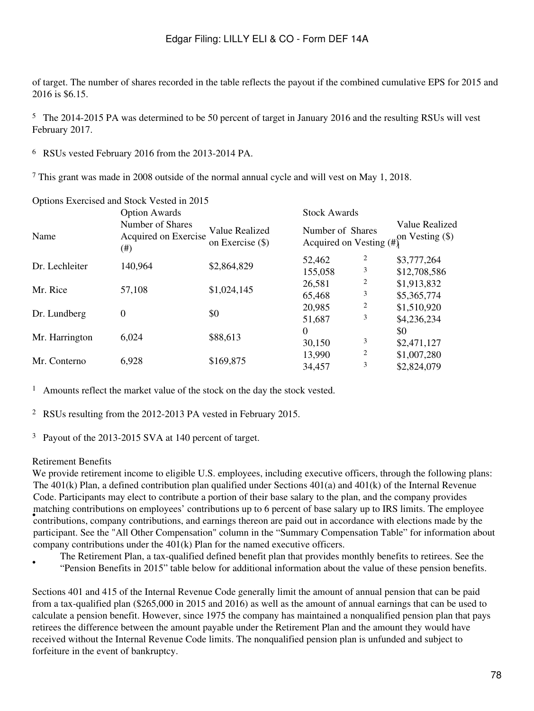of target. The number of shares recorded in the table reflects the payout if the combined cumulative EPS for 2015 and 2016 is \$6.15.

<sup>5</sup> The 2014-2015 PA was determined to be 50 percent of target in January 2016 and the resulting RSUs will vest February 2017.

<sup>6</sup>RSUs vested February 2016 from the 2013-2014 PA.

<sup>7</sup> This grant was made in 2008 outside of the normal annual cycle and will vest on May 1, 2018.

|                | Options Exercised and Stock Vested in 2015       |                                    |                                                |                         |                                     |
|----------------|--------------------------------------------------|------------------------------------|------------------------------------------------|-------------------------|-------------------------------------|
|                | <b>Option Awards</b>                             |                                    | <b>Stock Awards</b>                            |                         |                                     |
| Name           | Number of Shares<br>Acquired on Exercise<br>(# ) | Value Realized<br>on Exercise (\$) | Number of Shares<br>Acquired on Vesting $(\#)$ |                         | Value Realized<br>on Vesting $(\$)$ |
|                |                                                  |                                    | 52,462                                         | $\overline{\mathbf{c}}$ | \$3,777,264                         |
| Dr. Lechleiter | 140,964                                          | \$2,864,829                        | 155,058                                        | 3                       | \$12,708,586                        |
| Mr. Rice       | 57,108                                           | \$1,024,145                        | 26,581                                         | 2                       | \$1,913,832                         |
|                |                                                  |                                    | 65,468                                         | 3                       | \$5,365,774                         |
|                |                                                  |                                    | 20,985                                         | 2                       | \$1,510,920                         |
| Dr. Lundberg   | 0                                                | \$0                                | 51,687                                         | 3                       | \$4,236,234                         |
|                |                                                  |                                    | $\Omega$                                       |                         | \$0                                 |
| Mr. Harrington | 6,024                                            | \$88,613                           | 30,150                                         | 3                       | \$2,471,127                         |
|                |                                                  |                                    | 13,990                                         | 2                       | \$1,007,280                         |
| Mr. Conterno   | 6,928                                            | \$169,875                          | 34,457                                         | 3                       | \$2,824,079                         |

<sup>1</sup> Amounts reflect the market value of the stock on the day the stock vested.

<sup>2</sup>RSUs resulting from the 2012-2013 PA vested in February 2015.

<sup>3</sup> Payout of the 2013-2015 SVA at 140 percent of target.

#### Retirement Benefits

We provide retirement income to eligible U.S. employees, including executive officers, through the following plans: **Frace the contributions** on employees contributions up to 0 percent of base salary up to fixed finites. The employee contributions, company contributions, and earnings thereon are paid out in accordance with elections mad The 401(k) Plan, a defined contribution plan qualified under Sections 401(a) and 401(k) of the Internal Revenue Code. Participants may elect to contribute a portion of their base salary to the plan, and the company provides matching contributions on employees' contributions up to 6 percent of base salary up to IRS limits. The employee participant. See the "All Other Compensation" column in the "Summary Compensation Table" for information about company contributions under the  $401(k)$  Plan for the named executive officers.

• The Retirement Plan, a tax-qualified defined benefit plan that provides monthly benefits to retirees. See the "Pension Benefits in 2015" table below for additional information about the value of these pension benefits.

Sections 401 and 415 of the Internal Revenue Code generally limit the amount of annual pension that can be paid from a tax-qualified plan (\$265,000 in 2015 and 2016) as well as the amount of annual earnings that can be used to calculate a pension benefit. However, since 1975 the company has maintained a nonqualified pension plan that pays retirees the difference between the amount payable under the Retirement Plan and the amount they would have received without the Internal Revenue Code limits. The nonqualified pension plan is unfunded and subject to forfeiture in the event of bankruptcy.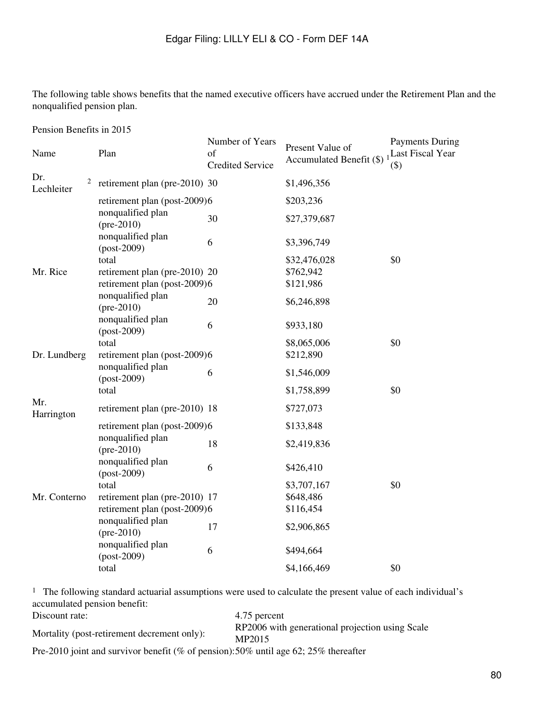The following table shows benefits that the named executive officers have accrued under the Retirement Plan and the nonqualified pension plan.

Pension Benefits in 2015

| Name                   | Plan                                     | Number of Years<br>of<br><b>Credited Service</b> | Present Value of<br>Accumulated Benefit (\$) | <b>Payments During</b><br>Last Fiscal Year<br>$(\$)$ |
|------------------------|------------------------------------------|--------------------------------------------------|----------------------------------------------|------------------------------------------------------|
| Dr.<br>2<br>Lechleiter | retirement plan (pre-2010) 30            |                                                  | \$1,496,356                                  |                                                      |
|                        | retirement plan (post-2009)6             |                                                  | \$203,236                                    |                                                      |
|                        | nonqualified plan<br>$(\text{pre-}2010)$ | 30                                               | \$27,379,687                                 |                                                      |
|                        | nonqualified plan<br>$-post-2009)$       | 6                                                | \$3,396,749                                  |                                                      |
|                        | total                                    |                                                  | \$32,476,028                                 | \$0                                                  |
| Mr. Rice               | retirement plan (pre-2010) 20            |                                                  | \$762,942                                    |                                                      |
|                        | retirement plan (post-2009)6             |                                                  | \$121,986                                    |                                                      |
|                        | nonqualified plan<br>$(\text{pre-}2010)$ | 20                                               | \$6,246,898                                  |                                                      |
|                        | nonqualified plan<br>$-post-2009)$       | 6                                                | \$933,180                                    |                                                      |
|                        | total                                    |                                                  | \$8,065,006                                  | \$0                                                  |
| Dr. Lundberg           | retirement plan (post-2009)6             |                                                  | \$212,890                                    |                                                      |
|                        | nonqualified plan                        |                                                  |                                              |                                                      |
|                        | $-post-2009)$                            | 6                                                | \$1,546,009                                  |                                                      |
|                        | total                                    |                                                  | \$1,758,899                                  | \$0                                                  |
| Mr.<br>Harrington      | retirement plan (pre-2010) 18            |                                                  | \$727,073                                    |                                                      |
|                        | retirement plan (post-2009)6             |                                                  | \$133,848                                    |                                                      |
|                        | nonqualified plan<br>$(pre-2010)$        | 18                                               | \$2,419,836                                  |                                                      |
|                        | nonqualified plan<br>$-post-2009)$       | 6                                                | \$426,410                                    |                                                      |
|                        | total                                    |                                                  | \$3,707,167                                  | \$0                                                  |
| Mr. Conterno           | retirement plan (pre-2010) 17            |                                                  | \$648,486                                    |                                                      |
|                        | retirement plan (post-2009)6             |                                                  | \$116,454                                    |                                                      |
|                        | nonqualified plan<br>$(\text{pre-}2010)$ | 17                                               | \$2,906,865                                  |                                                      |
|                        | nonqualified plan<br>$-post-2009)$       | 6                                                | \$494,664                                    |                                                      |
|                        | total                                    |                                                  | \$4,166,469                                  | \$0                                                  |

<sup>1</sup> The following standard actuarial assumptions were used to calculate the present value of each individual's accumulated pension benefit:

| Discount rate:                                                                      | 4.75 percent                                              |
|-------------------------------------------------------------------------------------|-----------------------------------------------------------|
| Mortality (post-retirement decrement only):                                         | RP2006 with generational projection using Scale<br>MP2015 |
| Pre-2010 joint and survivor benefit (% of pension):50% until age 62; 25% thereafter |                                                           |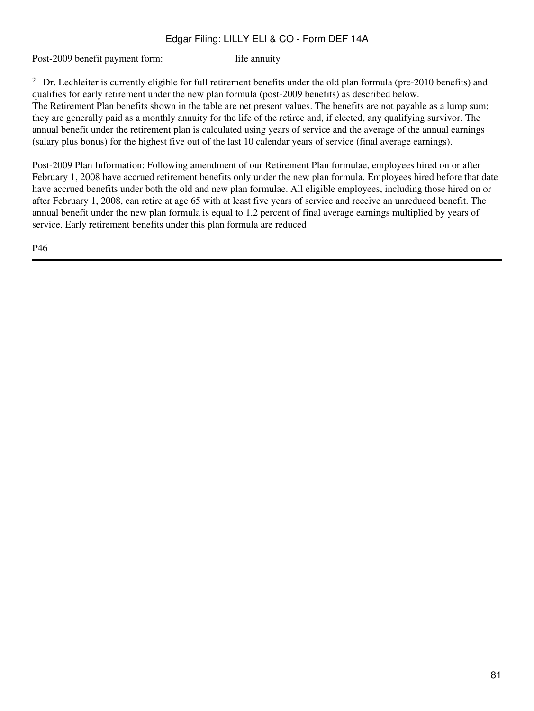Post-2009 benefit payment form: life annuity

<sup>2</sup> Dr. Lechleiter is currently eligible for full retirement benefits under the old plan formula (pre-2010 benefits) and qualifies for early retirement under the new plan formula (post-2009 benefits) as described below. The Retirement Plan benefits shown in the table are net present values. The benefits are not payable as a lump sum; they are generally paid as a monthly annuity for the life of the retiree and, if elected, any qualifying survivor. The annual benefit under the retirement plan is calculated using years of service and the average of the annual earnings (salary plus bonus) for the highest five out of the last 10 calendar years of service (final average earnings).

Post-2009 Plan Information: Following amendment of our Retirement Plan formulae, employees hired on or after February 1, 2008 have accrued retirement benefits only under the new plan formula. Employees hired before that date have accrued benefits under both the old and new plan formulae. All eligible employees, including those hired on or after February 1, 2008, can retire at age 65 with at least five years of service and receive an unreduced benefit. The annual benefit under the new plan formula is equal to 1.2 percent of final average earnings multiplied by years of service. Early retirement benefits under this plan formula are reduced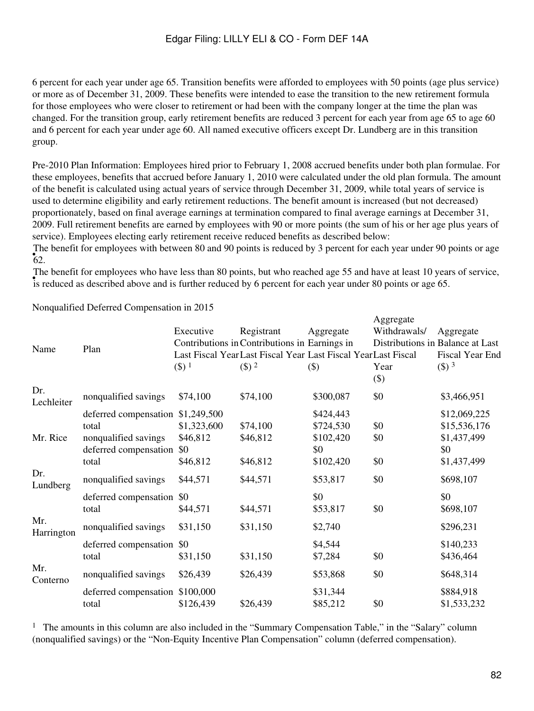6 percent for each year under age 65. Transition benefits were afforded to employees with 50 points (age plus service) or more as of December 31, 2009. These benefits were intended to ease the transition to the new retirement formula for those employees who were closer to retirement or had been with the company longer at the time the plan was changed. For the transition group, early retirement benefits are reduced 3 percent for each year from age 65 to age 60 and 6 percent for each year under age 60. All named executive officers except Dr. Lundberg are in this transition group.

Pre-2010 Plan Information: Employees hired prior to February 1, 2008 accrued benefits under both plan formulae. For these employees, benefits that accrued before January 1, 2010 were calculated under the old plan formula. The amount of the benefit is calculated using actual years of service through December 31, 2009, while total years of service is used to determine eligibility and early retirement reductions. The benefit amount is increased (but not decreased) proportionately, based on final average earnings at termination compared to final average earnings at December 31, 2009. Full retirement benefits are earned by employees with 90 or more points (the sum of his or her age plus years of service). Employees electing early retirement receive reduced benefits as described below:

 $\frac{1}{62}$ . The benefit for employees with between 80 and 90 points is reduced by 3 percent for each year under 90 points or age

included as described above and is further reduced by 6 percent for each year under 80 points or age 65. The benefit for employees who have less than 80 points, but who reached age 55 and have at least 10 years of service,

 $\Delta$ ggregate

| Name              | Plan                                                                                                 | Executive<br>$($ \$) $1$                   | Registrant<br>Contributions in Contributions in Earnings in<br>Last Fiscal Year Last Fiscal Year Last Fiscal Year Last Fiscal<br>$($ \$) $2$ | Aggregate<br>(3)                                        | $1.551$ $\epsilon$ <sup>1</sup><br>Withdrawals/<br>Year<br>$(\$)$ | Aggregate<br>Distributions in Balance at Last<br>Fiscal Year End<br>$($ \$) $3$ |
|-------------------|------------------------------------------------------------------------------------------------------|--------------------------------------------|----------------------------------------------------------------------------------------------------------------------------------------------|---------------------------------------------------------|-------------------------------------------------------------------|---------------------------------------------------------------------------------|
| Dr.<br>Lechleiter | nonqualified savings                                                                                 | \$74,100                                   | \$74,100                                                                                                                                     | \$300,087                                               | \$0                                                               | \$3,466,951                                                                     |
| Mr. Rice          | deferred compensation \$1,249,500<br>total<br>nonqualified savings<br>deferred compensation<br>total | \$1,323,600<br>\$46,812<br>\$0<br>\$46,812 | \$74,100<br>\$46,812<br>\$46,812                                                                                                             | \$424,443<br>\$724,530<br>\$102,420<br>\$0<br>\$102,420 | \$0<br>\$0<br>\$0                                                 | \$12,069,225<br>\$15,536,176<br>\$1,437,499<br>\$0<br>\$1,437,499               |
| Dr.<br>Lundberg   | nonqualified savings                                                                                 | \$44,571                                   | \$44,571                                                                                                                                     | \$53,817                                                | \$0                                                               | \$698,107                                                                       |
| Mr.               | deferred compensation<br>total                                                                       | \$0<br>\$44,571                            | \$44,571                                                                                                                                     | \$0<br>\$53,817                                         | \$0                                                               | \$0<br>\$698,107                                                                |
| Harrington        | nonqualified savings                                                                                 | \$31,150                                   | \$31,150                                                                                                                                     | \$2,740                                                 |                                                                   | \$296,231                                                                       |
|                   | deferred compensation \$0<br>total                                                                   | \$31,150                                   | \$31,150                                                                                                                                     | \$4,544<br>\$7,284                                      | \$0                                                               | \$140,233<br>\$436,464                                                          |
| Mr.<br>Conterno   | nonqualified savings                                                                                 | \$26,439                                   | \$26,439                                                                                                                                     | \$53,868                                                | \$0                                                               | \$648,314                                                                       |
|                   | deferred compensation \$100,000<br>total                                                             | \$126,439                                  | \$26,439                                                                                                                                     | \$31,344<br>\$85,212                                    | \$0                                                               | \$884,918<br>\$1,533,232                                                        |
|                   |                                                                                                      |                                            |                                                                                                                                              |                                                         |                                                                   |                                                                                 |

Nonqualified Deferred Compensation in 2015

<sup>1</sup> The amounts in this column are also included in the "Summary Compensation Table," in the "Salary" column (nonqualified savings) or the "Non-Equity Incentive Plan Compensation" column (deferred compensation).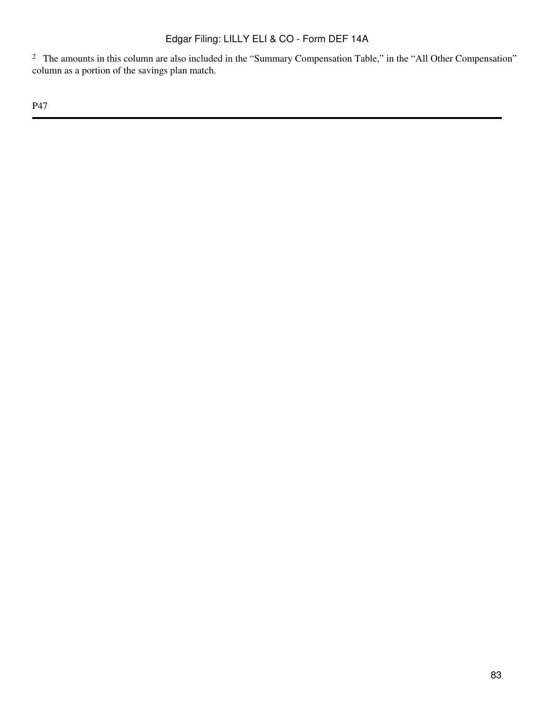<sup>2</sup> The amounts in this column are also included in the "Summary Compensation Table," in the "All Other Compensation" column as a portion of the savings plan match.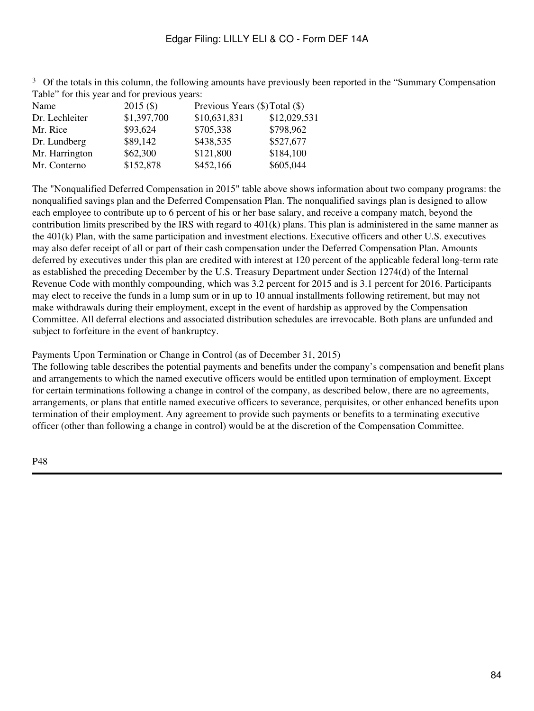| Name           | $2015($ \$) | Previous Years (\$) Total (\$) |              |
|----------------|-------------|--------------------------------|--------------|
| Dr. Lechleiter | \$1,397,700 | \$10,631,831                   | \$12,029,531 |
| Mr. Rice       | \$93,624    | \$705,338                      | \$798,962    |
| Dr. Lundberg   | \$89,142    | \$438,535                      | \$527,677    |
| Mr. Harrington | \$62,300    | \$121,800                      | \$184,100    |
| Mr. Conterno   | \$152,878   | \$452,166                      | \$605,044    |
|                |             |                                |              |

<sup>3</sup> Of the totals in this column, the following amounts have previously been reported in the "Summary Compensation" Table" for this year and for previous years:

The "Nonqualified Deferred Compensation in 2015" table above shows information about two company programs: the nonqualified savings plan and the Deferred Compensation Plan. The nonqualified savings plan is designed to allow each employee to contribute up to 6 percent of his or her base salary, and receive a company match, beyond the contribution limits prescribed by the IRS with regard to 401(k) plans. This plan is administered in the same manner as the 401(k) Plan, with the same participation and investment elections. Executive officers and other U.S. executives may also defer receipt of all or part of their cash compensation under the Deferred Compensation Plan. Amounts deferred by executives under this plan are credited with interest at 120 percent of the applicable federal long-term rate as established the preceding December by the U.S. Treasury Department under Section 1274(d) of the Internal Revenue Code with monthly compounding, which was 3.2 percent for 2015 and is 3.1 percent for 2016. Participants may elect to receive the funds in a lump sum or in up to 10 annual installments following retirement, but may not make withdrawals during their employment, except in the event of hardship as approved by the Compensation Committee. All deferral elections and associated distribution schedules are irrevocable. Both plans are unfunded and subject to forfeiture in the event of bankruptcy.

Payments Upon Termination or Change in Control (as of December 31, 2015)

The following table describes the potential payments and benefits under the company's compensation and benefit plans and arrangements to which the named executive officers would be entitled upon termination of employment. Except for certain terminations following a change in control of the company, as described below, there are no agreements, arrangements, or plans that entitle named executive officers to severance, perquisites, or other enhanced benefits upon termination of their employment. Any agreement to provide such payments or benefits to a terminating executive officer (other than following a change in control) would be at the discretion of the Compensation Committee.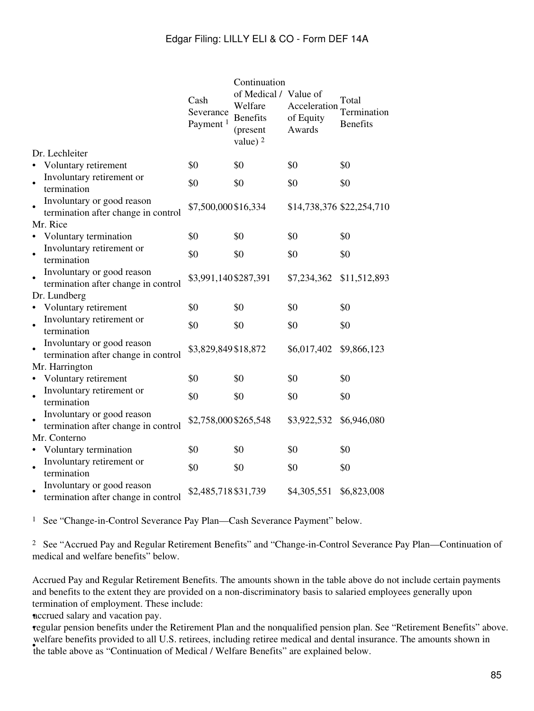|           | Dr. Lechleiter                                                    | Cash<br>Severance<br>Payment <sup>1</sup> | Continuation<br>of Medical / Value of<br>Welfare<br><b>Benefits</b><br>(present<br>value) $2$ | of Equity<br>Awards | Total<br>Acceleration Termination<br><b>Benefits</b> |
|-----------|-------------------------------------------------------------------|-------------------------------------------|-----------------------------------------------------------------------------------------------|---------------------|------------------------------------------------------|
|           | Voluntary retirement                                              | \$0                                       | \$0                                                                                           | \$0                 | \$0                                                  |
| $\bullet$ | Involuntary retirement or<br>termination                          | \$0                                       | \$0                                                                                           | \$0                 | \$0                                                  |
| $\bullet$ | Involuntary or good reason<br>termination after change in control | \$7,500,000\$16,334                       |                                                                                               |                     | \$14,738,376 \$22,254,710                            |
|           | Mr. Rice                                                          |                                           |                                                                                               |                     |                                                      |
| $\bullet$ | Voluntary termination                                             | \$0                                       | \$0                                                                                           | \$0                 | \$0                                                  |
| $\bullet$ | Involuntary retirement or<br>termination                          | \$0                                       | \$0                                                                                           | \$0                 | \$0                                                  |
|           | Involuntary or good reason<br>termination after change in control | \$3,991,140 \$287,391                     |                                                                                               | \$7,234,362         | \$11,512,893                                         |
|           | Dr. Lundberg                                                      |                                           |                                                                                               |                     |                                                      |
| $\bullet$ | Voluntary retirement                                              | \$0                                       | \$0                                                                                           | \$0                 | \$0                                                  |
| $\bullet$ | Involuntary retirement or<br>termination                          | \$0                                       | \$0                                                                                           | \$0                 | \$0                                                  |
| $\bullet$ | Involuntary or good reason<br>termination after change in control | \$3,829,849 \$18,872                      |                                                                                               | \$6,017,402         | \$9,866,123                                          |
|           | Mr. Harrington                                                    |                                           |                                                                                               |                     |                                                      |
| $\bullet$ | Voluntary retirement                                              | \$0                                       | \$0                                                                                           | \$0                 | \$0                                                  |
| $\bullet$ | Involuntary retirement or<br>termination                          | \$0                                       | \$0                                                                                           | \$0                 | \$0                                                  |
| $\bullet$ | Involuntary or good reason<br>termination after change in control | \$2,758,000 \$265,548                     |                                                                                               | \$3,922,532         | \$6,946,080                                          |
|           | Mr. Conterno                                                      |                                           |                                                                                               |                     |                                                      |
| $\bullet$ | Voluntary termination                                             | \$0                                       | \$0                                                                                           | \$0                 | \$0                                                  |
| $\bullet$ | Involuntary retirement or<br>termination                          | \$0                                       | \$0                                                                                           | \$0                 | \$0                                                  |
|           | Involuntary or good reason<br>termination after change in control | \$2,485,718 \$31,739                      |                                                                                               | \$4,305,551         | \$6,823,008                                          |

<sup>1</sup> See "Change-in-Control Severance Pay Plan—Cash Severance Payment" below.

<sup>2</sup> See "Accrued Pay and Regular Retirement Benefits" and "Change-in-Control Severance Pay Plan—Continuation of medical and welfare benefits" below.

Accrued Pay and Regular Retirement Benefits. The amounts shown in the table above do not include certain payments and benefits to the extent they are provided on a non-discriminatory basis to salaried employees generally upon termination of employment. These include:

•accrued salary and vacation pay.

•regular pension benefits under the Retirement Plan and the nonqualified pension plan. See "Retirement Benefits" above. where benefits provided to an O.S. reflects, including reflect medical and definit mist<br>the table above as "Continuation of Medical / Welfare Benefits" are explained below. welfare benefits provided to all U.S. retirees, including retiree medical and dental insurance. The amounts shown in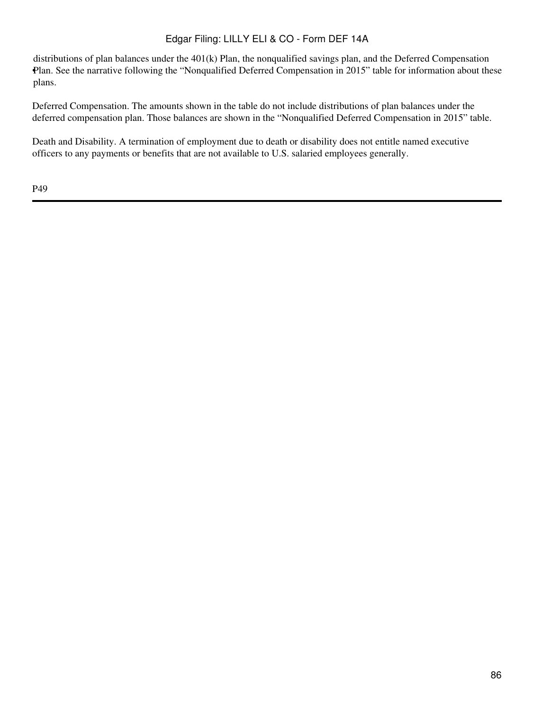Plan. See the narrative following the "Nonqualified Deferred Compensation in 2015" table for information about these distributions of plan balances under the 401(k) Plan, the nonqualified savings plan, and the Deferred Compensation plans.

Deferred Compensation. The amounts shown in the table do not include distributions of plan balances under the deferred compensation plan. Those balances are shown in the "Nonqualified Deferred Compensation in 2015" table.

Death and Disability. A termination of employment due to death or disability does not entitle named executive officers to any payments or benefits that are not available to U.S. salaried employees generally.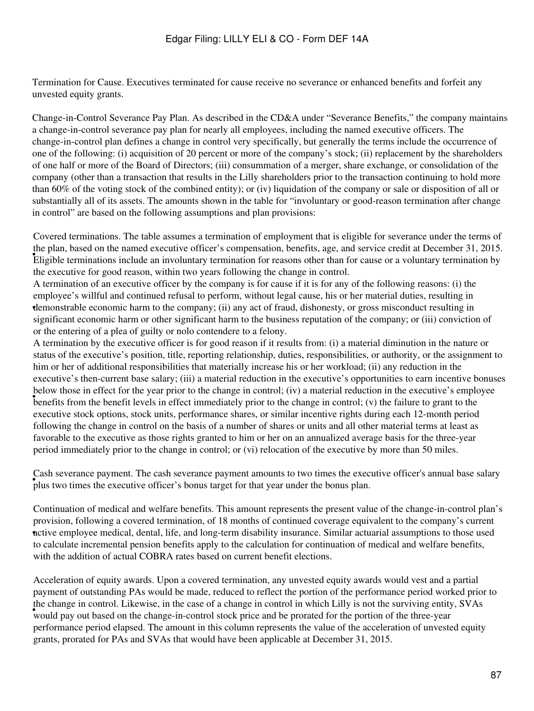Termination for Cause. Executives terminated for cause receive no severance or enhanced benefits and forfeit any unvested equity grants.

Change-in-Control Severance Pay Plan. As described in the CD&A under "Severance Benefits," the company maintains a change-in-control severance pay plan for nearly all employees, including the named executive officers. The change-in-control plan defines a change in control very specifically, but generally the terms include the occurrence of one of the following: (i) acquisition of 20 percent or more of the company's stock; (ii) replacement by the shareholders of one half or more of the Board of Directors; (iii) consummation of a merger, share exchange, or consolidation of the company (other than a transaction that results in the Lilly shareholders prior to the transaction continuing to hold more than 60% of the voting stock of the combined entity); or (iv) liquidation of the company or sale or disposition of all or substantially all of its assets. The amounts shown in the table for "involuntary or good-reason termination after change in control" are based on the following assumptions and plan provisions:

Figuite terminations include an involuntary termination for reasons other than for cause or a voluntary termination by Eligible terminations include an involuntary termination for reasons other than for cause or a voluntar Covered terminations. The table assumes a termination of employment that is eligible for severance under the terms of the plan, based on the named executive officer's compensation, benefits, age, and service credit at December 31, 2015. the executive for good reason, within two years following the change in control.

• demonstrable economic harm to the company; (ii) any act of fraud, dishonesty, or gross misconduct resulting in A termination of an executive officer by the company is for cause if it is for any of the following reasons: (i) the employee's willful and continued refusal to perform, without legal cause, his or her material duties, resulting in significant economic harm or other significant harm to the business reputation of the company; or (iii) conviction of or the entering of a plea of guilty or nolo contendere to a felony.

benefits from the benefit levels in effect immediately prior to the change in control; (v) the failure to grant to the benefit levels in effect immediately prior to the change in control; (v) the failure to grant to the A termination by the executive officer is for good reason if it results from: (i) a material diminution in the nature or status of the executive's position, title, reporting relationship, duties, responsibilities, or authority, or the assignment to him or her of additional responsibilities that materially increase his or her workload; (ii) any reduction in the executive's then-current base salary; (iii) a material reduction in the executive's opportunities to earn incentive bonuses below those in effect for the year prior to the change in control; (iv) a material reduction in the executive's employee executive stock options, stock units, performance shares, or similar incentive rights during each 12-month period following the change in control on the basis of a number of shares or units and all other material terms at least as favorable to the executive as those rights granted to him or her on an annualized average basis for the three-year period immediately prior to the change in control; or (vi) relocation of the executive by more than 50 miles.

Figure two times the executive officer's bonus target for that year under the bonus plan. Cash severance payment. The cash severance payment amounts to two times the executive officer's annual base salary

• active employee medical, dental, life, and long-term disability insurance. Similar actuarial assumptions to those used Continuation of medical and welfare benefits. This amount represents the present value of the change-in-control plan's provision, following a covered termination, of 18 months of continued coverage equivalent to the company's current to calculate incremental pension benefits apply to the calculation for continuation of medical and welfare benefits, with the addition of actual COBRA rates based on current benefit elections.

would pay out based on the change-in-control stock price and be prorated for the portion of the three-year would Acceleration of equity awards. Upon a covered termination, any unvested equity awards would vest and a partial payment of outstanding PAs would be made, reduced to reflect the portion of the performance period worked prior to the change in control. Likewise, in the case of a change in control in which Lilly is not the surviving entity, SVAs performance period elapsed. The amount in this column represents the value of the acceleration of unvested equity grants, prorated for PAs and SVAs that would have been applicable at December 31, 2015.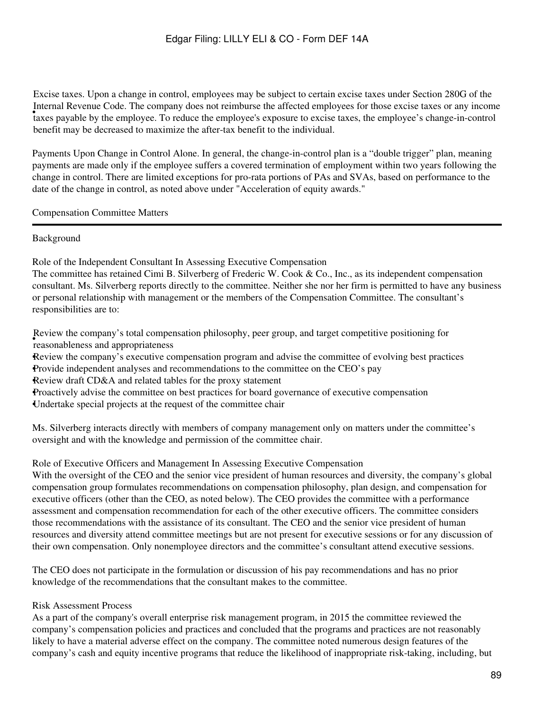• taxes payable by the employee. To reduce the employee's exposure to excise taxes, the employee's change-in-control Excise taxes. Upon a change in control, employees may be subject to certain excise taxes under Section 280G of the Internal Revenue Code. The company does not reimburse the affected employees for those excise taxes or any income benefit may be decreased to maximize the after-tax benefit to the individual.

Payments Upon Change in Control Alone. In general, the change-in-control plan is a "double trigger" plan, meaning payments are made only if the employee suffers a covered termination of employment within two years following the change in control. There are limited exceptions for pro-rata portions of PAs and SVAs, based on performance to the date of the change in control, as noted above under "Acceleration of equity awards."

Compensation Committee Matters

#### Background

Role of the Independent Consultant In Assessing Executive Compensation

The committee has retained Cimi B. Silverberg of Frederic W. Cook & Co., Inc., as its independent compensation consultant. Ms. Silverberg reports directly to the committee. Neither she nor her firm is permitted to have any business or personal relationship with management or the members of the Compensation Committee. The consultant's responsibilities are to:

• reasonableness and appropriateness Review the company's total compensation philosophy, peer group, and target competitive positioning for

•Review the company's executive compensation program and advise the committee of evolving best practices •Provide independent analyses and recommendations to the committee on the CEO's pay •Review draft CD&A and related tables for the proxy statement •Proactively advise the committee on best practices for board governance of executive compensation •Undertake special projects at the request of the committee chair

Ms. Silverberg interacts directly with members of company management only on matters under the committee's oversight and with the knowledge and permission of the committee chair.

#### Role of Executive Officers and Management In Assessing Executive Compensation

With the oversight of the CEO and the senior vice president of human resources and diversity, the company's global compensation group formulates recommendations on compensation philosophy, plan design, and compensation for executive officers (other than the CEO, as noted below). The CEO provides the committee with a performance assessment and compensation recommendation for each of the other executive officers. The committee considers those recommendations with the assistance of its consultant. The CEO and the senior vice president of human resources and diversity attend committee meetings but are not present for executive sessions or for any discussion of their own compensation. Only nonemployee directors and the committee's consultant attend executive sessions.

The CEO does not participate in the formulation or discussion of his pay recommendations and has no prior knowledge of the recommendations that the consultant makes to the committee.

#### Risk Assessment Process

As a part of the company's overall enterprise risk management program, in 2015 the committee reviewed the company's compensation policies and practices and concluded that the programs and practices are not reasonably likely to have a material adverse effect on the company. The committee noted numerous design features of the company's cash and equity incentive programs that reduce the likelihood of inappropriate risk-taking, including, but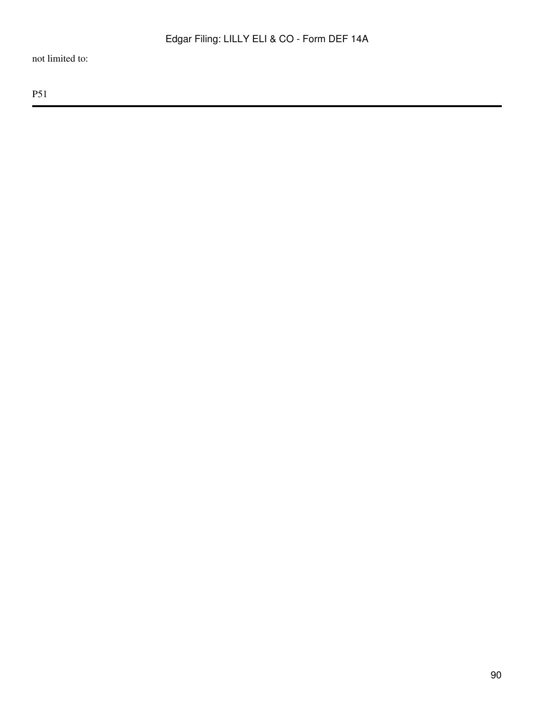not limited to: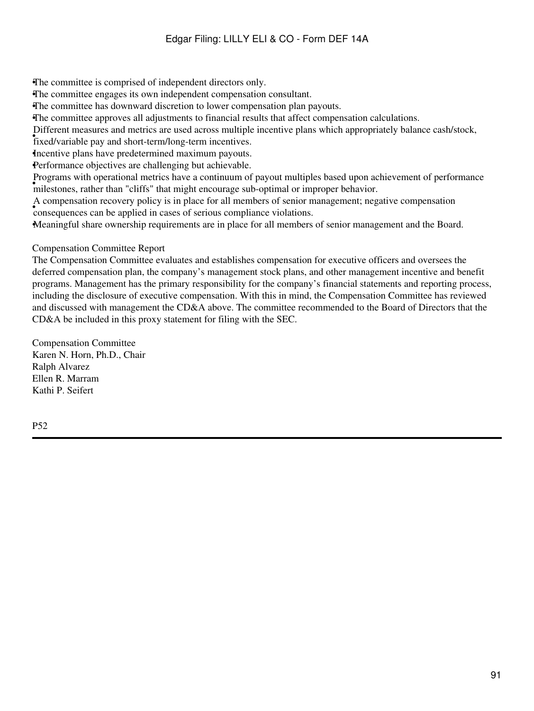•The committee is comprised of independent directors only.

•The committee engages its own independent compensation consultant.

•The committee has downward discretion to lower compensation plan payouts.

•The committee approves all adjustments to financial results that affect compensation calculations.

Different measures and metrics are used across multiple incentive plans which appropriately balance cash/stock,

• fixed/variable pay and short-term/long-term incentives.

Incentive plans have predetermined maximum payouts.

•Performance objectives are challenging but achievable.

• milestones, rather than "cliffs" that might encourage sub-optimal or improper behavior. Programs with operational metrics have a continuum of payout multiples based upon achievement of performance

• consequences can be applied in cases of serious compliance violations. A compensation recovery policy is in place for all members of senior management; negative compensation

•Meaningful share ownership requirements are in place for all members of senior management and the Board.

#### Compensation Committee Report

The Compensation Committee evaluates and establishes compensation for executive officers and oversees the deferred compensation plan, the company's management stock plans, and other management incentive and benefit programs. Management has the primary responsibility for the company's financial statements and reporting process, including the disclosure of executive compensation. With this in mind, the Compensation Committee has reviewed and discussed with management the CD&A above. The committee recommended to the Board of Directors that the CD&A be included in this proxy statement for filing with the SEC.

Compensation Committee Karen N. Horn, Ph.D., Chair Ralph Alvarez Ellen R. Marram Kathi P. Seifert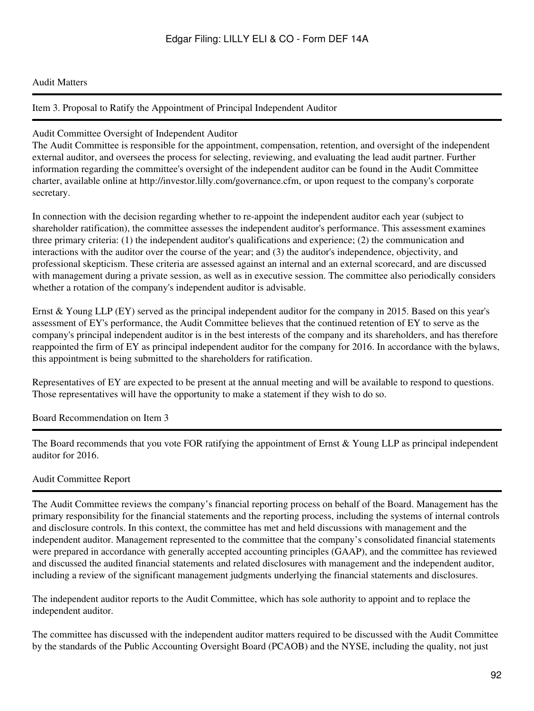#### Audit Matters

#### Item 3. Proposal to Ratify the Appointment of Principal Independent Auditor

#### Audit Committee Oversight of Independent Auditor

The Audit Committee is responsible for the appointment, compensation, retention, and oversight of the independent external auditor, and oversees the process for selecting, reviewing, and evaluating the lead audit partner. Further information regarding the committee's oversight of the independent auditor can be found in the Audit Committee charter, available online at http://investor.lilly.com/governance.cfm, or upon request to the company's corporate secretary.

In connection with the decision regarding whether to re-appoint the independent auditor each year (subject to shareholder ratification), the committee assesses the independent auditor's performance. This assessment examines three primary criteria: (1) the independent auditor's qualifications and experience; (2) the communication and interactions with the auditor over the course of the year; and (3) the auditor's independence, objectivity, and professional skepticism. These criteria are assessed against an internal and an external scorecard, and are discussed with management during a private session, as well as in executive session. The committee also periodically considers whether a rotation of the company's independent auditor is advisable.

Ernst & Young LLP (EY) served as the principal independent auditor for the company in 2015. Based on this year's assessment of EY's performance, the Audit Committee believes that the continued retention of EY to serve as the company's principal independent auditor is in the best interests of the company and its shareholders, and has therefore reappointed the firm of EY as principal independent auditor for the company for 2016. In accordance with the bylaws, this appointment is being submitted to the shareholders for ratification.

Representatives of EY are expected to be present at the annual meeting and will be available to respond to questions. Those representatives will have the opportunity to make a statement if they wish to do so.

Board Recommendation on Item 3

The Board recommends that you vote FOR ratifying the appointment of Ernst & Young LLP as principal independent auditor for 2016.

#### Audit Committee Report

The Audit Committee reviews the company's financial reporting process on behalf of the Board. Management has the primary responsibility for the financial statements and the reporting process, including the systems of internal controls and disclosure controls. In this context, the committee has met and held discussions with management and the independent auditor. Management represented to the committee that the company's consolidated financial statements were prepared in accordance with generally accepted accounting principles (GAAP), and the committee has reviewed and discussed the audited financial statements and related disclosures with management and the independent auditor, including a review of the significant management judgments underlying the financial statements and disclosures.

The independent auditor reports to the Audit Committee, which has sole authority to appoint and to replace the independent auditor.

The committee has discussed with the independent auditor matters required to be discussed with the Audit Committee by the standards of the Public Accounting Oversight Board (PCAOB) and the NYSE, including the quality, not just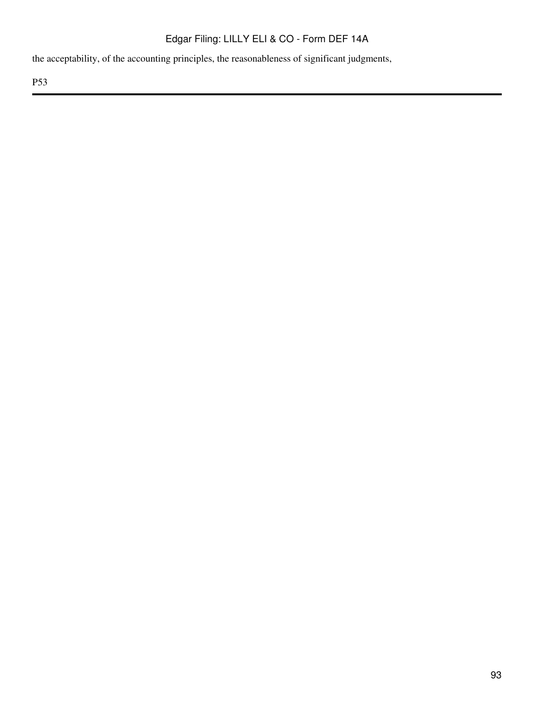the acceptability, of the accounting principles, the reasonableness of significant judgments,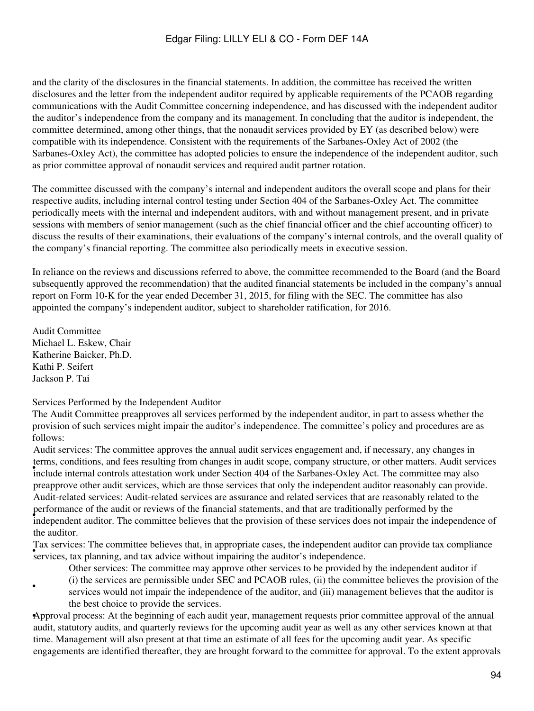and the clarity of the disclosures in the financial statements. In addition, the committee has received the written disclosures and the letter from the independent auditor required by applicable requirements of the PCAOB regarding communications with the Audit Committee concerning independence, and has discussed with the independent auditor the auditor's independence from the company and its management. In concluding that the auditor is independent, the committee determined, among other things, that the nonaudit services provided by EY (as described below) were compatible with its independence. Consistent with the requirements of the Sarbanes-Oxley Act of 2002 (the Sarbanes-Oxley Act), the committee has adopted policies to ensure the independence of the independent auditor, such as prior committee approval of nonaudit services and required audit partner rotation.

The committee discussed with the company's internal and independent auditors the overall scope and plans for their respective audits, including internal control testing under Section 404 of the Sarbanes-Oxley Act. The committee periodically meets with the internal and independent auditors, with and without management present, and in private sessions with members of senior management (such as the chief financial officer and the chief accounting officer) to discuss the results of their examinations, their evaluations of the company's internal controls, and the overall quality of the company's financial reporting. The committee also periodically meets in executive session.

In reliance on the reviews and discussions referred to above, the committee recommended to the Board (and the Board subsequently approved the recommendation) that the audited financial statements be included in the company's annual report on Form 10-K for the year ended December 31, 2015, for filing with the SEC. The committee has also appointed the company's independent auditor, subject to shareholder ratification, for 2016.

Audit Committee Michael L. Eskew, Chair Katherine Baicker, Ph.D. Kathi P. Seifert Jackson P. Tai

•

Services Performed by the Independent Auditor

The Audit Committee preapproves all services performed by the independent auditor, in part to assess whether the provision of such services might impair the auditor's independence. The committee's policy and procedures are as follows:

include internal controls attestation work under Section 404 of the Sarbanes-Oxley Act. The committee may also Audit services: The committee approves the annual audit services engagement and, if necessary, any changes in terms, conditions, and fees resulting from changes in audit scope, company structure, or other matters. Audit services preapprove other audit services, which are those services that only the independent auditor reasonably can provide. performance of the audit of reviews of the financial statements, and that are traditionally performed by the independence of independence of Audit-related services: Audit-related services are assurance and related services that are reasonably related to the performance of the audit or reviews of the financial statements, and that are traditionally performed by the the auditor.

Figure services. The committee beneves that, in appropriate cases, the independent and services, tax planning, and tax advice without impairing the auditor's independence. Tax services: The committee believes that, in appropriate cases, the independent auditor can provide tax compliance

Other services: The committee may approve other services to be provided by the independent auditor if

(i) the services are permissible under SEC and PCAOB rules, (ii) the committee believes the provision of the services would not impair the independence of the auditor, and (iii) management believes that the auditor is the best choice to provide the services.

•Approval process: At the beginning of each audit year, management requests prior committee approval of the annual audit, statutory audits, and quarterly reviews for the upcoming audit year as well as any other services known at that time. Management will also present at that time an estimate of all fees for the upcoming audit year. As specific engagements are identified thereafter, they are brought forward to the committee for approval. To the extent approvals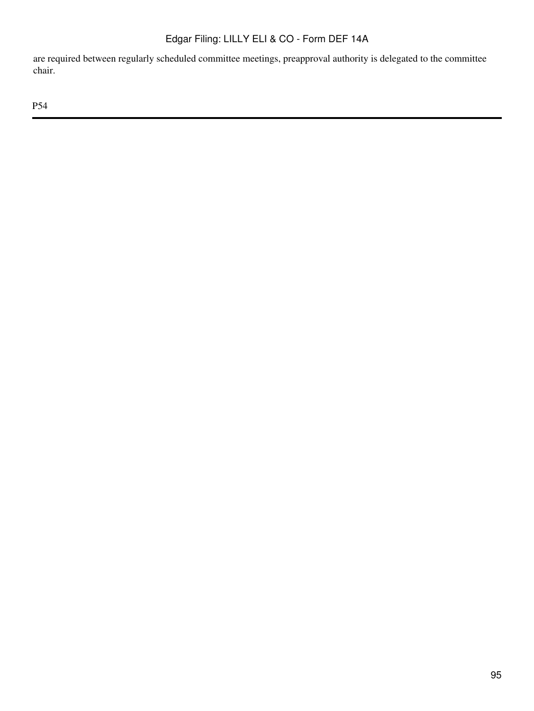are required between regularly scheduled committee meetings, preapproval authority is delegated to the committee chair.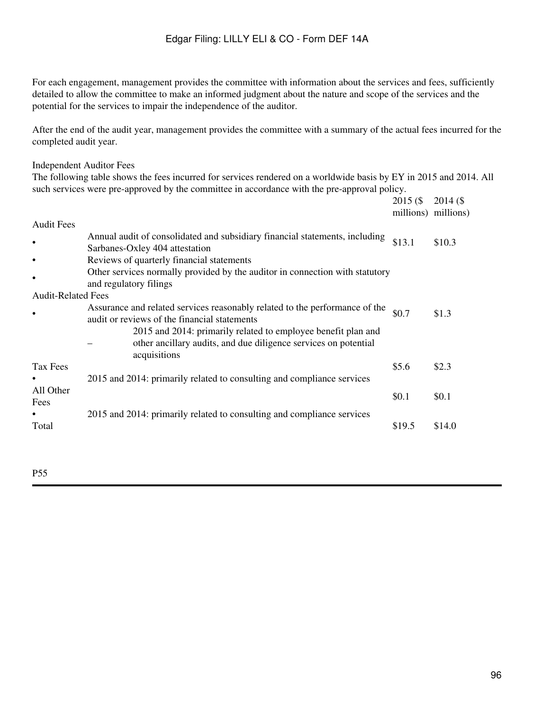For each engagement, management provides the committee with information about the services and fees, sufficiently detailed to allow the committee to make an informed judgment about the nature and scope of the services and the potential for the services to impair the independence of the auditor.

After the end of the audit year, management provides the committee with a summary of the actual fees incurred for the completed audit year.

#### Independent Auditor Fees

The following table shows the fees incurred for services rendered on a worldwide basis by EY in 2015 and 2014. All such services were pre-approved by the committee in accordance with the pre-approval policy.

|                           |                                                                                                                                                  | $2015($ \$<br>millions) millions) | $2014($ \$ |
|---------------------------|--------------------------------------------------------------------------------------------------------------------------------------------------|-----------------------------------|------------|
| <b>Audit Fees</b>         |                                                                                                                                                  |                                   |            |
|                           | Annual audit of consolidated and subsidiary financial statements, including<br>Sarbanes-Oxley 404 attestation                                    | \$13.1                            | \$10.3     |
|                           | Reviews of quarterly financial statements                                                                                                        |                                   |            |
| $\bullet$                 | Other services normally provided by the auditor in connection with statutory<br>and regulatory filings                                           |                                   |            |
| <b>Audit-Related Fees</b> |                                                                                                                                                  |                                   |            |
|                           | Assurance and related services reasonably related to the performance of the<br>audit or reviews of the financial statements                      | \$0.7                             | \$1.3      |
|                           | 2015 and 2014: primarily related to employee benefit plan and<br>other ancillary audits, and due diligence services on potential<br>acquisitions |                                   |            |
| Tax Fees                  |                                                                                                                                                  | \$5.6                             | \$2.3      |
|                           | 2015 and 2014: primarily related to consulting and compliance services                                                                           |                                   |            |
| All Other<br>Fees         |                                                                                                                                                  | \$0.1                             | \$0.1      |
| Total                     | 2015 and 2014: primarily related to consulting and compliance services                                                                           | \$19.5                            | \$14.0     |
|                           |                                                                                                                                                  |                                   |            |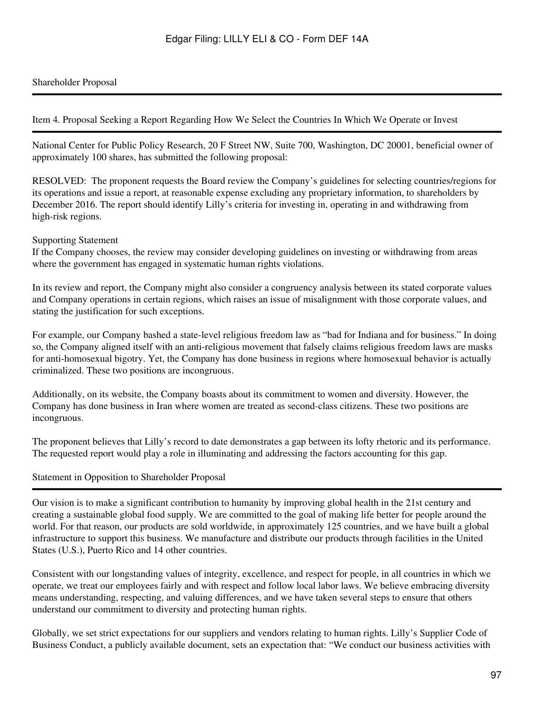#### Shareholder Proposal

Item 4. Proposal Seeking a Report Regarding How We Select the Countries In Which We Operate or Invest

National Center for Public Policy Research, 20 F Street NW, Suite 700, Washington, DC 20001, beneficial owner of approximately 100 shares, has submitted the following proposal:

RESOLVED: The proponent requests the Board review the Company's guidelines for selecting countries/regions for its operations and issue a report, at reasonable expense excluding any proprietary information, to shareholders by December 2016. The report should identify Lilly's criteria for investing in, operating in and withdrawing from high-risk regions.

#### Supporting Statement

If the Company chooses, the review may consider developing guidelines on investing or withdrawing from areas where the government has engaged in systematic human rights violations.

In its review and report, the Company might also consider a congruency analysis between its stated corporate values and Company operations in certain regions, which raises an issue of misalignment with those corporate values, and stating the justification for such exceptions.

For example, our Company bashed a state-level religious freedom law as "bad for Indiana and for business." In doing so, the Company aligned itself with an anti-religious movement that falsely claims religious freedom laws are masks for anti-homosexual bigotry. Yet, the Company has done business in regions where homosexual behavior is actually criminalized. These two positions are incongruous.

Additionally, on its website, the Company boasts about its commitment to women and diversity. However, the Company has done business in Iran where women are treated as second-class citizens. These two positions are incongruous.

The proponent believes that Lilly's record to date demonstrates a gap between its lofty rhetoric and its performance. The requested report would play a role in illuminating and addressing the factors accounting for this gap.

#### Statement in Opposition to Shareholder Proposal

Our vision is to make a significant contribution to humanity by improving global health in the 21st century and creating a sustainable global food supply. We are committed to the goal of making life better for people around the world. For that reason, our products are sold worldwide, in approximately 125 countries, and we have built a global infrastructure to support this business. We manufacture and distribute our products through facilities in the United States (U.S.), Puerto Rico and 14 other countries.

Consistent with our longstanding values of integrity, excellence, and respect for people, in all countries in which we operate, we treat our employees fairly and with respect and follow local labor laws. We believe embracing diversity means understanding, respecting, and valuing differences, and we have taken several steps to ensure that others understand our commitment to diversity and protecting human rights.

Globally, we set strict expectations for our suppliers and vendors relating to human rights. Lilly's Supplier Code of Business Conduct, a publicly available document, sets an expectation that: "We conduct our business activities with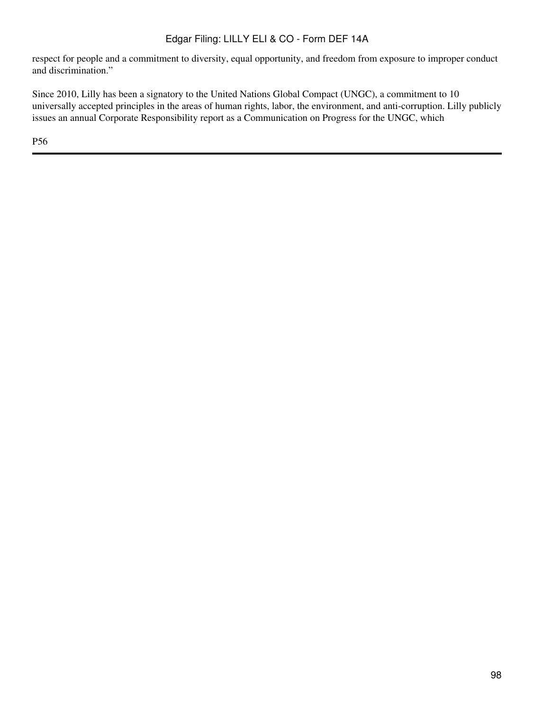respect for people and a commitment to diversity, equal opportunity, and freedom from exposure to improper conduct and discrimination."

Since 2010, Lilly has been a signatory to the United Nations Global Compact (UNGC), a commitment to 10 universally accepted principles in the areas of human rights, labor, the environment, and anti-corruption. Lilly publicly issues an annual Corporate Responsibility report as a Communication on Progress for the UNGC, which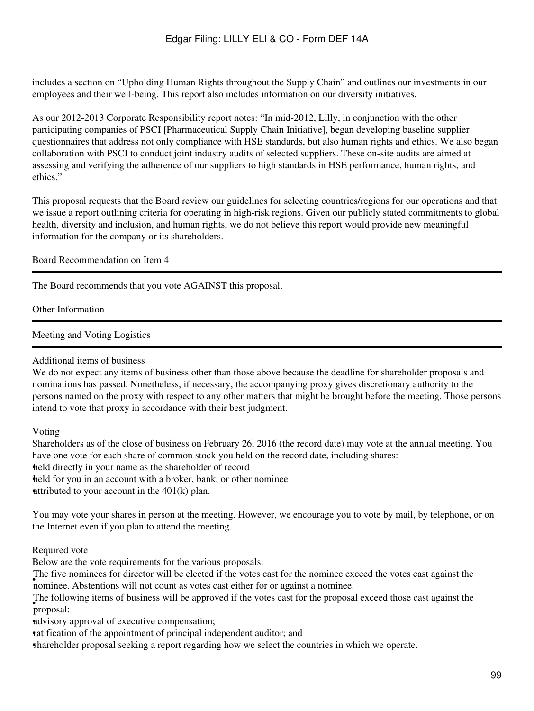includes a section on "Upholding Human Rights throughout the Supply Chain" and outlines our investments in our employees and their well-being. This report also includes information on our diversity initiatives.

As our 2012-2013 Corporate Responsibility report notes: "In mid-2012, Lilly, in conjunction with the other participating companies of PSCI [Pharmaceutical Supply Chain Initiative], began developing baseline supplier questionnaires that address not only compliance with HSE standards, but also human rights and ethics. We also began collaboration with PSCI to conduct joint industry audits of selected suppliers. These on-site audits are aimed at assessing and verifying the adherence of our suppliers to high standards in HSE performance, human rights, and ethics."

This proposal requests that the Board review our guidelines for selecting countries/regions for our operations and that we issue a report outlining criteria for operating in high-risk regions. Given our publicly stated commitments to global health, diversity and inclusion, and human rights, we do not believe this report would provide new meaningful information for the company or its shareholders.

Board Recommendation on Item 4

The Board recommends that you vote AGAINST this proposal.

Other Information

Meeting and Voting Logistics

Additional items of business

We do not expect any items of business other than those above because the deadline for shareholder proposals and nominations has passed. Nonetheless, if necessary, the accompanying proxy gives discretionary authority to the persons named on the proxy with respect to any other matters that might be brought before the meeting. Those persons intend to vote that proxy in accordance with their best judgment.

Voting

Shareholders as of the close of business on February 26, 2016 (the record date) may vote at the annual meeting. You have one vote for each share of common stock you held on the record date, including shares: held directly in your name as the shareholder of record held for you in an account with a broker, bank, or other nominee attributed to your account in the  $401(k)$  plan.

You may vote your shares in person at the meeting. However, we encourage you to vote by mail, by telephone, or on the Internet even if you plan to attend the meeting.

Required vote

Below are the vote requirements for the various proposals:

The rive nominees for director will be effected if the votes cast for the nominee of nominee. The five nominees for director will be elected if the votes cast for the nominee exceed the votes cast against the

• proposal: The following items of business will be approved if the votes cast for the proposal exceed those cast against the

•advisory approval of executive compensation;

ratification of the appointment of principal independent auditor; and

•shareholder proposal seeking a report regarding how we select the countries in which we operate.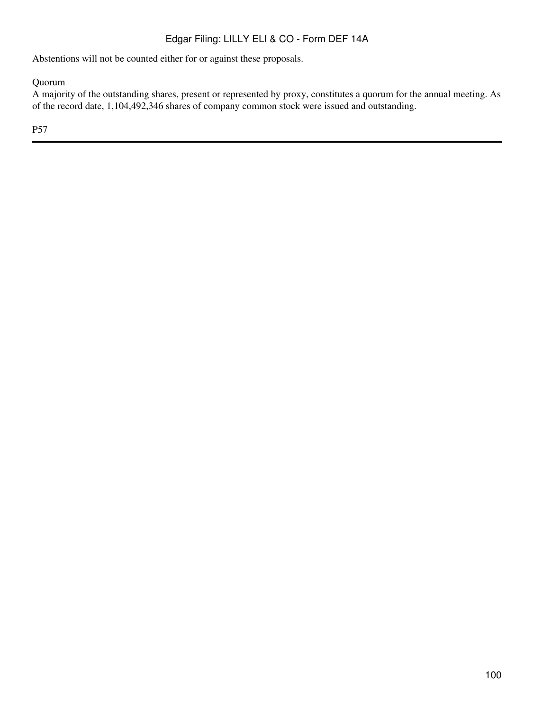Abstentions will not be counted either for or against these proposals.

Quorum

A majority of the outstanding shares, present or represented by proxy, constitutes a quorum for the annual meeting. As of the record date, 1,104,492,346 shares of company common stock were issued and outstanding.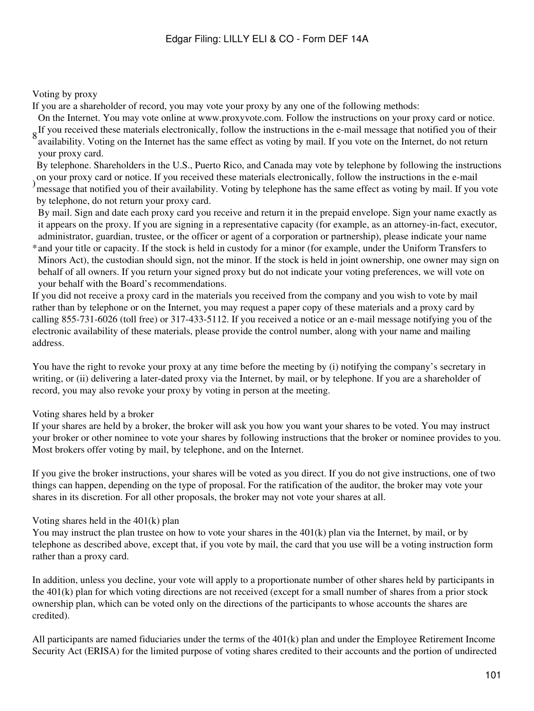### Voting by proxy

If you are a shareholder of record, you may vote your proxy by any one of the following methods:

On the Internet. You may vote online at www.proxyvote.com. Follow the instructions on your proxy card or notice.

 $8 \text{ m}$  if you received these materials electronically, follow the instructions in the e-mail message that notified you of their  $8 \text{ m}$  is the later of the later of the later of the later of the later of the later of t availability. Voting on the Internet has the same effect as voting by mail. If you vote on the Internet, do not return your proxy card.

) on your proxy card of honce. If you received these materials electromeany, rollow the instructions in the c manner of the same effect as voting by mail. If you vote By telephone. Shareholders in the U.S., Puerto Rico, and Canada may vote by telephone by following the instructions on your proxy card or notice. If you received these materials electronically, follow the instructions in the e-mail

by telephone, do not return your proxy card.

By mail. Sign and date each proxy card you receive and return it in the prepaid envelope. Sign your name exactly as it appears on the proxy. If you are signing in a representative capacity (for example, as an attorney-in-fact, executor, administrator, guardian, trustee, or the officer or agent of a corporation or partnership), please indicate your name

\* and your title or capacity. If the stock is held in custody for a minor (for example, under the Uniform Transfers to Minors Act), the custodian should sign, not the minor. If the stock is held in joint ownership, one owner may sign on behalf of all owners. If you return your signed proxy but do not indicate your voting preferences, we will vote on your behalf with the Board's recommendations.

If you did not receive a proxy card in the materials you received from the company and you wish to vote by mail rather than by telephone or on the Internet, you may request a paper copy of these materials and a proxy card by calling 855-731-6026 (toll free) or 317-433-5112. If you received a notice or an e-mail message notifying you of the electronic availability of these materials, please provide the control number, along with your name and mailing address.

You have the right to revoke your proxy at any time before the meeting by (i) notifying the company's secretary in writing, or (ii) delivering a later-dated proxy via the Internet, by mail, or by telephone. If you are a shareholder of record, you may also revoke your proxy by voting in person at the meeting.

# Voting shares held by a broker

If your shares are held by a broker, the broker will ask you how you want your shares to be voted. You may instruct your broker or other nominee to vote your shares by following instructions that the broker or nominee provides to you. Most brokers offer voting by mail, by telephone, and on the Internet.

If you give the broker instructions, your shares will be voted as you direct. If you do not give instructions, one of two things can happen, depending on the type of proposal. For the ratification of the auditor, the broker may vote your shares in its discretion. For all other proposals, the broker may not vote your shares at all.

# Voting shares held in the 401(k) plan

You may instruct the plan trustee on how to vote your shares in the 401(k) plan via the Internet, by mail, or by telephone as described above, except that, if you vote by mail, the card that you use will be a voting instruction form rather than a proxy card.

In addition, unless you decline, your vote will apply to a proportionate number of other shares held by participants in the 401(k) plan for which voting directions are not received (except for a small number of shares from a prior stock ownership plan, which can be voted only on the directions of the participants to whose accounts the shares are credited).

All participants are named fiduciaries under the terms of the 401(k) plan and under the Employee Retirement Income Security Act (ERISA) for the limited purpose of voting shares credited to their accounts and the portion of undirected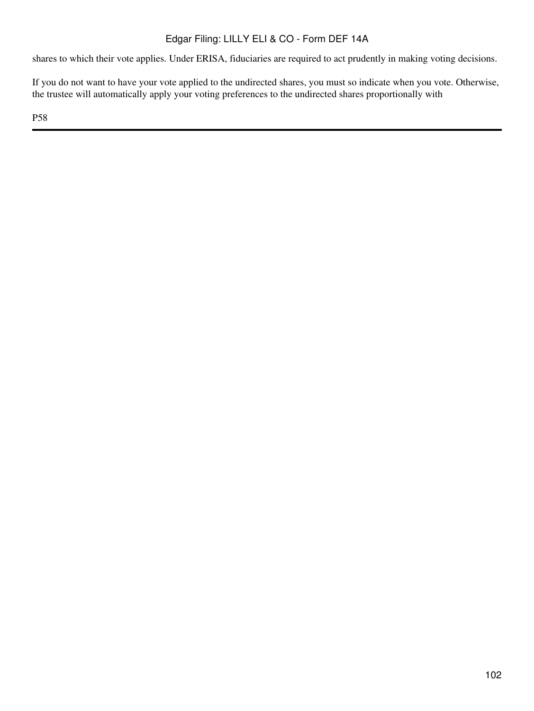shares to which their vote applies. Under ERISA, fiduciaries are required to act prudently in making voting decisions.

If you do not want to have your vote applied to the undirected shares, you must so indicate when you vote. Otherwise, the trustee will automatically apply your voting preferences to the undirected shares proportionally with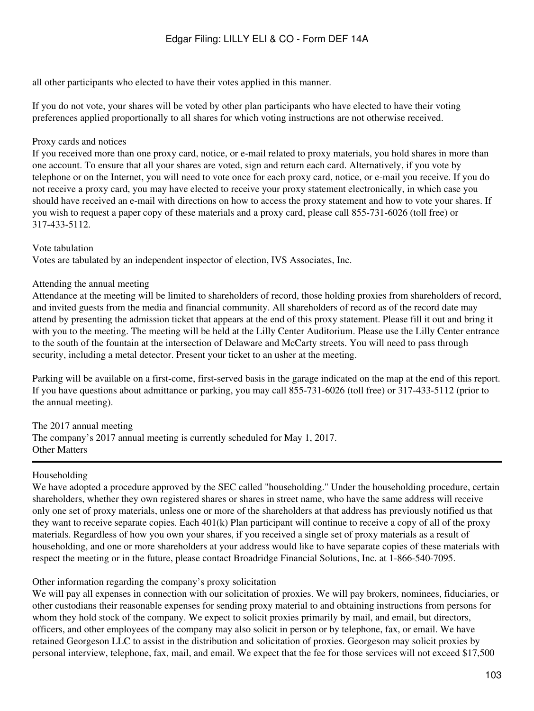all other participants who elected to have their votes applied in this manner.

If you do not vote, your shares will be voted by other plan participants who have elected to have their voting preferences applied proportionally to all shares for which voting instructions are not otherwise received.

#### Proxy cards and notices

If you received more than one proxy card, notice, or e-mail related to proxy materials, you hold shares in more than one account. To ensure that all your shares are voted, sign and return each card. Alternatively, if you vote by telephone or on the Internet, you will need to vote once for each proxy card, notice, or e-mail you receive. If you do not receive a proxy card, you may have elected to receive your proxy statement electronically, in which case you should have received an e-mail with directions on how to access the proxy statement and how to vote your shares. If you wish to request a paper copy of these materials and a proxy card, please call 855-731-6026 (toll free) or 317-433-5112.

#### Vote tabulation

Votes are tabulated by an independent inspector of election, IVS Associates, Inc.

#### Attending the annual meeting

Attendance at the meeting will be limited to shareholders of record, those holding proxies from shareholders of record, and invited guests from the media and financial community. All shareholders of record as of the record date may attend by presenting the admission ticket that appears at the end of this proxy statement. Please fill it out and bring it with you to the meeting. The meeting will be held at the Lilly Center Auditorium. Please use the Lilly Center entrance to the south of the fountain at the intersection of Delaware and McCarty streets. You will need to pass through security, including a metal detector. Present your ticket to an usher at the meeting.

Parking will be available on a first-come, first-served basis in the garage indicated on the map at the end of this report. If you have questions about admittance or parking, you may call 855-731-6026 (toll free) or 317-433-5112 (prior to the annual meeting).

The 2017 annual meeting The company's 2017 annual meeting is currently scheduled for May 1, 2017. Other Matters

#### Householding

We have adopted a procedure approved by the SEC called "householding." Under the householding procedure, certain shareholders, whether they own registered shares or shares in street name, who have the same address will receive only one set of proxy materials, unless one or more of the shareholders at that address has previously notified us that they want to receive separate copies. Each 401(k) Plan participant will continue to receive a copy of all of the proxy materials. Regardless of how you own your shares, if you received a single set of proxy materials as a result of householding, and one or more shareholders at your address would like to have separate copies of these materials with respect the meeting or in the future, please contact Broadridge Financial Solutions, Inc. at 1-866-540-7095.

#### Other information regarding the company's proxy solicitation

We will pay all expenses in connection with our solicitation of proxies. We will pay brokers, nominees, fiduciaries, or other custodians their reasonable expenses for sending proxy material to and obtaining instructions from persons for whom they hold stock of the company. We expect to solicit proxies primarily by mail, and email, but directors, officers, and other employees of the company may also solicit in person or by telephone, fax, or email. We have retained Georgeson LLC to assist in the distribution and solicitation of proxies. Georgeson may solicit proxies by personal interview, telephone, fax, mail, and email. We expect that the fee for those services will not exceed \$17,500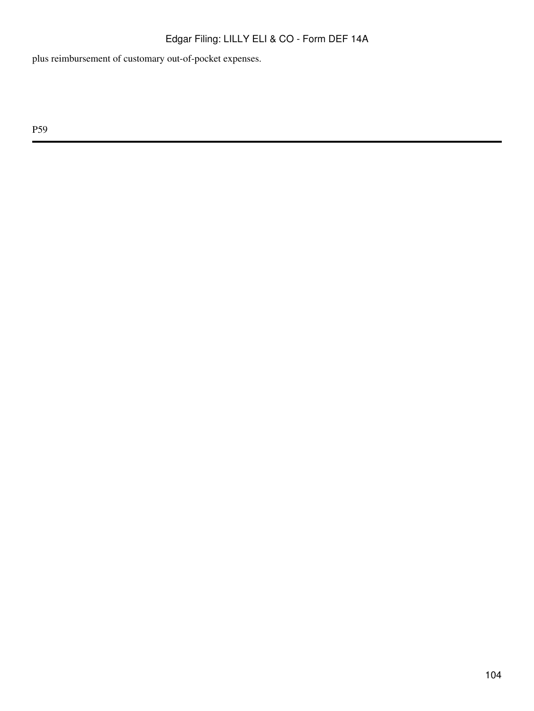plus reimbursement of customary out-of-pocket expenses.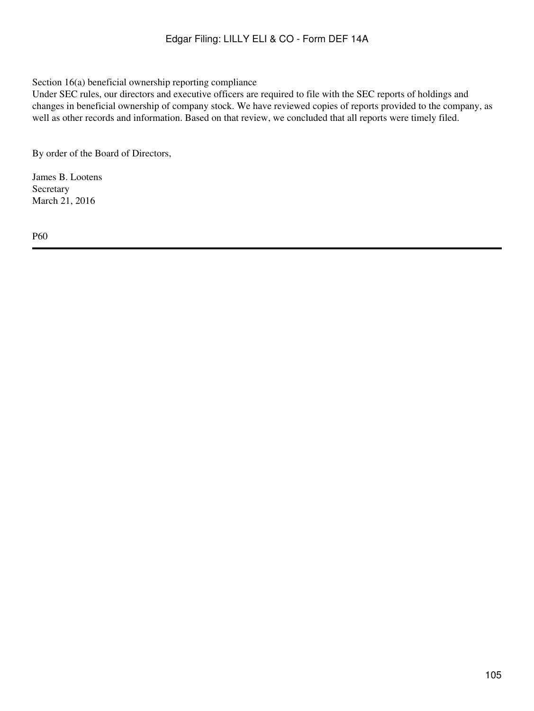#### Section 16(a) beneficial ownership reporting compliance

Under SEC rules, our directors and executive officers are required to file with the SEC reports of holdings and changes in beneficial ownership of company stock. We have reviewed copies of reports provided to the company, as well as other records and information. Based on that review, we concluded that all reports were timely filed.

By order of the Board of Directors,

James B. Lootens Secretary March 21, 2016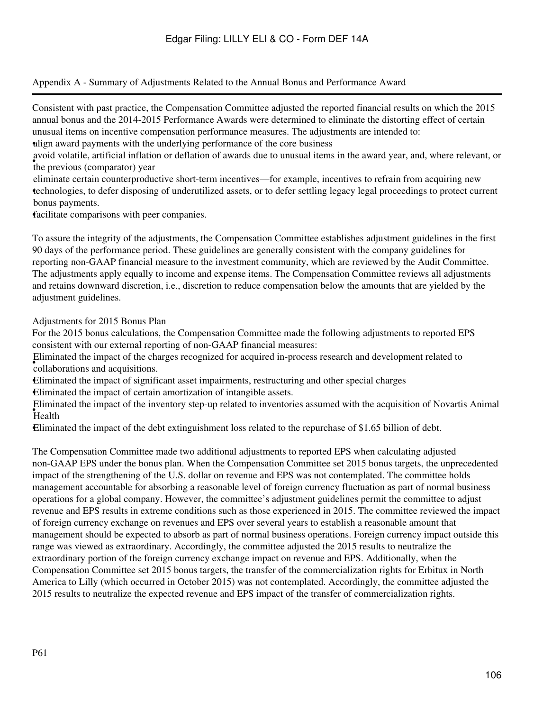Appendix A - Summary of Adjustments Related to the Annual Bonus and Performance Award

Consistent with past practice, the Compensation Committee adjusted the reported financial results on which the 2015 annual bonus and the 2014-2015 Performance Awards were determined to eliminate the distorting effect of certain unusual items on incentive compensation performance measures. The adjustments are intended to: •align award payments with the underlying performance of the core business

the previous (comparator) year avoid volatile, artificial inflation or deflation of awards due to unusual items in the award year, and, where relevant, or

• technologies, to defer disposing of underutilized assets, or to defer settling legacy legal proceedings to protect current eliminate certain counterproductive short-term incentives—for example, incentives to refrain from acquiring new bonus payments.

•facilitate comparisons with peer companies.

To assure the integrity of the adjustments, the Compensation Committee establishes adjustment guidelines in the first 90 days of the performance period. These guidelines are generally consistent with the company guidelines for reporting non-GAAP financial measure to the investment community, which are reviewed by the Audit Committee. The adjustments apply equally to income and expense items. The Compensation Committee reviews all adjustments and retains downward discretion, i.e., discretion to reduce compensation below the amounts that are yielded by the adjustment guidelines.

Adjustments for 2015 Bonus Plan

For the 2015 bonus calculations, the Compensation Committee made the following adjustments to reported EPS consistent with our external reporting of non-GAAP financial measures:

• collaborations and acquisitions. Eliminated the impact of the charges recognized for acquired in-process research and development related to

•Eliminated the impact of significant asset impairments, restructuring and other special charges •Eliminated the impact of certain amortization of intangible assets.

• Health Eliminated the impact of the inventory step-up related to inventories assumed with the acquisition of Novartis Animal

•Eliminated the impact of the debt extinguishment loss related to the repurchase of \$1.65 billion of debt.

The Compensation Committee made two additional adjustments to reported EPS when calculating adjusted non-GAAP EPS under the bonus plan. When the Compensation Committee set 2015 bonus targets, the unprecedented impact of the strengthening of the U.S. dollar on revenue and EPS was not contemplated. The committee holds management accountable for absorbing a reasonable level of foreign currency fluctuation as part of normal business operations for a global company. However, the committee's adjustment guidelines permit the committee to adjust revenue and EPS results in extreme conditions such as those experienced in 2015. The committee reviewed the impact of foreign currency exchange on revenues and EPS over several years to establish a reasonable amount that management should be expected to absorb as part of normal business operations. Foreign currency impact outside this range was viewed as extraordinary. Accordingly, the committee adjusted the 2015 results to neutralize the extraordinary portion of the foreign currency exchange impact on revenue and EPS. Additionally, when the Compensation Committee set 2015 bonus targets, the transfer of the commercialization rights for Erbitux in North America to Lilly (which occurred in October 2015) was not contemplated. Accordingly, the committee adjusted the 2015 results to neutralize the expected revenue and EPS impact of the transfer of commercialization rights.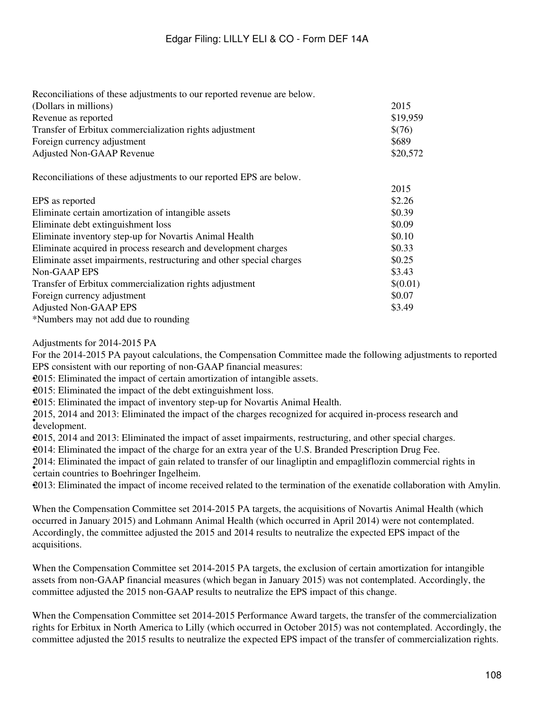| Reconciliations of these adjustments to our reported revenue are below. |          |
|-------------------------------------------------------------------------|----------|
| (Dollars in millions)                                                   | 2015     |
| Revenue as reported                                                     | \$19,959 |
| Transfer of Erbitux commercialization rights adjustment                 | \$(76)   |
| Foreign currency adjustment                                             | \$689    |
| <b>Adjusted Non-GAAP Revenue</b>                                        | \$20,572 |
| Reconciliations of these adjustments to our reported EPS are below.     |          |
|                                                                         | 2015     |
| EPS as reported                                                         | \$2.26   |
| Eliminate certain amortization of intangible assets                     | \$0.39   |
| Eliminate debt extinguishment loss                                      | \$0.09   |
| Eliminate inventory step-up for Novartis Animal Health                  | \$0.10   |
| Eliminate acquired in process research and development charges          | \$0.33   |
| Eliminate asset impairments, restructuring and other special charges    | \$0.25   |
| Non-GAAP EPS                                                            | \$3.43   |
| Transfer of Erbitux commercialization rights adjustment                 | \$(0.01) |
| Foreign currency adjustment                                             | \$0.07   |
| <b>Adjusted Non-GAAP EPS</b>                                            | \$3.49   |
| *Numbers may not add due to rounding                                    |          |

Adjustments for 2014-2015 PA

For the 2014-2015 PA payout calculations, the Compensation Committee made the following adjustments to reported EPS consistent with our reporting of non-GAAP financial measures:

•2015: Eliminated the impact of certain amortization of intangible assets.

•2015: Eliminated the impact of the debt extinguishment loss.

•2015: Eliminated the impact of inventory step-up for Novartis Animal Health.

• development. 2015, 2014 and 2013: Eliminated the impact of the charges recognized for acquired in-process research and

•2015, 2014 and 2013: Eliminated the impact of asset impairments, restructuring, and other special charges.

•2014: Eliminated the impact of the charge for an extra year of the U.S. Branded Prescription Drug Fee.

Form. Emminated the impact of gain relate 2014: Eliminated the impact of gain related to transfer of our linagliptin and empagliflozin commercial rights in

•2013: Eliminated the impact of income received related to the termination of the exenatide collaboration with Amylin.

When the Compensation Committee set 2014-2015 PA targets, the acquisitions of Novartis Animal Health (which occurred in January 2015) and Lohmann Animal Health (which occurred in April 2014) were not contemplated. Accordingly, the committee adjusted the 2015 and 2014 results to neutralize the expected EPS impact of the acquisitions.

When the Compensation Committee set 2014-2015 PA targets, the exclusion of certain amortization for intangible assets from non-GAAP financial measures (which began in January 2015) was not contemplated. Accordingly, the committee adjusted the 2015 non-GAAP results to neutralize the EPS impact of this change.

When the Compensation Committee set 2014-2015 Performance Award targets, the transfer of the commercialization rights for Erbitux in North America to Lilly (which occurred in October 2015) was not contemplated. Accordingly, the committee adjusted the 2015 results to neutralize the expected EPS impact of the transfer of commercialization rights.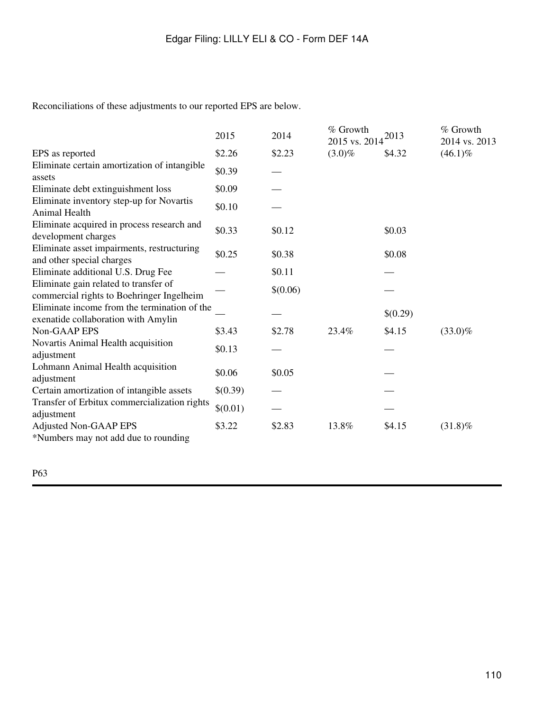Reconciliations of these adjustments to our reported EPS are below.

|                                                                                     | 2015     | 2014     | % Growth<br>2015 vs. 2014 | 2013     | % Growth<br>2014 vs. 2013 |
|-------------------------------------------------------------------------------------|----------|----------|---------------------------|----------|---------------------------|
| EPS as reported                                                                     | \$2.26   | \$2.23   | $(3.0)\%$                 | \$4.32   | $(46.1)\%$                |
| Eliminate certain amortization of intangible<br>assets                              | \$0.39   |          |                           |          |                           |
| Eliminate debt extinguishment loss                                                  | \$0.09   |          |                           |          |                           |
| Eliminate inventory step-up for Novartis<br>Animal Health                           | \$0.10   |          |                           |          |                           |
| Eliminate acquired in process research and<br>development charges                   | \$0.33   | \$0.12   |                           | \$0.03   |                           |
| Eliminate asset impairments, restructuring<br>and other special charges             | \$0.25   | \$0.38   |                           | \$0.08   |                           |
| Eliminate additional U.S. Drug Fee                                                  |          | \$0.11   |                           |          |                           |
| Eliminate gain related to transfer of<br>commercial rights to Boehringer Ingelheim  |          | \$(0.06) |                           |          |                           |
| Eliminate income from the termination of the<br>exenatide collaboration with Amylin |          |          |                           | \$(0.29) |                           |
| Non-GAAP EPS                                                                        | \$3.43   | \$2.78   | 23.4%                     | \$4.15   | $(33.0)\%$                |
| Novartis Animal Health acquisition<br>adjustment                                    | \$0.13   |          |                           |          |                           |
| Lohmann Animal Health acquisition<br>adjustment                                     | \$0.06   | \$0.05   |                           |          |                           |
| Certain amortization of intangible assets                                           | \$(0.39) |          |                           |          |                           |
| Transfer of Erbitux commercialization rights<br>adjustment                          | \$(0.01) |          |                           |          |                           |
| <b>Adjusted Non-GAAP EPS</b><br>*Numbers may not add due to rounding                | \$3.22   | \$2.83   | 13.8%                     | \$4.15   | $(31.8)\%$                |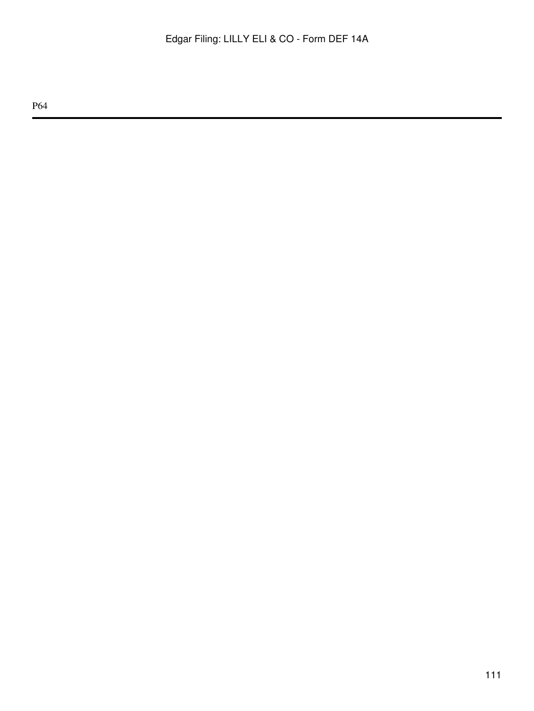P64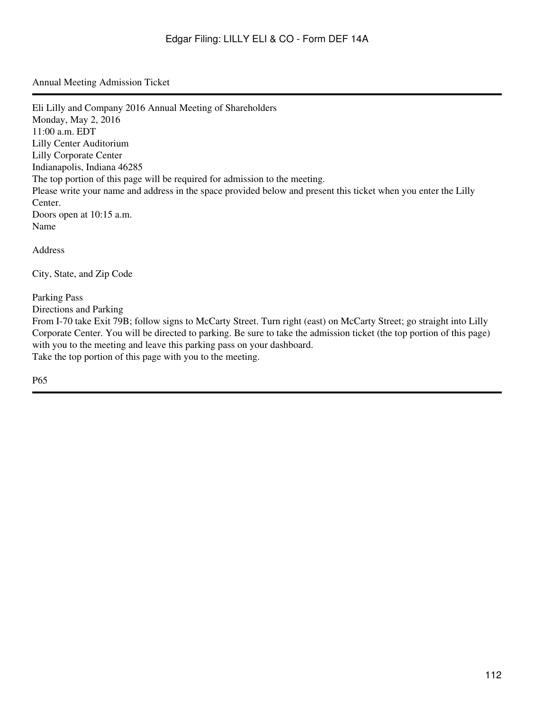Annual Meeting Admission Ticket

Eli Lilly and Company 2016 Annual Meeting of Shareholders Monday, May 2, 2016 11:00 a.m. EDT Lilly Center Auditorium Lilly Corporate Center Indianapolis, Indiana 46285 The top portion of this page will be required for admission to the meeting. Please write your name and address in the space provided below and present this ticket when you enter the Lilly Center. Doors open at 10:15 a.m. Name Address City, State, and Zip Code Parking Pass Directions and Parking From I-70 take Exit 79B; follow signs to McCarty Street. Turn right (east) on McCarty Street; go straight into Lilly

Corporate Center. You will be directed to parking. Be sure to take the admission ticket (the top portion of this page) with you to the meeting and leave this parking pass on your dashboard.

Take the top portion of this page with you to the meeting.

P65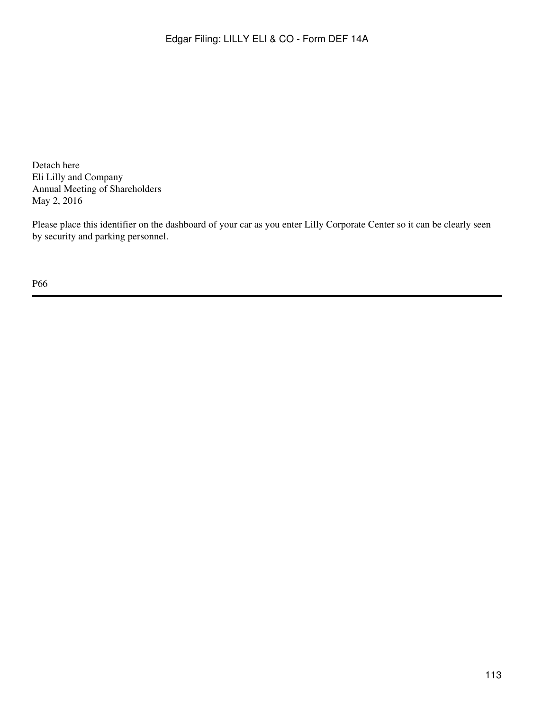Detach here Eli Lilly and Company Annual Meeting of Shareholders May 2, 2016

Please place this identifier on the dashboard of your car as you enter Lilly Corporate Center so it can be clearly seen by security and parking personnel.

P66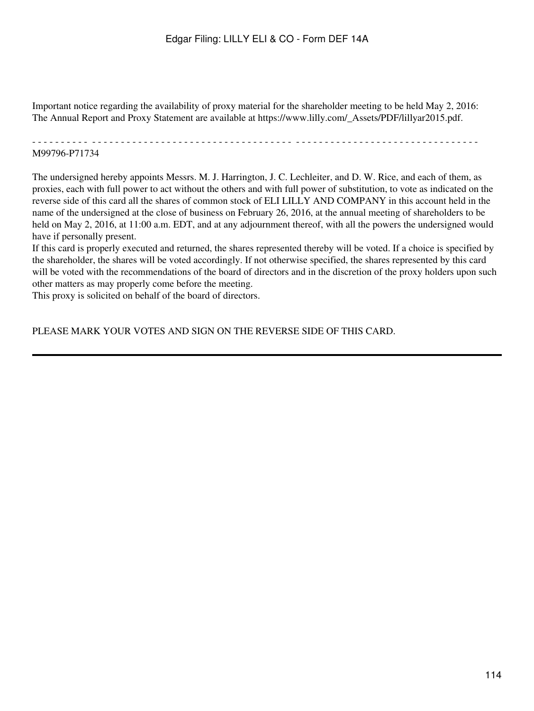Important notice regarding the availability of proxy material for the shareholder meeting to be held May 2, 2016: The Annual Report and Proxy Statement are available at https://www.lilly.com/\_Assets/PDF/lillyar2015.pdf.

- - - - - - - - - - - - - - - - - - - - - - - - - - - - - - - - - - - - - - - - - - - - - - - - - - - - - - - - - - - - - - - - - - - - - - - - - - - - - M99796-P71734

The undersigned hereby appoints Messrs. M. J. Harrington, J. C. Lechleiter, and D. W. Rice, and each of them, as proxies, each with full power to act without the others and with full power of substitution, to vote as indicated on the reverse side of this card all the shares of common stock of ELI LILLY AND COMPANY in this account held in the name of the undersigned at the close of business on February 26, 2016, at the annual meeting of shareholders to be held on May 2, 2016, at 11:00 a.m. EDT, and at any adjournment thereof, with all the powers the undersigned would have if personally present.

If this card is properly executed and returned, the shares represented thereby will be voted. If a choice is specified by the shareholder, the shares will be voted accordingly. If not otherwise specified, the shares represented by this card will be voted with the recommendations of the board of directors and in the discretion of the proxy holders upon such other matters as may properly come before the meeting.

This proxy is solicited on behalf of the board of directors.

PLEASE MARK YOUR VOTES AND SIGN ON THE REVERSE SIDE OF THIS CARD.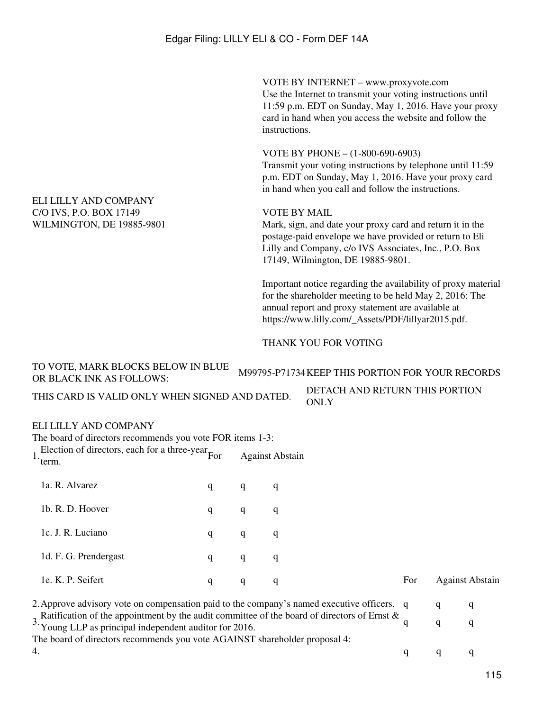VOTE BY INTERNET – www.proxyvote.com Use the Internet to transmit your voting instructions until 11:59 p.m. EDT on Sunday, May 1, 2016. Have your proxy card in hand when you access the website and follow the instructions.

VOTE BY PHONE – (1-800-690-6903)

Transmit your voting instructions by telephone until 11:59 p.m. EDT on Sunday, May 1, 2016. Have your proxy card in hand when you call and follow the instructions.

### VOTE BY MAIL

Mark, sign, and date your proxy card and return it in the postage-paid envelope we have provided or return to Eli Lilly and Company, c/o IVS Associates, Inc., P.O. Box 17149, Wilmington, DE 19885-9801.

Important notice regarding the availability of proxy material for the shareholder meeting to be held May 2, 2016: The annual report and proxy statement are available at https://www.lilly.com/\_Assets/PDF/lillyar2015.pdf.

### THANK YOU FOR VOTING

TO VOTE, MARK BLOCKS BELOW IN BLUE OR BLACK INK AS FOLLOWS: M99795-P71734 KEEP THIS PORTION FOR YOUR RECORDS THIS CARD IS VALID ONLY WHEN SIGNED AND DATED. DETACH AND RETURN THIS PORTION ONLY

# ELI LILLY AND COMPANY

The board of directors recommends you vote FOR items 1-3:  $1.$  Election of directors, each for a three-year For term. **Against Abstain** 1a. R. Alvarez q q q q 1b. R. D. Hoover q q q q 1c. J. R. Luciano q q q q 1d. F. G. Prendergast q q q q 1e. K. P. Seifert **the contract of the contract of the Contract of Contract Contract Abstrain** 2. Approve advisory vote on compensation paid to the company's named executive officers. q q q q

3. Ratification of the appointment by the audit committee of the board of directors of Ernst &  $q$  q q q q The board of directors recommends you vote AGAINST shareholder proposal 4: 4.  $q \t q \t q$ 

#### ELI LILLY AND COMPANY C/O IVS, P.O. BOX 17149 WILMINGTON, DE 19885-9801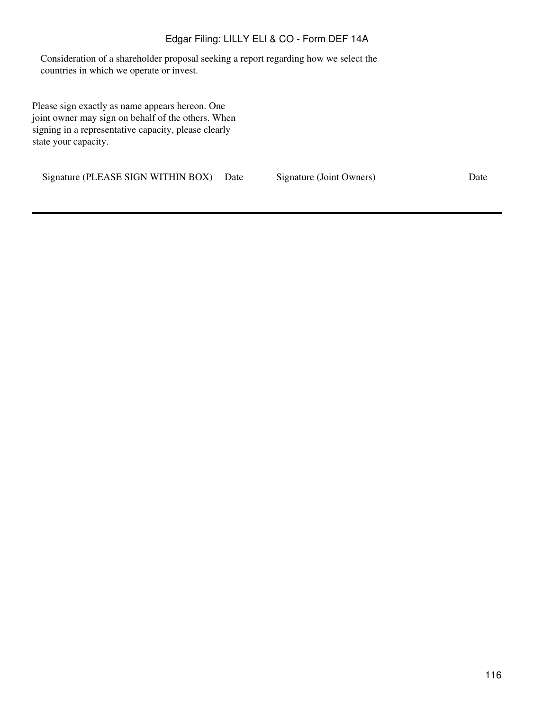# Edgar Filing: LILLY ELI & CO - Form DEF 14A

Consideration of a shareholder proposal seeking a report regarding how we select the countries in which we operate or invest.

Please sign exactly as name appears hereon. One joint owner may sign on behalf of the others. When signing in a representative capacity, please clearly state your capacity.

Signature (PLEASE SIGN WITHIN BOX) Date Signature (Joint Owners) Date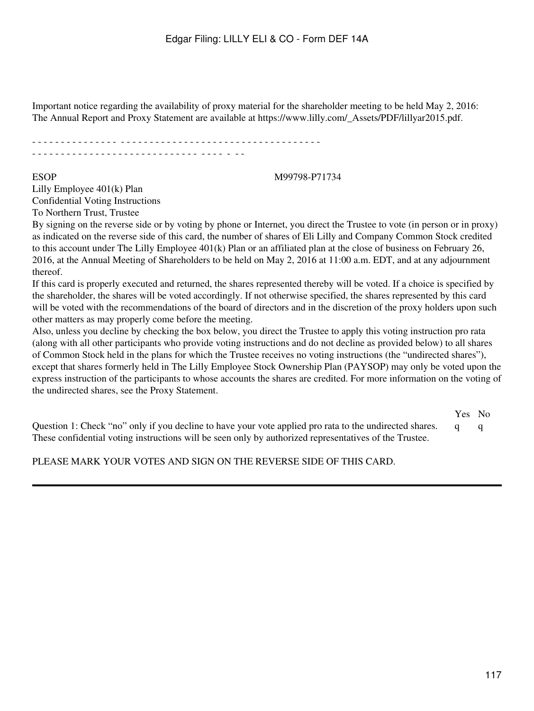Important notice regarding the availability of proxy material for the shareholder meeting to be held May 2, 2016: The Annual Report and Proxy Statement are available at https://www.lilly.com/\_Assets/PDF/lillyar2015.pdf.

- - - - - - - - - - - - - - - - - - - - - - - - - - - - - - - - - - - - - - - - - - - - - - - - - - - - - - - - - - - - - - - - - - - - - - - - - - - - - - - - - - - - - -

#### ESOP M99798-P71734

Lilly Employee 401(k) Plan Confidential Voting Instructions

To Northern Trust, Trustee

By signing on the reverse side or by voting by phone or Internet, you direct the Trustee to vote (in person or in proxy) as indicated on the reverse side of this card, the number of shares of Eli Lilly and Company Common Stock credited to this account under The Lilly Employee 401(k) Plan or an affiliated plan at the close of business on February 26, 2016, at the Annual Meeting of Shareholders to be held on May 2, 2016 at 11:00 a.m. EDT, and at any adjournment thereof.

If this card is properly executed and returned, the shares represented thereby will be voted. If a choice is specified by the shareholder, the shares will be voted accordingly. If not otherwise specified, the shares represented by this card will be voted with the recommendations of the board of directors and in the discretion of the proxy holders upon such other matters as may properly come before the meeting.

Also, unless you decline by checking the box below, you direct the Trustee to apply this voting instruction pro rata (along with all other participants who provide voting instructions and do not decline as provided below) to all shares of Common Stock held in the plans for which the Trustee receives no voting instructions (the "undirected shares"), except that shares formerly held in The Lilly Employee Stock Ownership Plan (PAYSOP) may only be voted upon the express instruction of the participants to whose accounts the shares are credited. For more information on the voting of the undirected shares, see the Proxy Statement.

|                                                                                                           | Yes No |  |
|-----------------------------------------------------------------------------------------------------------|--------|--|
| Question 1: Check "no" only if you decline to have your vote applied pro rata to the undirected shares. q |        |  |
| These confidential voting instructions will be seen only by authorized representatives of the Trustee.    |        |  |

PLEASE MARK YOUR VOTES AND SIGN ON THE REVERSE SIDE OF THIS CARD.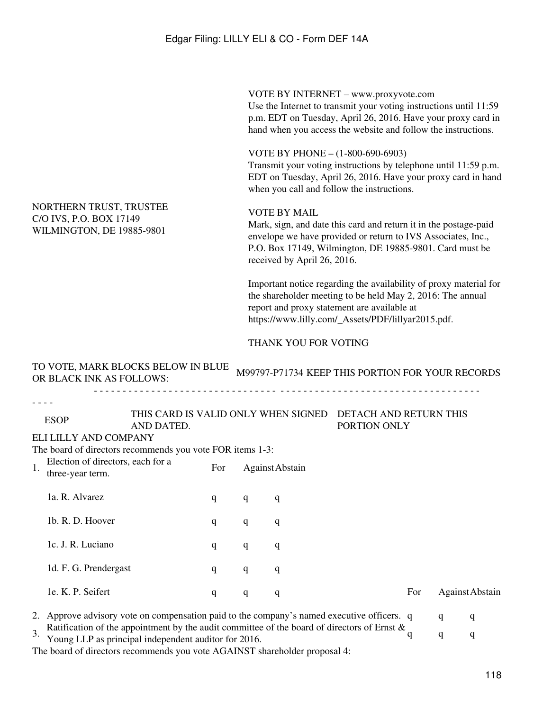VOTE BY INTERNET – www.proxyvote.com Use the Internet to transmit your voting instructions until 11:59 p.m. EDT on Tuesday, April 26, 2016. Have your proxy card in hand when you access the website and follow the instructions.

VOTE BY PHONE – (1-800-690-6903)

Transmit your voting instructions by telephone until 11:59 p.m. EDT on Tuesday, April 26, 2016. Have your proxy card in hand when you call and follow the instructions.

# NORTHERN TRUST, TRUSTEE C/O IVS, P.O. BOX 17149 WILMINGTON, DE 19885-9801

#### VOTE BY MAIL

Mark, sign, and date this card and return it in the postage-paid envelope we have provided or return to IVS Associates, Inc., P.O. Box 17149, Wilmington, DE 19885-9801. Card must be received by April 26, 2016.

Important notice regarding the availability of proxy material for the shareholder meeting to be held May 2, 2016: The annual report and proxy statement are available at https://www.lilly.com/\_Assets/PDF/lillyar2015.pdf.

### THANK YOU FOR VOTING

|                                                             | TO VOTE, MARK BLOCKS BELOW IN BLUE<br>OR BLACK INK AS FOLLOWS:                                                                                         |                                                                                             |     |                 |   | M99797-P71734 KEEP THIS PORTION FOR YOUR RECORDS |     |   |                 |
|-------------------------------------------------------------|--------------------------------------------------------------------------------------------------------------------------------------------------------|---------------------------------------------------------------------------------------------|-----|-----------------|---|--------------------------------------------------|-----|---|-----------------|
|                                                             |                                                                                                                                                        |                                                                                             |     |                 |   |                                                  |     |   |                 |
|                                                             | <b>ESOP</b>                                                                                                                                            | THIS CARD IS VALID ONLY WHEN SIGNED<br>DETACH AND RETURN THIS<br>PORTION ONLY<br>AND DATED. |     |                 |   |                                                  |     |   |                 |
|                                                             | ELI LILLY AND COMPANY                                                                                                                                  |                                                                                             |     |                 |   |                                                  |     |   |                 |
|                                                             | The board of directors recommends you vote FOR items 1-3:                                                                                              |                                                                                             |     |                 |   |                                                  |     |   |                 |
| Election of directors, each for a<br>1.<br>three-year term. |                                                                                                                                                        |                                                                                             | For | Against Abstain |   |                                                  |     |   |                 |
|                                                             | 1a. R. Alvarez                                                                                                                                         |                                                                                             | q   | q               | q |                                                  |     |   |                 |
|                                                             | 1b. R. D. Hoover                                                                                                                                       |                                                                                             | q   | q               | q |                                                  |     |   |                 |
|                                                             | 1c. J. R. Luciano                                                                                                                                      |                                                                                             | q   | q               | q |                                                  |     |   |                 |
|                                                             | 1d. F. G. Prendergast                                                                                                                                  |                                                                                             | q   | q               | q |                                                  |     |   |                 |
|                                                             | 1e. K. P. Seifert                                                                                                                                      |                                                                                             | q   | q               | q |                                                  | For |   | Against Abstain |
| 2.                                                          | Approve advisory vote on compensation paid to the company's named executive officers. q                                                                |                                                                                             |     |                 |   |                                                  |     | q | q               |
| 3.                                                          | Ratification of the appointment by the audit committee of the board of directors of Ernst $\&$<br>Young LLP as principal independent auditor for 2016. |                                                                                             |     |                 |   |                                                  |     | q | q               |

The board of directors recommends you vote AGAINST shareholder proposal 4: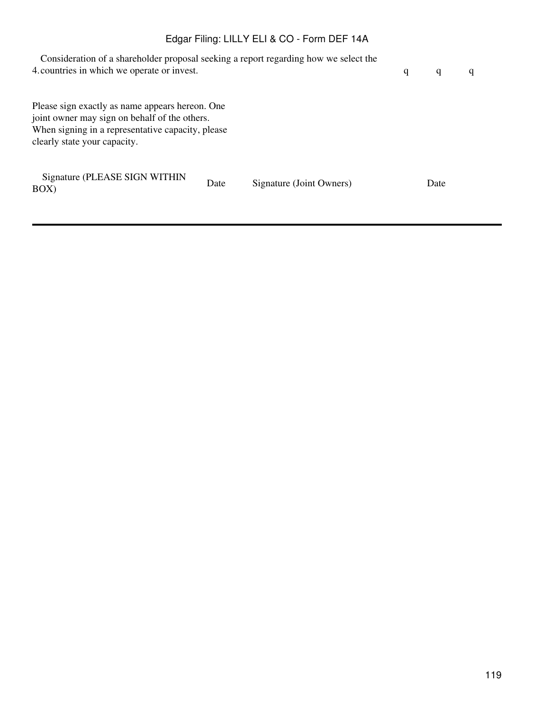# Edgar Filing: LILLY ELI & CO - Form DEF 14A

| Consideration of a shareholder proposal seeking a report regarding how we select the<br>4. countries in which we operate or invest.                                                   | q    | q                        | q |      |  |
|---------------------------------------------------------------------------------------------------------------------------------------------------------------------------------------|------|--------------------------|---|------|--|
| Please sign exactly as name appears hereon. One<br>joint owner may sign on behalf of the others.<br>When signing in a representative capacity, please<br>clearly state your capacity. |      |                          |   |      |  |
| Signature (PLEASE SIGN WITHIN<br>BOX)                                                                                                                                                 | Date | Signature (Joint Owners) |   | Date |  |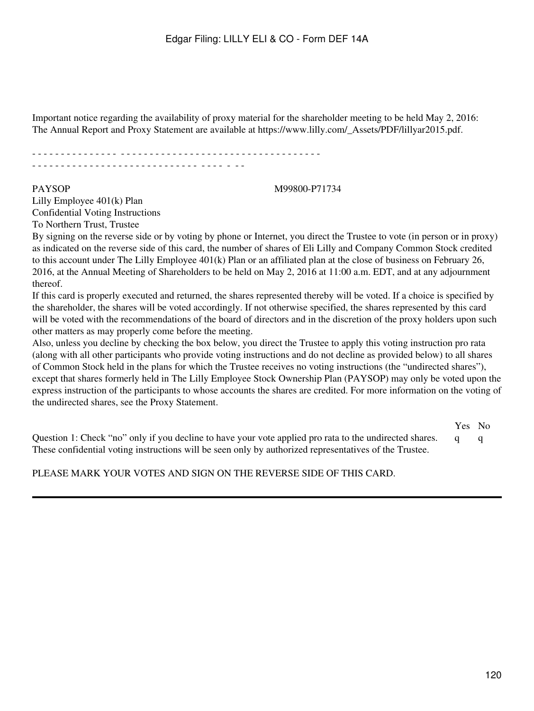Important notice regarding the availability of proxy material for the shareholder meeting to be held May 2, 2016: The Annual Report and Proxy Statement are available at https://www.lilly.com/\_Assets/PDF/lillyar2015.pdf.

- - - - - - - - - - - - - - - - - - - - - - - - - - - - - - - - - - - - - - - - - - - - - - - - - - - - - - - - - - - - - - - - - - - - - - - - - - - - - - - - - - - - - -

#### PAYSOP M99800-P71734

Lilly Employee 401(k) Plan Confidential Voting Instructions To Northern Trust, Trustee

By signing on the reverse side or by voting by phone or Internet, you direct the Trustee to vote (in person or in proxy) as indicated on the reverse side of this card, the number of shares of Eli Lilly and Company Common Stock credited to this account under The Lilly Employee 401(k) Plan or an affiliated plan at the close of business on February 26, 2016, at the Annual Meeting of Shareholders to be held on May 2, 2016 at 11:00 a.m. EDT, and at any adjournment thereof.

If this card is properly executed and returned, the shares represented thereby will be voted. If a choice is specified by the shareholder, the shares will be voted accordingly. If not otherwise specified, the shares represented by this card will be voted with the recommendations of the board of directors and in the discretion of the proxy holders upon such other matters as may properly come before the meeting.

Also, unless you decline by checking the box below, you direct the Trustee to apply this voting instruction pro rata (along with all other participants who provide voting instructions and do not decline as provided below) to all shares of Common Stock held in the plans for which the Trustee receives no voting instructions (the "undirected shares"), except that shares formerly held in The Lilly Employee Stock Ownership Plan (PAYSOP) may only be voted upon the express instruction of the participants to whose accounts the shares are credited. For more information on the voting of the undirected shares, see the Proxy Statement.

Yes No Question 1: Check "no" only if you decline to have your vote applied pro rata to the undirected shares. q q These confidential voting instructions will be seen only by authorized representatives of the Trustee.

PLEASE MARK YOUR VOTES AND SIGN ON THE REVERSE SIDE OF THIS CARD.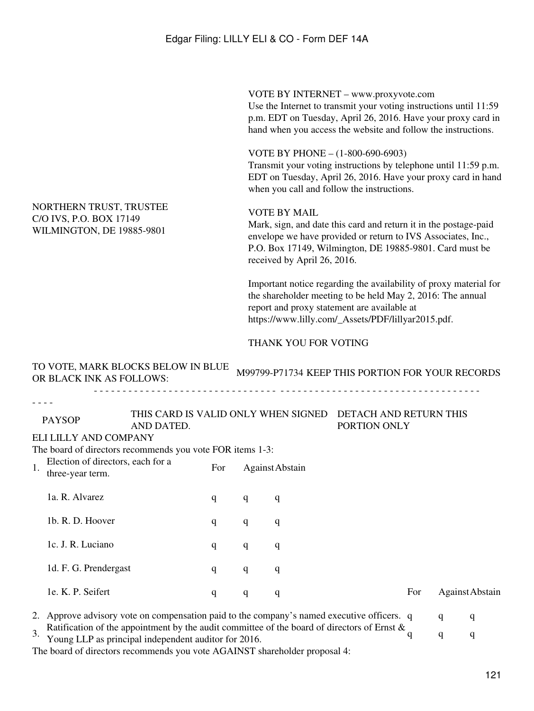VOTE BY INTERNET – www.proxyvote.com Use the Internet to transmit your voting instructions until 11:59 p.m. EDT on Tuesday, April 26, 2016. Have your proxy card in hand when you access the website and follow the instructions.

VOTE BY PHONE – (1-800-690-6903)

Transmit your voting instructions by telephone until 11:59 p.m. EDT on Tuesday, April 26, 2016. Have your proxy card in hand when you call and follow the instructions.

# NORTHERN TRUST, TRUSTEE C/O IVS, P.O. BOX 17149 WILMINGTON, DE 19885-9801

TO VOTE, MARK BLOCKS BELOW IN BLUE

#### VOTE BY MAIL

Mark, sign, and date this card and return it in the postage-paid envelope we have provided or return to IVS Associates, Inc., P.O. Box 17149, Wilmington, DE 19885-9801. Card must be received by April 26, 2016.

Important notice regarding the availability of proxy material for the shareholder meeting to be held May 2, 2016: The annual report and proxy statement are available at https://www.lilly.com/\_Assets/PDF/lillyar2015.pdf.

### THANK YOU FOR VOTING

|                                                                                                                                                          | TO VOTE, MARK BLOCKS BELOW IN BLUE<br>OR BLACK INK AS FOLLOWS:                             |                                                                                                                                                                                                                                                                                                                                                                                                                                                                                              |     |              |                 | M99799-P71734 KEEP THIS PORTION FOR YOUR RECORDS |     |   |                 |
|----------------------------------------------------------------------------------------------------------------------------------------------------------|--------------------------------------------------------------------------------------------|----------------------------------------------------------------------------------------------------------------------------------------------------------------------------------------------------------------------------------------------------------------------------------------------------------------------------------------------------------------------------------------------------------------------------------------------------------------------------------------------|-----|--------------|-----------------|--------------------------------------------------|-----|---|-----------------|
| THIS CARD IS VALID ONLY WHEN SIGNED<br><b>PAYSOP</b><br>AND DATED.<br>ELI LILLY AND COMPANY<br>The board of directors recommends you vote FOR items 1-3: |                                                                                            |                                                                                                                                                                                                                                                                                                                                                                                                                                                                                              |     |              |                 | DETACH AND RETURN THIS<br>PORTION ONLY           |     |   |                 |
| Election of directors, each for a<br>1.<br>three-year term.                                                                                              |                                                                                            |                                                                                                                                                                                                                                                                                                                                                                                                                                                                                              | For |              | Against Abstain |                                                  |     |   |                 |
|                                                                                                                                                          | 1a. R. Alvarez                                                                             |                                                                                                                                                                                                                                                                                                                                                                                                                                                                                              | q   | q            | q               |                                                  |     |   |                 |
|                                                                                                                                                          | 1b. R. D. Hoover                                                                           |                                                                                                                                                                                                                                                                                                                                                                                                                                                                                              | q   | q            | q               |                                                  |     |   |                 |
| 1c. J. R. Luciano<br>q                                                                                                                                   |                                                                                            |                                                                                                                                                                                                                                                                                                                                                                                                                                                                                              |     | $\mathbf{q}$ | q               |                                                  |     |   |                 |
|                                                                                                                                                          | 1d. F. G. Prendergast                                                                      |                                                                                                                                                                                                                                                                                                                                                                                                                                                                                              | q   | q            | q               |                                                  |     |   |                 |
|                                                                                                                                                          | 1e. K. P. Seifert                                                                          |                                                                                                                                                                                                                                                                                                                                                                                                                                                                                              | q   | q            | q               |                                                  | For |   | Against Abstain |
|                                                                                                                                                          | 2. Approve advisory vote on compensation paid to the company's named executive officers. q |                                                                                                                                                                                                                                                                                                                                                                                                                                                                                              |     |              |                 |                                                  |     | q | q               |
| $\overline{3}$ .                                                                                                                                         |                                                                                            | Ratification of the appointment by the audit committee of the board of directors of Ernst $\&$<br>Young LLP as principal independent auditor for 2016.<br>$\mathbf{1}$ $\mathbf{0}$ $\mathbf{1}$ $\mathbf{1}$ $\mathbf{1}$ $\mathbf{1}$ $\mathbf{1}$ $\mathbf{1}$ $\mathbf{1}$ $\mathbf{1}$ $\mathbf{1}$ $\mathbf{1}$ $\mathbf{1}$ $\mathbf{1}$ $\mathbf{1}$ $\mathbf{1}$ $\mathbf{1}$ $\mathbf{1}$ $\mathbf{1}$ $\mathbf{1}$ $\mathbf{1}$ $\mathbf{1}$ $\mathbf{1}$ $\mathbf{1}$ $\mathbf{$ |     |              |                 |                                                  |     | q | q               |

The board of directors recommends you vote AGAINST shareholder proposal 4: